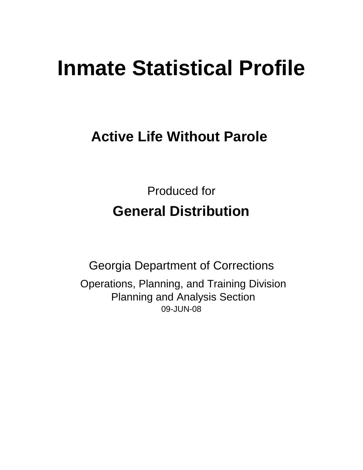# **Inmate Statistical Profile**

# **Active Life Without Parole**

Produced for **General Distribution**

09-JUN-08 Georgia Department of Corrections Operations, Planning, and Training Division Planning and Analysis Section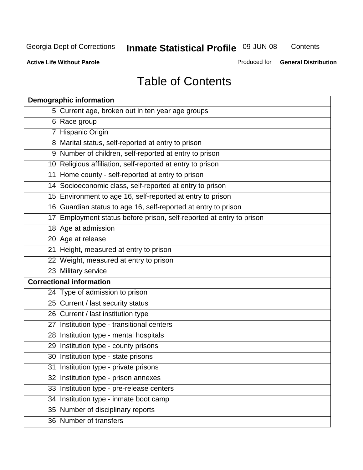**Contents** 

**Active Life Without Parole** 

Produced for **General Distribution**

# Table of Contents

| <b>Demographic information</b>                                       |
|----------------------------------------------------------------------|
| 5 Current age, broken out in ten year age groups                     |
| 6 Race group                                                         |
| 7 Hispanic Origin                                                    |
| 8 Marital status, self-reported at entry to prison                   |
| 9 Number of children, self-reported at entry to prison               |
| 10 Religious affiliation, self-reported at entry to prison           |
| 11 Home county - self-reported at entry to prison                    |
| 14 Socioeconomic class, self-reported at entry to prison             |
| 15 Environment to age 16, self-reported at entry to prison           |
| 16 Guardian status to age 16, self-reported at entry to prison       |
| 17 Employment status before prison, self-reported at entry to prison |
| 18 Age at admission                                                  |
| 20 Age at release                                                    |
| 21 Height, measured at entry to prison                               |
| 22 Weight, measured at entry to prison                               |
| 23 Military service                                                  |
| <b>Correctional information</b>                                      |
| 24 Type of admission to prison                                       |
| 25 Current / last security status                                    |
| 26 Current / last institution type                                   |
| 27 Institution type - transitional centers                           |
| 28 Institution type - mental hospitals                               |
| 29 Institution type - county prisons                                 |
| 30 Institution type - state prisons                                  |
| 31 Institution type - private prisons                                |
| 32 Institution type - prison annexes                                 |
| 33 Institution type - pre-release centers                            |
| 34 Institution type - inmate boot camp                               |
| 35 Number of disciplinary reports                                    |
| 36 Number of transfers                                               |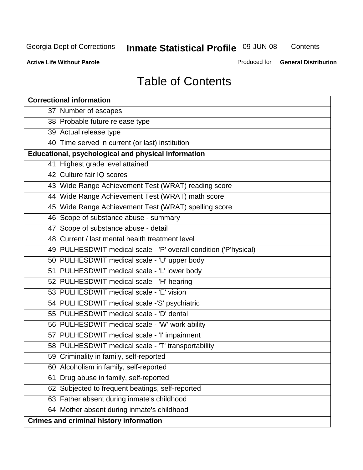**Contents** 

**Active Life Without Parole** 

Produced for **General Distribution**

# Table of Contents

| <b>Correctional information</b>                                  |
|------------------------------------------------------------------|
| 37 Number of escapes                                             |
| 38 Probable future release type                                  |
| 39 Actual release type                                           |
| 40 Time served in current (or last) institution                  |
| Educational, psychological and physical information              |
| 41 Highest grade level attained                                  |
| 42 Culture fair IQ scores                                        |
| 43 Wide Range Achievement Test (WRAT) reading score              |
| 44 Wide Range Achievement Test (WRAT) math score                 |
| 45 Wide Range Achievement Test (WRAT) spelling score             |
| 46 Scope of substance abuse - summary                            |
| 47 Scope of substance abuse - detail                             |
| 48 Current / last mental health treatment level                  |
| 49 PULHESDWIT medical scale - 'P' overall condition ('P'hysical) |
| 50 PULHESDWIT medical scale - 'U' upper body                     |
| 51 PULHESDWIT medical scale - 'L' lower body                     |
| 52 PULHESDWIT medical scale - 'H' hearing                        |
| 53 PULHESDWIT medical scale - 'E' vision                         |
| 54 PULHESDWIT medical scale -'S' psychiatric                     |
| 55 PULHESDWIT medical scale - 'D' dental                         |
| 56 PULHESDWIT medical scale - 'W' work ability                   |
| 57 PULHESDWIT medical scale - 'I' impairment                     |
| 58 PULHESDWIT medical scale - 'T' transportability               |
| 59 Criminality in family, self-reported                          |
| 60 Alcoholism in family, self-reported                           |
| 61 Drug abuse in family, self-reported                           |
| 62 Subjected to frequent beatings, self-reported                 |
| 63 Father absent during inmate's childhood                       |
| 64 Mother absent during inmate's childhood                       |
| <b>Crimes and criminal history information</b>                   |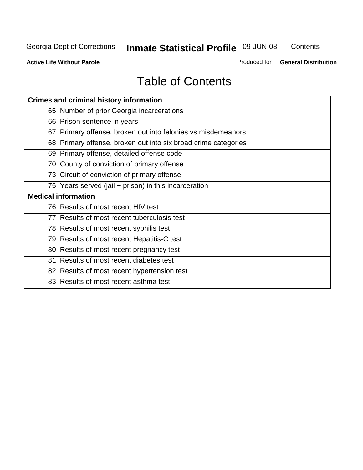**Contents** 

**Active Life Without Parole** 

Produced for **General Distribution**

# Table of Contents

| <b>Crimes and criminal history information</b>                 |
|----------------------------------------------------------------|
| 65 Number of prior Georgia incarcerations                      |
| 66 Prison sentence in years                                    |
| 67 Primary offense, broken out into felonies vs misdemeanors   |
| 68 Primary offense, broken out into six broad crime categories |
| 69 Primary offense, detailed offense code                      |
| 70 County of conviction of primary offense                     |
| 73 Circuit of conviction of primary offense                    |
| 75 Years served (jail + prison) in this incarceration          |
| <b>Medical information</b>                                     |
|                                                                |
| 76 Results of most recent HIV test                             |
| 77 Results of most recent tuberculosis test                    |
| 78 Results of most recent syphilis test                        |
| 79 Results of most recent Hepatitis-C test                     |
| 80 Results of most recent pregnancy test                       |
| 81 Results of most recent diabetes test                        |
| 82 Results of most recent hypertension test                    |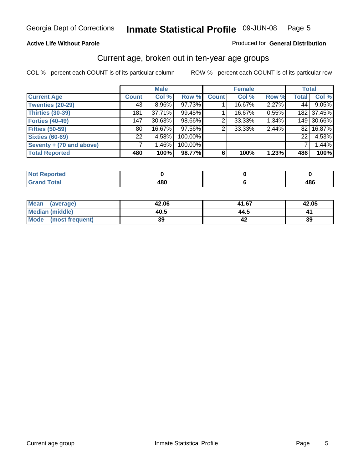#### **Active Life Without Parole**

#### Produced for **General Distribution**

#### Current age, broken out in ten-year age groups

|                          |                 | <b>Male</b> |         |              | <b>Female</b> |       |              | <b>Total</b> |
|--------------------------|-----------------|-------------|---------|--------------|---------------|-------|--------------|--------------|
| <b>Current Age</b>       | <b>Count</b>    | Col %       | Row %   | <b>Count</b> | Col %         | Row % | <b>Total</b> | Col %        |
| <b>Twenties (20-29)</b>  | 43              | $8.96\%$    | 97.73%  |              | 16.67%        | 2.27% | 44           | 9.05%        |
| <b>Thirties (30-39)</b>  | 181             | 37.71%      | 99.45%  |              | 16.67%        | 0.55% |              | 182 37.45%   |
| Forties (40-49)          | 147             | 30.63%      | 98.66%  | 2            | 33.33%        | 1.34% |              | 149 30.66%   |
| <b>Fifties (50-59)</b>   | 80              | 16.67%      | 97.56%  | 2            | 33.33%        | 2.44% | 821          | 16.87%       |
| <b>Sixties (60-69)</b>   | 22 <sub>1</sub> | 4.58%       | 100.00% |              |               |       | 22           | 4.53%        |
| Seventy + (70 and above) |                 | 1.46%       | 100.00% |              |               |       |              | 1.44%        |
| <b>Total Reported</b>    | 480             | 100%        | 98.77%  | 6            | 100%          | 1.23% | 486          | 100%         |

| <b>NOT Reported</b> |        |     |
|---------------------|--------|-----|
| <b>Utal</b>         | 400    | 400 |
| $\mathbf{v}$ and    | . . OU | łОV |

| Mean (average)       | 42.06 | 41.67 | 42.05 |
|----------------------|-------|-------|-------|
| Median (middle)      | 40.5  | 44.5  |       |
| Mode (most frequent) | 39    |       | 39    |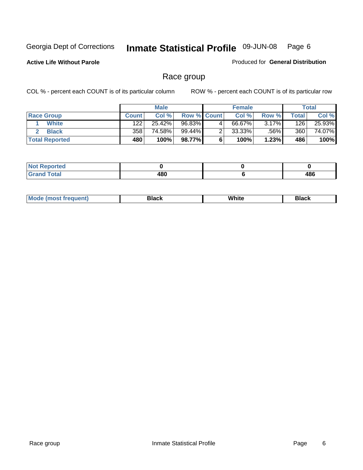**Active Life Without Parole** 

Produced for **General Distribution**

#### Race group

|                       |              | <b>Male</b> |                    |   | <b>Female</b> |       |       | <b>Total</b> |
|-----------------------|--------------|-------------|--------------------|---|---------------|-------|-------|--------------|
| <b>Race Group</b>     | <b>Count</b> | Col %       | <b>Row % Count</b> |   | Col %         | Row % | Total | Col %        |
| <b>White</b>          | 122          | 25.42%      | 96.83%             | 4 | 66.67%        | 3.17% | 126   | 25.93%       |
| <b>Black</b>          | 358          | 74.58%      | 99.44%             |   | $33.33\%$     | .56%  | 360   | 74.07%       |
| <b>Total Reported</b> | 480          | 100%        | 98.77%             |   | 100%          | 1.23% | 486   | 100%         |

| Reported<br>NOT.<br>$\cdots$        |     |     |
|-------------------------------------|-----|-----|
| <b>Total</b><br><b>. .</b><br>_____ | 480 | 486 |

| $^1$ Mo. | Rlack | White | 3lack |
|----------|-------|-------|-------|
| .        |       |       |       |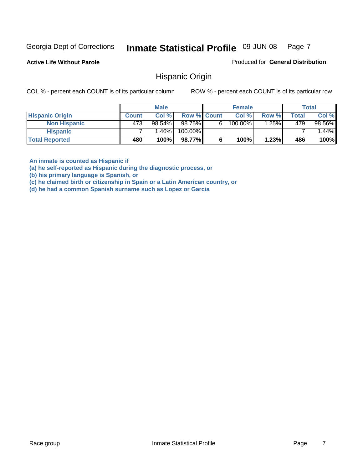**Active Life Without Parole** 

Produced for **General Distribution**

#### Hispanic Origin

COL % - percent each COUNT is of its particular column ROW % - percent each COUNT is of its particular row

|                        |              | <b>Male</b> |             |   | <b>Female</b> |       |       | <b>Total</b> |
|------------------------|--------------|-------------|-------------|---|---------------|-------|-------|--------------|
| <b>Hispanic Origin</b> | <b>Count</b> | Col %       | Row % Count |   | Col %         | Row % | Total | Col %        |
| <b>Non Hispanic</b>    | 473          | $98.54\%$   | 98.75%      | 6 | 100.00%       | .25%  | 479   | 98.56%       |
| <b>Hispanic</b>        |              | ا %1.46.    | 100.00%     |   |               |       |       | $1.44\%$     |
| <b>Total Reported</b>  | 480          | 100%        | 98.77%      |   | 100%          | 1.23% | 486   | 100%         |

**An inmate is counted as Hispanic if** 

**(a) he self-reported as Hispanic during the diagnostic process, or** 

**(b) his primary language is Spanish, or** 

**(c) he claimed birth or citizenship in Spain or a Latin American country, or** 

**(d) he had a common Spanish surname such as Lopez or Garcia**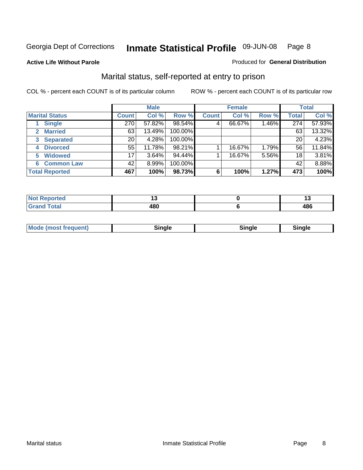**Active Life Without Parole** 

#### Produced for **General Distribution**

#### Marital status, self-reported at entry to prison

|                        | <b>Male</b>  |          |         | <b>Female</b> |        |       | <b>Total</b> |        |
|------------------------|--------------|----------|---------|---------------|--------|-------|--------------|--------|
| <b>Marital Status</b>  | <b>Count</b> | Col %    | Row %   | <b>Count</b>  | Col %  | Row % | <b>Total</b> | Col %  |
| <b>Single</b>          | 270          | 57.82%   | 98.54%  | 4             | 66.67% | 1.46% | 274          | 57.93% |
| <b>Married</b>         | 63           | 13.49%   | 100.00% |               |        |       | 63           | 13.32% |
| <b>Separated</b><br>3  | 20           | 4.28%    | 100.00% |               |        |       | 20           | 4.23%  |
| <b>Divorced</b><br>4   | 55           | 11.78%   | 98.21%  |               | 16.67% | 1.79% | 56           | 11.84% |
| <b>Widowed</b><br>5    | 17           | $3.64\%$ | 94.44%  |               | 16.67% | 5.56% | 18           | 3.81%  |
| <b>Common Law</b><br>6 | 42           | 8.99%    | 100.00% |               |        |       | 42           | 8.88%  |
| <b>Total Reported</b>  | 467          | 100%     | 98.73%  | 6             | 100%   | 1.27% | 473          | 100%   |

|                  | . . |
|------------------|-----|
| ,,,<br>70I<br>__ | "   |

|  | Moc<br>: (most frequent) | ли |  | <b>Rinale</b> |
|--|--------------------------|----|--|---------------|
|--|--------------------------|----|--|---------------|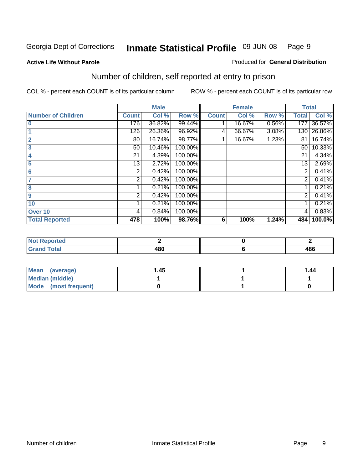#### **Active Life Without Parole**

#### Produced for **General Distribution**

### Number of children, self reported at entry to prison

|                           |              | <b>Male</b> |         |              | <b>Female</b> |       | <b>Total</b>   |        |
|---------------------------|--------------|-------------|---------|--------------|---------------|-------|----------------|--------|
| <b>Number of Children</b> | <b>Count</b> | Col %       | Row %   | <b>Count</b> | Col %         | Row % | <b>Total</b>   | Col %  |
| $\bf{0}$                  | 176          | 36.82%      | 99.44%  |              | 16.67%        | 0.56% | 177            | 36.57% |
|                           | 126          | 26.36%      | 96.92%  | 4            | 66.67%        | 3.08% | 130            | 26.86% |
| $\overline{2}$            | 80           | 16.74%      | 98.77%  |              | 16.67%        | 1.23% | 81             | 16.74% |
| 3                         | 50           | 10.46%      | 100.00% |              |               |       | 50             | 10.33% |
| 4                         | 21           | 4.39%       | 100.00% |              |               |       | 21             | 4.34%  |
| 5                         | 13           | 2.72%       | 100.00% |              |               |       | 13             | 2.69%  |
| $6\phantom{a}$            | 2            | 0.42%       | 100.00% |              |               |       | 2              | 0.41%  |
|                           | 2            | 0.42%       | 100.00% |              |               |       | 2              | 0.41%  |
| 8                         |              | 0.21%       | 100.00% |              |               |       |                | 0.21%  |
| 9                         | 2            | 0.42%       | 100.00% |              |               |       | $\overline{2}$ | 0.41%  |
| 10                        |              | 0.21%       | 100.00% |              |               |       |                | 0.21%  |
| Over 10                   | 4            | 0.84%       | 100.00% |              |               |       | 4              | 0.83%  |
| <b>Total Reported</b>     | 478          | 100%        | 98.76%  | 6            | 100%          | 1.24% | 484            | 100.0% |

| ™rteu<br>$\sim$                 |     |           |
|---------------------------------|-----|-----------|
| <b>otal</b><br>$\mathbf{v}$ and | 180 | 10C<br>טט |

| <b>Mean</b><br>(average) | 45. ا | 1.44 |
|--------------------------|-------|------|
| Median (middle)          |       |      |
| Mode (most frequent)     |       |      |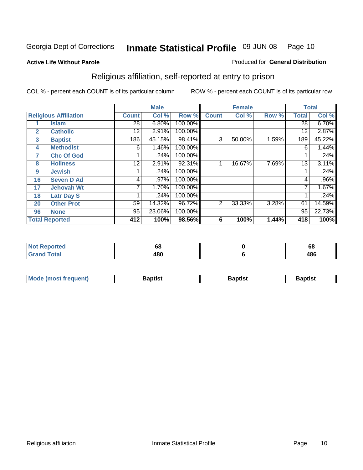#### **Active Life Without Parole**

#### Produced for **General Distribution**

### Religious affiliation, self-reported at entry to prison

|              |                              |              | <b>Male</b> |         |              | <b>Female</b> |       |              | <b>Total</b> |
|--------------|------------------------------|--------------|-------------|---------|--------------|---------------|-------|--------------|--------------|
|              | <b>Religious Affiliation</b> | <b>Count</b> | Col %       | Row %   | <b>Count</b> | Col %         | Row % | <b>Total</b> | Col %        |
|              | <b>Islam</b>                 | 28           | 6.80%       | 100.00% |              |               |       | 28           | 6.70%        |
| $\mathbf{2}$ | <b>Catholic</b>              | 12           | 2.91%       | 100.00% |              |               |       | 12           | 2.87%        |
| 3            | <b>Baptist</b>               | 186          | 45.15%      | 98.41%  | 3            | 50.00%        | 1.59% | 189          | 45.22%       |
| 4            | <b>Methodist</b>             | 6            | 1.46%       | 100.00% |              |               |       | 6            | 1.44%        |
| 7            | <b>Chc Of God</b>            |              | .24%        | 100.00% |              |               |       |              | .24%         |
| 8            | <b>Holiness</b>              | 12           | 2.91%       | 92.31%  |              | 16.67%        | 7.69% | 13           | 3.11%        |
| 9            | <b>Jewish</b>                |              | .24%        | 100.00% |              |               |       |              | .24%         |
| 16           | <b>Seven D Ad</b>            | 4            | .97%        | 100.00% |              |               |       | 4            | $.96\%$      |
| 17           | <b>Jehovah Wt</b>            |              | 1.70%       | 100.00% |              |               |       |              | 1.67%        |
| 18           | <b>Latr Day S</b>            |              | .24%        | 100.00% |              |               |       |              | .24%         |
| 20           | <b>Other Prot</b>            | 59           | 14.32%      | 96.72%  | 2            | 33.33%        | 3.28% | 61           | 14.59%       |
| 96           | <b>None</b>                  | 95           | 23.06%      | 100.00% |              |               |       | 95           | 22.73%       |
|              | <b>Total Reported</b>        | 412          | 100%        | 98.56%  | 6            | 100%          | 1.44% | 418          | 100%         |

| <b>rted</b> | oa         | $\ddot{\phantom{m}}$<br>vo |
|-------------|------------|----------------------------|
| 'otal       | ៱៰៱<br>40U | 486                        |

| <b>Mode (most frequent)</b> | <b>Baptist</b> | <b>Baptist</b> | <b>Baptist</b> |
|-----------------------------|----------------|----------------|----------------|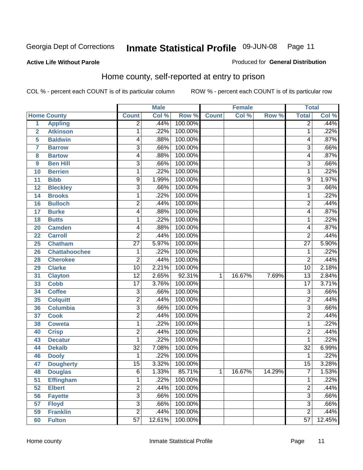Produced for **General Distribution**

#### **Active Life Without Parole**

#### Home county, self-reported at entry to prison

|                         |                      |                 | <b>Male</b> |         |              | <b>Female</b> |        | <b>Total</b>    |        |
|-------------------------|----------------------|-----------------|-------------|---------|--------------|---------------|--------|-----------------|--------|
|                         | <b>Home County</b>   | <b>Count</b>    | Col %       | Row %   | <b>Count</b> | Col %         | Row %  | <b>Total</b>    | Col %  |
| $\overline{1}$          | <b>Appling</b>       | $\overline{2}$  | .44%        | 100.00% |              |               |        | $\overline{2}$  | .44%   |
| $\overline{2}$          | <b>Atkinson</b>      | 1               | .22%        | 100.00% |              |               |        | 1               | .22%   |
| 5                       | <b>Baldwin</b>       | 4               | .88%        | 100.00% |              |               |        | 4               | .87%   |
| $\overline{\mathbf{7}}$ | <b>Barrow</b>        | 3               | .66%        | 100.00% |              |               |        | 3               | .66%   |
| 8                       | <b>Bartow</b>        | 4               | .88%        | 100.00% |              |               |        | 4               | .87%   |
| 9                       | <b>Ben Hill</b>      | $\overline{3}$  | .66%        | 100.00% |              |               |        | $\overline{3}$  | .66%   |
| 10                      | <b>Berrien</b>       | 1               | .22%        | 100.00% |              |               |        | 1               | .22%   |
| 11                      | <b>Bibb</b>          | 9               | 1.99%       | 100.00% |              |               |        | 9               | 1.97%  |
| 12                      | <b>Bleckley</b>      | $\overline{3}$  | .66%        | 100.00% |              |               |        | 3               | .66%   |
| 14                      | <b>Brooks</b>        | 1               | .22%        | 100.00% |              |               |        | 1               | .22%   |
| 16                      | <b>Bulloch</b>       | $\overline{2}$  | .44%        | 100.00% |              |               |        | $\overline{2}$  | .44%   |
| 17                      | <b>Burke</b>         | 4               | .88%        | 100.00% |              |               |        | 4               | .87%   |
| 18                      | <b>Butts</b>         | 1               | .22%        | 100.00% |              |               |        | 1               | .22%   |
| 20                      | <b>Camden</b>        | 4               | .88%        | 100.00% |              |               |        | 4               | .87%   |
| 22                      | <b>Carroll</b>       | $\overline{2}$  | .44%        | 100.00% |              |               |        | $\overline{2}$  | .44%   |
| 25                      | Chatham              | $\overline{27}$ | 5.97%       | 100.00% |              |               |        | $\overline{27}$ | 5.90%  |
| 26                      | <b>Chattahoochee</b> | 1               | .22%        | 100.00% |              |               |        | 1               | .22%   |
| 28                      | <b>Cherokee</b>      | 2               | .44%        | 100.00% |              |               |        | $\overline{2}$  | .44%   |
| 29                      | <b>Clarke</b>        | $\overline{10}$ | 2.21%       | 100.00% |              |               |        | 10              | 2.18%  |
| 31                      | <b>Clayton</b>       | $\overline{12}$ | 2.65%       | 92.31%  | 1            | 16.67%        | 7.69%  | $\overline{13}$ | 2.84%  |
| 33                      | <b>Cobb</b>          | $\overline{17}$ | 3.76%       | 100.00% |              |               |        | $\overline{17}$ | 3.71%  |
| 34                      | <b>Coffee</b>        | $\overline{3}$  | .66%        | 100.00% |              |               |        | 3               | .66%   |
| 35                      | <b>Colquitt</b>      | $\overline{2}$  | .44%        | 100.00% |              |               |        | $\overline{2}$  | .44%   |
| 36                      | <b>Columbia</b>      | 3               | .66%        | 100.00% |              |               |        | $\overline{3}$  | .66%   |
| 37                      | <b>Cook</b>          | $\overline{2}$  | .44%        | 100.00% |              |               |        | $\overline{2}$  | .44%   |
| 38                      | <b>Coweta</b>        | 1               | .22%        | 100.00% |              |               |        | 1               | .22%   |
| 40                      | <b>Crisp</b>         | $\overline{2}$  | .44%        | 100.00% |              |               |        | $\overline{2}$  | .44%   |
| 43                      | <b>Decatur</b>       | 1               | .22%        | 100.00% |              |               |        | 1               | .22%   |
| 44                      | <b>Dekalb</b>        | $\overline{32}$ | 7.08%       | 100.00% |              |               |        | $\overline{32}$ | 6.99%  |
| 46                      | <b>Dooly</b>         | 1               | .22%        | 100.00% |              |               |        | 1               | .22%   |
| 47                      | <b>Dougherty</b>     | $\overline{15}$ | 3.32%       | 100.00% |              |               |        | $\overline{15}$ | 3.28%  |
| 48                      | <b>Douglas</b>       | 6               | 1.33%       | 85.71%  | 1            | 16.67%        | 14.29% | $\overline{7}$  | 1.53%  |
| 51                      | <b>Effingham</b>     | $\mathbf{1}$    | .22%        | 100.00% |              |               |        | 1               | .22%   |
| 52                      | <b>Elbert</b>        | $\overline{2}$  | .44%        | 100.00% |              |               |        | $\overline{2}$  | .44%   |
| 56                      | <b>Fayette</b>       | $\overline{3}$  | .66%        | 100.00% |              |               |        | $\overline{3}$  | .66%   |
| 57                      | <b>Floyd</b>         | $\overline{3}$  | .66%        | 100.00% |              |               |        | $\overline{3}$  | .66%   |
| 59                      | <b>Franklin</b>      | $\overline{2}$  | .44%        | 100.00% |              |               |        | $\overline{2}$  | .44%   |
| 60                      | <b>Fulton</b>        | $\overline{57}$ | 12.61%      | 100.00% |              |               |        | $\overline{57}$ | 12.45% |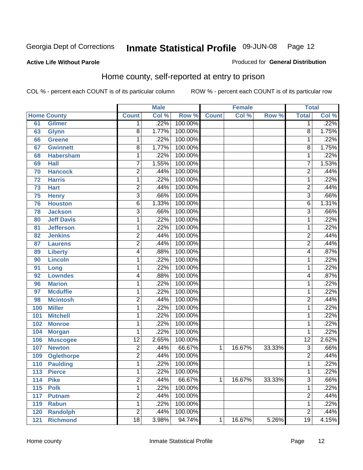Produced for **General Distribution**

#### **Active Life Without Parole**

#### Home county, self-reported at entry to prison

|     |                    |                 | <b>Male</b> |         |              | <b>Female</b> |        | <b>Total</b>    |       |
|-----|--------------------|-----------------|-------------|---------|--------------|---------------|--------|-----------------|-------|
|     | <b>Home County</b> | <b>Count</b>    | Col %       | Row %   | <b>Count</b> | Col %         | Row %  | <b>Total</b>    | Col % |
| 61  | <b>Gilmer</b>      | 1               | .22%        | 100.00% |              |               |        | 1               | .22%  |
| 63  | <b>Glynn</b>       | $\overline{8}$  | 1.77%       | 100.00% |              |               |        | 8               | 1.75% |
| 66  | <b>Greene</b>      | 1               | .22%        | 100.00% |              |               |        | 1               | .22%  |
| 67  | <b>Gwinnett</b>    | $\overline{8}$  | 1.77%       | 100.00% |              |               |        | 8               | 1.75% |
| 68  | <b>Habersham</b>   | 1               | .22%        | 100.00% |              |               |        | 1               | .22%  |
| 69  | <b>Hall</b>        | 7               | 1.55%       | 100.00% |              |               |        | 7               | 1.53% |
| 70  | <b>Hancock</b>     | $\overline{2}$  | .44%        | 100.00% |              |               |        | $\overline{2}$  | .44%  |
| 72  | <b>Harris</b>      | 1               | .22%        | 100.00% |              |               |        | 1               | .22%  |
| 73  | <b>Hart</b>        | $\overline{c}$  | .44%        | 100.00% |              |               |        | $\overline{2}$  | .44%  |
| 75  | <b>Henry</b>       | 3               | .66%        | 100.00% |              |               |        | $\overline{3}$  | .66%  |
| 76  | <b>Houston</b>     | $\overline{6}$  | 1.33%       | 100.00% |              |               |        | $\overline{6}$  | 1.31% |
| 78  | <b>Jackson</b>     | 3               | .66%        | 100.00% |              |               |        | $\overline{3}$  | .66%  |
| 80  | <b>Jeff Davis</b>  | 1               | .22%        | 100.00% |              |               |        | 1               | .22%  |
| 81  | <b>Jefferson</b>   | 1               | .22%        | 100.00% |              |               |        | 1               | .22%  |
| 82  | <b>Jenkins</b>     | $\overline{2}$  | .44%        | 100.00% |              |               |        | $\overline{2}$  | .44%  |
| 87  | <b>Laurens</b>     | 2               | .44%        | 100.00% |              |               |        | $\overline{2}$  | .44%  |
| 89  | <b>Liberty</b>     | 4               | .88%        | 100.00% |              |               |        | 4               | .87%  |
| 90  | <b>Lincoln</b>     | 1               | .22%        | 100.00% |              |               |        | 1               | .22%  |
| 91  | Long               | 1               | .22%        | 100.00% |              |               |        | 1               | .22%  |
| 92  | <b>Lowndes</b>     | 4               | .88%        | 100.00% |              |               |        | 4               | .87%  |
| 96  | <b>Marion</b>      | 1               | .22%        | 100.00% |              |               |        | 1               | .22%  |
| 97  | <b>Mcduffie</b>    | 1               | .22%        | 100.00% |              |               |        | 1               | .22%  |
| 98  | <b>Mcintosh</b>    | $\overline{2}$  | .44%        | 100.00% |              |               |        | $\overline{2}$  | .44%  |
| 100 | <b>Miller</b>      | $\mathbf{1}$    | .22%        | 100.00% |              |               |        | 1               | .22%  |
| 101 | <b>Mitchell</b>    | 1               | .22%        | 100.00% |              |               |        | 1               | .22%  |
| 102 | <b>Monroe</b>      | 1               | .22%        | 100.00% |              |               |        | 1               | .22%  |
| 104 | <b>Morgan</b>      | 1               | .22%        | 100.00% |              |               |        | 1               | .22%  |
| 106 | <b>Muscogee</b>    | $\overline{12}$ | 2.65%       | 100.00% |              |               |        | $\overline{12}$ | 2.62% |
| 107 | <b>Newton</b>      | $\overline{2}$  | .44%        | 66.67%  | 1            | 16.67%        | 33.33% | 3               | .66%  |
| 109 | <b>Oglethorpe</b>  | $\overline{2}$  | .44%        | 100.00% |              |               |        | $\overline{2}$  | .44%  |
| 110 | <b>Paulding</b>    | $\mathbf{1}$    | .22%        | 100.00% |              |               |        | 1               | .22%  |
| 113 | <b>Pierce</b>      | 1               | .22%        | 100.00% |              |               |        | 1               | .22%  |
| 114 | <b>Pike</b>        | $\overline{2}$  | .44%        | 66.67%  | 1            | 16.67%        | 33.33% | $\overline{3}$  | .66%  |
| 115 | <b>Polk</b>        | $\overline{1}$  | .22%        | 100.00% |              |               |        | 1               | .22%  |
| 117 | <b>Putnam</b>      | $\overline{2}$  | .44%        | 100.00% |              |               |        | $\overline{2}$  | .44%  |
| 119 | <b>Rabun</b>       | $\mathbf{1}$    | .22%        | 100.00% |              |               |        | 1               | .22%  |
| 120 | <b>Randolph</b>    | $\overline{2}$  | .44%        | 100.00% |              |               |        | $\overline{2}$  | .44%  |
| 121 | <b>Richmond</b>    | $\overline{18}$ | 3.98%       | 94.74%  | 1            | 16.67%        | 5.26%  | $\overline{19}$ | 4.15% |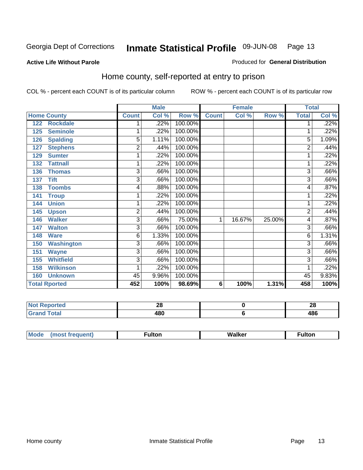#### **Active Life Without Parole**

#### Produced for **General Distribution**

#### Home county, self-reported at entry to prison

|     |                      |                | <b>Male</b> |         |              | <b>Female</b> |        | <b>Total</b>   |       |
|-----|----------------------|----------------|-------------|---------|--------------|---------------|--------|----------------|-------|
|     | <b>Home County</b>   | <b>Count</b>   | Col %       | Row %   | <b>Count</b> | Col %         | Row %  | <b>Total</b>   | Col % |
| 122 | <b>Rockdale</b>      |                | $.22\%$     | 100.00% |              |               |        | 1              | .22%  |
| 125 | <b>Seminole</b>      | 1              | .22%        | 100.00% |              |               |        |                | .22%  |
| 126 | <b>Spalding</b>      | 5              | 1.11%       | 100.00% |              |               |        | 5              | 1.09% |
| 127 | <b>Stephens</b>      | $\overline{2}$ | .44%        | 100.00% |              |               |        | $\overline{2}$ | .44%  |
| 129 | <b>Sumter</b>        | 1              | .22%        | 100.00% |              |               |        |                | .22%  |
| 132 | <b>Tattnall</b>      | 1              | .22%        | 100.00% |              |               |        |                | .22%  |
| 136 | <b>Thomas</b>        | 3              | .66%        | 100.00% |              |               |        | 3              | .66%  |
| 137 | <b>Tift</b>          | 3              | .66%        | 100.00% |              |               |        | 3              | .66%  |
| 138 | <b>Toombs</b>        | 4              | .88%        | 100.00% |              |               |        | 4              | .87%  |
| 141 | <b>Troup</b>         | 1              | .22%        | 100.00% |              |               |        |                | .22%  |
| 144 | <b>Union</b>         | 1              | .22%        | 100.00% |              |               |        |                | .22%  |
| 145 | <b>Upson</b>         | 2              | .44%        | 100.00% |              |               |        | $\overline{2}$ | .44%  |
| 146 | <b>Walker</b>        | 3              | .66%        | 75.00%  | 1            | 16.67%        | 25.00% | 4              | .87%  |
| 147 | <b>Walton</b>        | 3              | .66%        | 100.00% |              |               |        | $\overline{3}$ | .66%  |
| 148 | <b>Ware</b>          | 6              | 1.33%       | 100.00% |              |               |        | 6              | 1.31% |
| 150 | <b>Washington</b>    | 3              | .66%        | 100.00% |              |               |        | 3              | .66%  |
| 151 | <b>Wayne</b>         | 3              | .66%        | 100.00% |              |               |        | 3              | .66%  |
| 155 | <b>Whitfield</b>     | 3              | .66%        | 100.00% |              |               |        | 3              | .66%  |
| 158 | <b>Wilkinson</b>     | 1              | .22%        | 100.00% |              |               |        |                | .22%  |
| 160 | <b>Unknown</b>       | 45             | 9.96%       | 100.00% |              |               |        | 45             | 9.83% |
|     | <b>Total Rported</b> | 452            | 100%        | 98.69%  | 6            | 100%          | 1.31%  | 458            | 100%  |

| <b>Not Reported</b> | ∠∪          | - 20<br>ZU |
|---------------------|-------------|------------|
| <b>Total</b>        | 12 N<br>ŀΟl | 486        |

| M<br>. <b>. </b> | . . |  |
|------------------|-----|--|
|                  |     |  |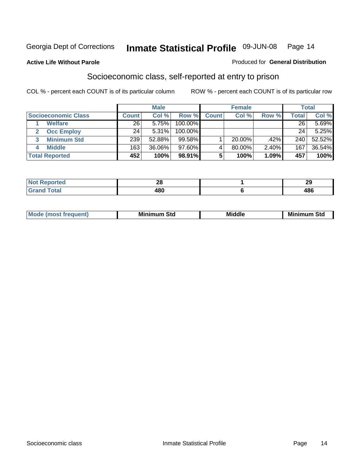#### **Active Life Without Parole**

#### Produced for **General Distribution**

#### Socioeconomic class, self-reported at entry to prison

|                            |              | <b>Male</b> |            |              | <b>Female</b> |       |              | <b>Total</b> |
|----------------------------|--------------|-------------|------------|--------------|---------------|-------|--------------|--------------|
| <b>Socioeconomic Class</b> | <b>Count</b> | Col %       | Row %      | <b>Count</b> | Col %         | Row % | <b>Total</b> | Col %        |
| <b>Welfare</b>             | 26           | 5.75%       | 100.00%    |              |               |       | 26           | 5.69%        |
| <b>Occ Employ</b>          | 24           | 5.31%       | $100.00\%$ |              |               |       | 24           | 5.25%        |
| <b>Minimum Std</b>         | 239          | 52.88%      | 99.58%     |              | $20.00\%$     | .42%  | 240          | 52.52%       |
| <b>Middle</b>              | 163          | 36.06%      | $97.60\%$  |              | 80.00%        | 2.40% | 167          | 36.54%       |
| <b>Total Reported</b>      | 452          | 100%        | 98.91%     |              | 100%          | 1.09% | 457          | 100%         |

| للمناسب             | nc. | $\overline{\phantom{a}}$ |
|---------------------|-----|--------------------------|
| тео                 | ZO  | $\overline{a}$           |
| $T = 4 - T$<br>υιαι | 480 | 10C<br>10V               |

| .<br>___ |
|----------|
|----------|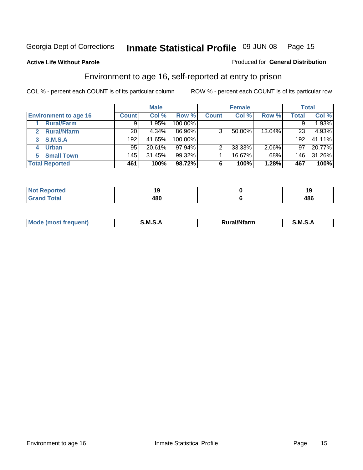**Active Life Without Parole** 

#### Produced for **General Distribution**

#### Environment to age 16, self-reported at entry to prison

|                              |              | <b>Male</b> |           |              | <b>Female</b> |          |                  | <b>Total</b> |
|------------------------------|--------------|-------------|-----------|--------------|---------------|----------|------------------|--------------|
| <b>Environment to age 16</b> | <b>Count</b> | Col %       | Row %     | <b>Count</b> | Col %         | Row %    | <b>Total</b>     | Col %        |
| <b>Rural/Farm</b>            | 9            | $1.95\%$    | 100.00%   |              |               |          |                  | 1.93%        |
| <b>Rural/Nfarm</b><br>2      | 20           | 4.34%       | 86.96%    | 3            | 50.00%        | 13.04%   | 23               | 4.93%        |
| <b>S.M.S.A</b><br>3          | 192          | 41.65%      | 100.00%   |              |               |          | 192              | 41.11%       |
| <b>Urban</b><br>4            | 95           | 20.61%      | $97.94\%$ |              | 33.33%        | $2.06\%$ | 97               | 20.77%       |
| <b>Small Town</b>            | 145          | 31.45%      | $99.32\%$ |              | 16.67%        | .68%     | 146 <sub>1</sub> | 31.26%       |
| <b>Total Reported</b>        | 461          | 100%        | 98.72%    | 6            | 100%          | 1.28%    | 467              | 100%         |

| Reported<br>Not       |     |            |
|-----------------------|-----|------------|
| <b>Total</b><br>Grand | 480 | 10C<br>400 |

| Mo<br>м s<br>M<br>---<br>.<br>□……<br>rarr |  |  |
|-------------------------------------------|--|--|
|                                           |  |  |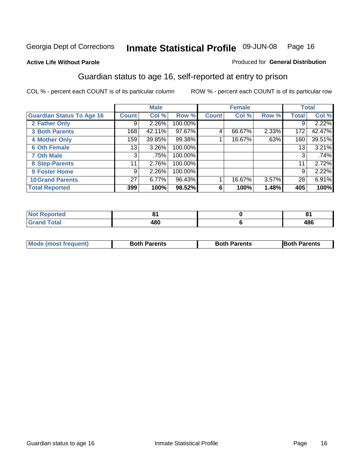Produced for **General Distribution**

#### **Active Life Without Parole**

#### Guardian status to age 16, self-reported at entry to prison

|                                  |                 | <b>Male</b> |         |              | <b>Female</b> |       |              | <b>Total</b> |
|----------------------------------|-----------------|-------------|---------|--------------|---------------|-------|--------------|--------------|
| <b>Guardian Status To Age 16</b> | <b>Count</b>    | Col %       | Row %   | <b>Count</b> | Col %         | Row % | <b>Total</b> | Col %        |
| 2 Father Only                    | 9               | 2.26%       | 100.00% |              |               |       | 9            | 2.22%        |
| <b>3 Both Parents</b>            | 168             | 42.11%      | 97.67%  | 4            | 66.67%        | 2.33% | 172          | 42.47%       |
| <b>4 Mother Only</b>             | 159             | 39.85%      | 99.38%  |              | 16.67%        | .63%  | 160          | 39.51%       |
| <b>6 Oth Female</b>              | 13              | 3.26%       | 100.00% |              |               |       | 13           | 3.21%        |
| <b>7 Oth Male</b>                | 3               | .75%        | 100.00% |              |               |       | 3            | .74%         |
| 8 Step-Parents                   | 11              | 2.76%       | 100.00% |              |               |       | 11           | 2.72%        |
| 9 Foster Home                    | 9               | 2.26%       | 100.00% |              |               |       | 9            | 2.22%        |
| <b>10 Grand Parents</b>          | 27 <sup>1</sup> | 6.77%       | 96.43%  |              | 16.67%        | 3.57% | 28           | 6.91%        |
| <b>Total Reported</b>            | 399             | 100%        | 98.52%  | 6            | 100%          | 1.48% | 405          | 100%         |

| .<br>tea                        |                   | п.  |
|---------------------------------|-------------------|-----|
| $f \wedge f \wedge f$<br>i oldi | <b>. מח</b><br>טט | 486 |

| Mode (most frequent) | <b>Both Parents</b> | <b>Both Parents</b> | <b>IBoth Parents</b> |
|----------------------|---------------------|---------------------|----------------------|
|                      |                     |                     |                      |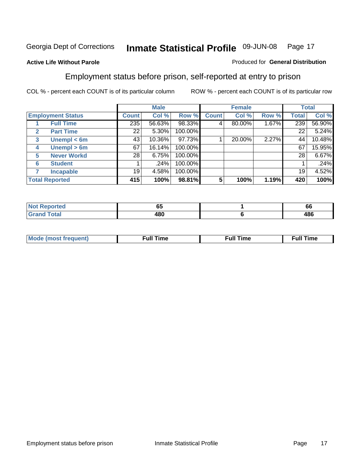#### **Active Life Without Parole**

#### Produced for **General Distribution**

#### Employment status before prison, self-reported at entry to prison

|              |                          |              | <b>Male</b> |         |              | <b>Female</b> |       |              | <b>Total</b> |
|--------------|--------------------------|--------------|-------------|---------|--------------|---------------|-------|--------------|--------------|
|              | <b>Employment Status</b> | <b>Count</b> | Col %       | Row %   | <b>Count</b> | Col %         | Row % | <b>Total</b> | Col %        |
|              | <b>Full Time</b>         | 235          | 56.63%      | 98.33%  | 4            | 80.00%        | 1.67% | 239          | 56.90%       |
| $\mathbf{2}$ | <b>Part Time</b>         | 22           | 5.30%       | 100.00% |              |               |       | 22           | 5.24%        |
| 3            | Unempl $<$ 6m            | 43           | 10.36%      | 97.73%  |              | 20.00%        | 2.27% | 44           | 10.48%       |
| 4            | Unempl $> 6m$            | 67           | 16.14%      | 100.00% |              |               |       | 67           | 15.95%       |
| 5            | <b>Never Workd</b>       | 28           | 6.75%       | 100.00% |              |               |       | 28           | 6.67%        |
| 6            | <b>Student</b>           |              | .24%        | 100.00% |              |               |       |              | .24%         |
|              | <b>Incapable</b>         | 19           | 4.58%       | 100.00% |              |               |       | 19           | 4.52%        |
|              | <b>Total Reported</b>    | 415          | 100%        | 98.81%  | 5            | 100%          | 1.19% | 420          | 100%         |

| TAC.   | --<br>υJ | $\overline{\phantom{a}}$<br><b>bb</b> |
|--------|----------|---------------------------------------|
| Total. | 100      | 10C                                   |
| $ -$   | 4ou      | 40U                                   |

| Mo | 'me<br>uн<br>the contract of the contract of the contract of the contract of the contract of the contract of the contract of | ïme<br>uı.<br>the contract of the contract of the contract of the contract of the contract of the contract of the contract of |
|----|------------------------------------------------------------------------------------------------------------------------------|-------------------------------------------------------------------------------------------------------------------------------|
|    |                                                                                                                              |                                                                                                                               |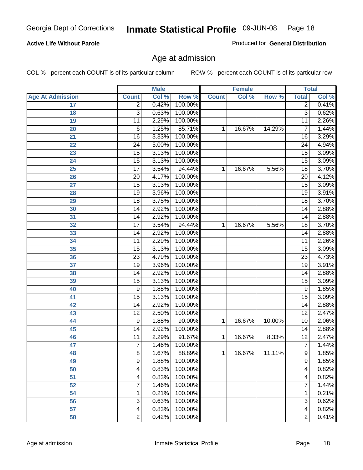#### **Active Life Without Parole**

Produced for **General Distribution**

#### Age at admission

|                         | <b>Male</b>     |       | <b>Female</b> |              |        | <b>Total</b> |                 |       |
|-------------------------|-----------------|-------|---------------|--------------|--------|--------------|-----------------|-------|
| <b>Age At Admission</b> | <b>Count</b>    | Col % | Row %         | <b>Count</b> | Col %  | Row %        | <b>Total</b>    | Col % |
| 17                      | $\overline{2}$  | 0.42% | 100.00%       |              |        |              | 2               | 0.41% |
| 18                      | $\overline{3}$  | 0.63% | 100.00%       |              |        |              | $\overline{3}$  | 0.62% |
| 19                      | $\overline{11}$ | 2.29% | 100.00%       |              |        |              | $\overline{11}$ | 2.26% |
| 20                      | 6               | 1.25% | 85.71%        | 1            | 16.67% | 14.29%       | 7               | 1.44% |
| 21                      | $\overline{16}$ | 3.33% | 100.00%       |              |        |              | 16              | 3.29% |
| 22                      | $\overline{24}$ | 5.00% | 100.00%       |              |        |              | 24              | 4.94% |
| 23                      | $\overline{15}$ | 3.13% | 100.00%       |              |        |              | $\overline{15}$ | 3.09% |
| 24                      | $\overline{15}$ | 3.13% | 100.00%       |              |        |              | 15              | 3.09% |
| 25                      | $\overline{17}$ | 3.54% | 94.44%        | 1            | 16.67% | 5.56%        | $\overline{18}$ | 3.70% |
| 26                      | $\overline{20}$ | 4.17% | 100.00%       |              |        |              | 20              | 4.12% |
| 27                      | $\overline{15}$ | 3.13% | 100.00%       |              |        |              | $\overline{15}$ | 3.09% |
| 28                      | 19              | 3.96% | 100.00%       |              |        |              | 19              | 3.91% |
| 29                      | $\overline{18}$ | 3.75% | 100.00%       |              |        |              | $\overline{18}$ | 3.70% |
| 30                      | $\overline{14}$ | 2.92% | 100.00%       |              |        |              | 14              | 2.88% |
| 31                      | $\overline{14}$ | 2.92% | 100.00%       |              |        |              | $\overline{14}$ | 2.88% |
| 32                      | $\overline{17}$ | 3.54% | 94.44%        | 1            | 16.67% | 5.56%        | 18              | 3.70% |
| 33                      | 14              | 2.92% | 100.00%       |              |        |              | 14              | 2.88% |
| 34                      | 11              | 2.29% | 100.00%       |              |        |              | 11              | 2.26% |
| 35                      | 15              | 3.13% | 100.00%       |              |        |              | 15              | 3.09% |
| 36                      | $\overline{23}$ | 4.79% | 100.00%       |              |        |              | $\overline{23}$ | 4.73% |
| 37                      | $\overline{19}$ | 3.96% | 100.00%       |              |        |              | $\overline{19}$ | 3.91% |
| 38                      | $\overline{14}$ | 2.92% | 100.00%       |              |        |              | 14              | 2.88% |
| 39                      | 15              | 3.13% | 100.00%       |              |        |              | 15              | 3.09% |
| 40                      | 9               | 1.88% | 100.00%       |              |        |              | 9               | 1.85% |
| 41                      | 15              | 3.13% | 100.00%       |              |        |              | 15              | 3.09% |
| 42                      | 14              | 2.92% | 100.00%       |              |        |              | 14              | 2.88% |
| 43                      | $\overline{12}$ | 2.50% | 100.00%       |              |        |              | $\overline{12}$ | 2.47% |
| 44                      | 9               | 1.88% | 90.00%        | 1            | 16.67% | 10.00%       | 10              | 2.06% |
| 45                      | 14              | 2.92% | 100.00%       |              |        |              | 14              | 2.88% |
| 46                      | $\overline{11}$ | 2.29% | 91.67%        | 1            | 16.67% | 8.33%        | $\overline{12}$ | 2.47% |
| 47                      | $\overline{7}$  | 1.46% | 100.00%       |              |        |              | 7               | 1.44% |
| 48                      | 8               | 1.67% | 88.89%        | 1            | 16.67% | 11.11%       | 9               | 1.85% |
| 49                      | 9               | 1.88% | 100.00%       |              |        |              | 9               | 1.85% |
| 50                      | 4               | 0.83% | 100.00%       |              |        |              | 4               | 0.82% |
| 51                      | 4               | 0.83% | 100.00%       |              |        |              | 4               | 0.82% |
| 52                      | 7               | 1.46% | 100.00%       |              |        |              | 7               | 1.44% |
| 54                      | 1               | 0.21% | 100.00%       |              |        |              | 1               | 0.21% |
| 56                      | 3               | 0.63% | 100.00%       |              |        |              | $\overline{3}$  | 0.62% |
| 57                      | 4               | 0.83% | 100.00%       |              |        |              | $\overline{4}$  | 0.82% |
| 58                      | $\overline{2}$  | 0.42% | 100.00%       |              |        |              | $\overline{2}$  | 0.41% |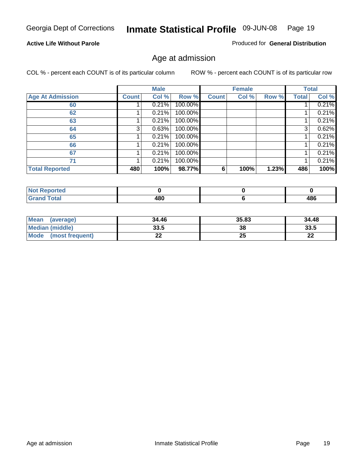#### **Active Life Without Parole**

Produced for **General Distribution**

#### Age at admission

|                         |              | <b>Male</b> |         |              | <b>Female</b> |       |              | <b>Total</b> |
|-------------------------|--------------|-------------|---------|--------------|---------------|-------|--------------|--------------|
| <b>Age At Admission</b> | <b>Count</b> | Col %       | Row %   | <b>Count</b> | Col %         | Row % | <b>Total</b> | Col %        |
| 60                      |              | 0.21%       | 100.00% |              |               |       |              | 0.21%        |
| 62                      |              | 0.21%       | 100.00% |              |               |       |              | 0.21%        |
| 63                      |              | 0.21%       | 100.00% |              |               |       |              | 0.21%        |
| 64                      | 3            | 0.63%       | 100.00% |              |               |       | 3            | 0.62%        |
| 65                      |              | 0.21%       | 100.00% |              |               |       |              | 0.21%        |
| 66                      |              | 0.21%       | 100.00% |              |               |       |              | 0.21%        |
| 67                      |              | 0.21%       | 100.00% |              |               |       |              | 0.21%        |
| 71                      |              | 0.21%       | 100.00% |              |               |       |              | 0.21%        |
| <b>Total Reported</b>   | 480          | 100%        | 98.77%  | 6            | 100%          | 1.23% | 486          | 100%         |

| Reported             |     |     |
|----------------------|-----|-----|
| <b>Total</b><br>Grar | 480 | 486 |

| Mean<br>(average)              | 34.46 | 35.83 | 34.48 |
|--------------------------------|-------|-------|-------|
| Median (middle)                | 33.5  | 38    | 33.5  |
| <b>Mode</b><br>(most frequent) | - -   | 25    | n-    |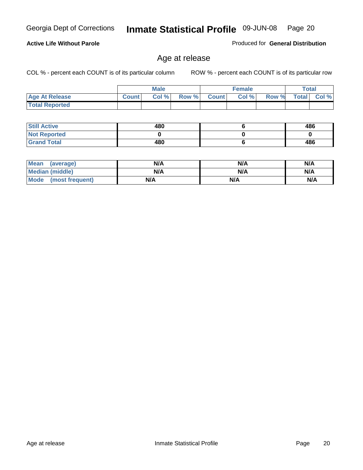**Total Reported**

| <b>Still Active</b> | 480 | 486 |
|---------------------|-----|-----|
| <b>Not Reported</b> |     |     |
| <b>Grand Total</b>  | 480 | 486 |

 **Age At Release Count Col % Row % Count Col % Row % Total Col %** 

**Male**

Age at release

| <b>Mean</b><br>(average)       | N/A | N/A | N/A |
|--------------------------------|-----|-----|-----|
| <b>Median (middle)</b>         | N/A | N/A | N/A |
| <b>Mode</b><br>(most frequent) | N/A | N/A | N/A |

**Active Life Without Parole** 

COL % - percent each COUNT is of its particular column ROW % - percent each COUNT is of its particular row

**Female Total**

Produced for **General Distribution**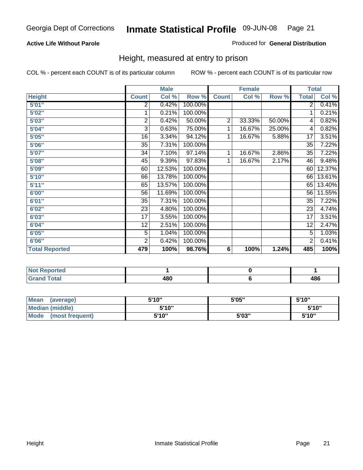#### **Active Life Without Parole**

#### Produced for **General Distribution**

#### Height, measured at entry to prison

|                       |                | <b>Male</b> |         |                | <b>Female</b> |        |                 | <b>Total</b> |
|-----------------------|----------------|-------------|---------|----------------|---------------|--------|-----------------|--------------|
| <b>Height</b>         | <b>Count</b>   | Col %       | Row %   | <b>Count</b>   | Col %         | Row %  | <b>Total</b>    | Col %        |
| 5'01''                | 2              | 0.42%       | 100.00% |                |               |        | $\overline{2}$  | 0.41%        |
| 5'02"                 | 1              | 0.21%       | 100.00% |                |               |        | 1               | 0.21%        |
| 5'03"                 | $\mathbf 2$    | 0.42%       | 50.00%  | $\overline{2}$ | 33.33%        | 50.00% | 4               | 0.82%        |
| 5'04"                 | 3              | 0.63%       | 75.00%  | 1              | 16.67%        | 25.00% | 4               | 0.82%        |
| 5'05"                 | 16             | 3.34%       | 94.12%  | 1              | 16.67%        | 5.88%  | 17              | 3.51%        |
| 5'06"                 | 35             | 7.31%       | 100.00% |                |               |        | $\overline{35}$ | 7.22%        |
| 5'07''                | 34             | 7.10%       | 97.14%  | 1              | 16.67%        | 2.86%  | 35              | 7.22%        |
| 5'08"                 | 45             | 9.39%       | 97.83%  | 1              | 16.67%        | 2.17%  | 46              | 9.48%        |
| <b>5'09"</b>          | 60             | 12.53%      | 100.00% |                |               |        | 60              | 12.37%       |
| 5'10''                | 66             | 13.78%      | 100.00% |                |               |        | 66              | 13.61%       |
| 5'11''                | 65             | 13.57%      | 100.00% |                |               |        | 65              | 13.40%       |
| 6'00"                 | 56             | 11.69%      | 100.00% |                |               |        | 56              | 11.55%       |
| 6'01"                 | 35             | 7.31%       | 100.00% |                |               |        | 35              | 7.22%        |
| 6'02"                 | 23             | 4.80%       | 100.00% |                |               |        | 23              | 4.74%        |
| 6'03"                 | 17             | 3.55%       | 100.00% |                |               |        | 17              | 3.51%        |
| 6'04"                 | 12             | 2.51%       | 100.00% |                |               |        | 12              | 2.47%        |
| 6'05"                 | 5              | 1.04%       | 100.00% |                |               |        | 5               | 1.03%        |
| 6'06"                 | $\overline{2}$ | 0.42%       | 100.00% |                |               |        | 2               | 0.41%        |
| <b>Total Reported</b> | 479            | 100%        | 98.76%  | 6              | 100%          | 1.24%  | 485             | 100%         |

| oorted<br>NO. |     |     |
|---------------|-----|-----|
| int<br>_____  | 480 | 486 |

| Mean<br>(average)              | 5'10" | 5'05" | 5'10" |
|--------------------------------|-------|-------|-------|
| Median (middle)                | 5'10" |       | 5'10" |
| <b>Mode</b><br>(most frequent) | 5'10" | 5'03" | 5'10" |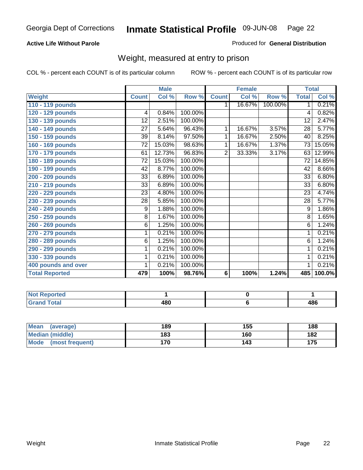#### **Active Life Without Parole**

#### Produced for **General Distribution**

#### Weight, measured at entry to prison

|                       |                 | <b>Male</b> |         |              | <b>Female</b> |         | <b>Total</b>    |        |
|-----------------------|-----------------|-------------|---------|--------------|---------------|---------|-----------------|--------|
| Weight                | <b>Count</b>    | Col %       | Row %   | <b>Count</b> | Col %         | Row %   | <b>Total</b>    | Col %  |
| 110 - 119 pounds      |                 |             |         | 1.           | 16.67%        | 100.00% | 1.              | 0.21%  |
| 120 - 129 pounds      | 4               | 0.84%       | 100.00% |              |               |         | 4               | 0.82%  |
| 130 - 139 pounds      | $\overline{12}$ | 2.51%       | 100.00% |              |               |         | $\overline{12}$ | 2.47%  |
| 140 - 149 pounds      | 27              | 5.64%       | 96.43%  | 1            | 16.67%        | 3.57%   | 28              | 5.77%  |
| 150 - 159 pounds      | 39              | 8.14%       | 97.50%  | 1            | 16.67%        | 2.50%   | 40              | 8.25%  |
| 160 - 169 pounds      | $\overline{72}$ | 15.03%      | 98.63%  | 1            | 16.67%        | 1.37%   | 73              | 15.05% |
| 170 - 179 pounds      | 61              | 12.73%      | 96.83%  | 2            | 33.33%        | 3.17%   | 63              | 12.99% |
| 180 - 189 pounds      | 72              | 15.03%      | 100.00% |              |               |         | 72              | 14.85% |
| 190 - 199 pounds      | 42              | 8.77%       | 100.00% |              |               |         | 42              | 8.66%  |
| 200 - 209 pounds      | 33              | 6.89%       | 100.00% |              |               |         | $\overline{33}$ | 6.80%  |
| 210 - 219 pounds      | 33              | 6.89%       | 100.00% |              |               |         | $\overline{33}$ | 6.80%  |
| 220 - 229 pounds      | 23              | 4.80%       | 100.00% |              |               |         | 23              | 4.74%  |
| 230 - 239 pounds      | $\overline{28}$ | 5.85%       | 100.00% |              |               |         | $\overline{28}$ | 5.77%  |
| 240 - 249 pounds      | 9               | 1.88%       | 100.00% |              |               |         | $\overline{9}$  | 1.86%  |
| 250 - 259 pounds      | $\overline{8}$  | 1.67%       | 100.00% |              |               |         | $\overline{8}$  | 1.65%  |
| 260 - 269 pounds      | $\overline{6}$  | 1.25%       | 100.00% |              |               |         | $\overline{6}$  | 1.24%  |
| 270 - 279 pounds      | 1               | 0.21%       | 100.00% |              |               |         | 1               | 0.21%  |
| 280 - 289 pounds      | 6               | 1.25%       | 100.00% |              |               |         | 6               | 1.24%  |
| 290 - 299 pounds      | 1               | 0.21%       | 100.00% |              |               |         | 1               | 0.21%  |
| 330 - 339 pounds      | 1               | 0.21%       | 100.00% |              |               |         | 1               | 0.21%  |
| 400 pounds and over   | 1               | 0.21%       | 100.00% |              |               |         | 1               | 0.21%  |
| <b>Total Reported</b> | 479             | 100%        | 98.76%  | 6            | 100%          | 1.24%   | 485             | 100.0% |

| <b>Not</b><br>пето<br>. |                  |             |
|-------------------------|------------------|-------------|
| d Total<br>Gra<br>_     | ៱៰៱<br>+ov<br>__ | 10C<br>∵0∙، |

| <b>Mean</b><br>(average) | 189 | 155 | 188 |
|--------------------------|-----|-----|-----|
| Median (middle)          | 183 | 160 | 182 |
| Mode (most frequent)     | 170 | '43 | 175 |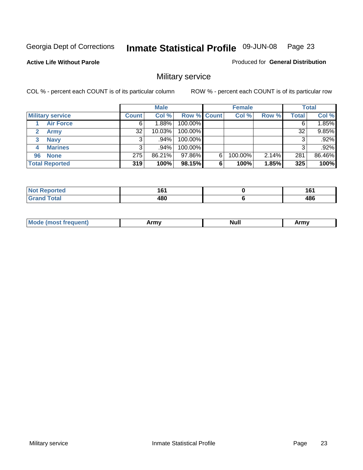**Active Life Without Parole** 

Produced for **General Distribution**

### Military service

|                         |              | <b>Male</b> |                    |   | <b>Female</b> |          |       | <b>Total</b> |
|-------------------------|--------------|-------------|--------------------|---|---------------|----------|-------|--------------|
| <b>Military service</b> | <b>Count</b> | Col %       | <b>Row % Count</b> |   | Col %         | Row %    | Total | Col %        |
| <b>Air Force</b>        | 6            | 1.88%       | 100.00%            |   |               |          |       | 1.85%        |
| <b>Army</b>             | 32           | 10.03%      | 100.00%            |   |               |          | 32    | 9.85%        |
| <b>Navy</b><br>3        |              | $.94\%$     | 100.00%            |   |               |          |       | $.92\%$      |
| <b>Marines</b><br>4     | 3            | .94%        | 100.00%            |   |               |          | 3     | .92%         |
| 96 None                 | 275          | 86.21%      | 97.86%             | 6 | 100.00%       | $2.14\%$ | 281   | 86.46%       |
| <b>Total Reported</b>   | 319          | 100%        | 98.15%             | 6 | 100%          | 1.85%    | 325   | 100%         |

| <b>orted</b> | .<br>. .<br>__ | 4 C 4<br>ιv<br>$\sim$ |
|--------------|----------------|-----------------------|
| Coto!        | 400<br>rov     | 486                   |

| M<br><b>IVUII</b><br>.<br>. |
|-----------------------------|
|-----------------------------|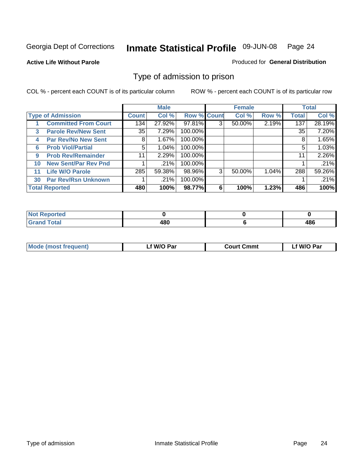#### **Active Life Without Parole**

#### Produced for **General Distribution**

#### Type of admission to prison

|    |                             |              | <b>Male</b> |                    |   | <b>Female</b> |       |              | <b>Total</b> |
|----|-----------------------------|--------------|-------------|--------------------|---|---------------|-------|--------------|--------------|
|    | <b>Type of Admission</b>    | <b>Count</b> | Col %       | <b>Row % Count</b> |   | Col %         | Row % | <b>Total</b> | Col %        |
|    | <b>Committed From Court</b> | 134          | 27.92%      | 97.81%             | 3 | $50.00\%$     | 2.19% | 137          | 28.19%       |
| 3  | <b>Parole Rev/New Sent</b>  | 35           | 7.29%       | 100.00%            |   |               |       | 35           | 7.20%        |
| 4  | <b>Par Rev/No New Sent</b>  | 8            | 1.67%       | 100.00%            |   |               |       | 8            | 1.65%        |
| 6  | <b>Prob Viol/Partial</b>    | 5            | 1.04%       | 100.00%            |   |               |       | 5            | 1.03%        |
| 9  | <b>Prob Rev/Remainder</b>   | 11           | 2.29%       | 100.00%            |   |               |       | 11           | 2.26%        |
| 10 | <b>New Sent/Par Rev Pnd</b> |              | .21%        | 100.00%            |   |               |       |              | .21%         |
| 11 | <b>Life W/O Parole</b>      | 285          | 59.38%      | 98.96%             | 3 | 50.00%        | 1.04% | 288          | 59.26%       |
| 30 | <b>Par Rev/Rsn Unknown</b>  |              | .21%        | 100.00%            |   |               |       |              | .21%         |
|    | <b>Total Reported</b>       | 480          | 100%        | 98.77%             | 6 | 100%          | 1.23% | 486          | 100%         |

| eported<br>מ מ                 |     |            |
|--------------------------------|-----|------------|
| <b>Total</b><br>C-rs<br>$\sim$ | ៱៱៱ | 400<br>40L |

| <b>Mode (most frequent)</b> | <b>W/O Par</b> | <b>Court Cmmt</b> | M/O Par |
|-----------------------------|----------------|-------------------|---------|
|                             |                |                   |         |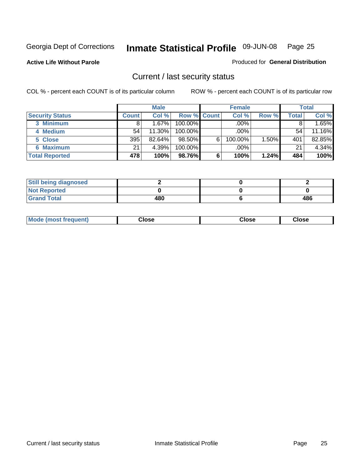**Active Life Without Parole** 

Produced for **General Distribution**

#### Current / last security status

|                        |              | <b>Male</b> |                    |   | <b>Female</b> |       |       | <b>Total</b> |
|------------------------|--------------|-------------|--------------------|---|---------------|-------|-------|--------------|
| <b>Security Status</b> | <b>Count</b> | Col %       | <b>Row % Count</b> |   | Col %         | Row % | Total | Col %        |
| 3 Minimum              |              | 1.67%       | $100.00\%$         |   | .00%          |       |       | 1.65%        |
| 4 Medium               | 54           | 11.30%      | $100.00\%$         |   | $.00\%$       |       | 54    | 11.16%       |
| 5 Close                | 395          | $82.64\%$   | $98.50\%$          | 6 | 100.00%       | 1.50% | 401   | 82.85%       |
| 6 Maximum              | 21           | 4.39%       | 100.00%            |   | .00%          |       | 21    | 4.34%        |
| <b>Total Reported</b>  | 478          | 100%        | 98.76%             | 6 | 100%          | 1.24% | 484   | 100%         |

| <b>Still being diagnosed</b> |     |     |
|------------------------------|-----|-----|
| <b>Not Reported</b>          |     |     |
| <b>Grand Total</b>           | 480 | 486 |

|  | Mo<br>frequent)<br>ww | Close<br>. | ાose<br>. | <b>OSE</b><br>. |
|--|-----------------------|------------|-----------|-----------------|
|--|-----------------------|------------|-----------|-----------------|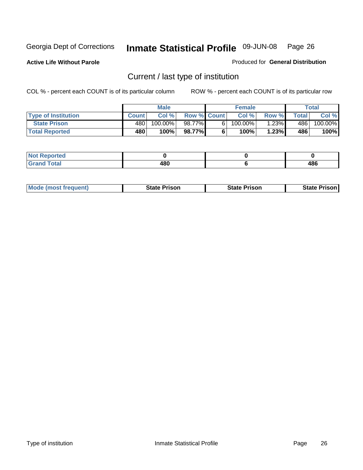**Active Life Without Parole** 

Produced for **General Distribution**

### Current / last type of institution

|                            |              | <b>Male</b> |                    | <b>Female</b> |        |        | Total   |
|----------------------------|--------------|-------------|--------------------|---------------|--------|--------|---------|
| <b>Type of Institution</b> | <b>Count</b> | Col%        | <b>Row % Count</b> | Col %         | Row %I | Totall | Col %   |
| <b>State Prison</b>        | 480          | 100.00%     | 98.77%             | $100.00\%$    | 1.23%  | 486    | 100.00% |
| <b>Total Reported</b>      | 480          | 100%        | 98.77%             | $100\%$       | 1.23%  | 486    | 100%    |

| <b>rted</b><br>$\sim$ |                 |     |
|-----------------------|-----------------|-----|
| $\sim$<br>$rac{1}{2}$ | 400<br>юı<br>__ | 486 |

|  | <b>Mode (most frequent)</b> | State Prison | <b>State Prison</b> | <b>State Prison</b> |
|--|-----------------------------|--------------|---------------------|---------------------|
|--|-----------------------------|--------------|---------------------|---------------------|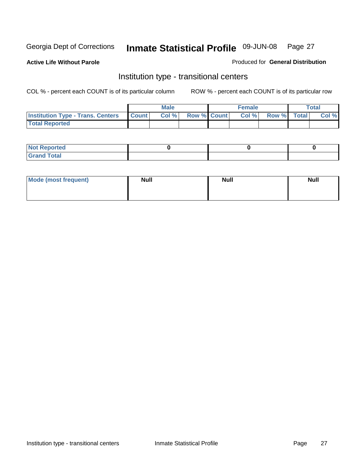**Active Life Without Parole** 

Produced for **General Distribution**

#### Institution type - transitional centers

|                                          |              | <b>Male</b> |                    | <b>Female</b> |             | <b>Total</b> |
|------------------------------------------|--------------|-------------|--------------------|---------------|-------------|--------------|
| <b>Institution Type - Trans. Centers</b> | <b>Count</b> | Col %       | <b>Row % Count</b> | Col %         | Row % Total | Col %        |
| <b>Total Reported</b>                    |              |             |                    |               |             |              |

| <b>Not Reported</b>             |  |  |
|---------------------------------|--|--|
| Cotal<br>Cror<br>. <del>.</del> |  |  |

| Mode (most frequent) | <b>Null</b> | <b>Null</b> | <b>Null</b> |
|----------------------|-------------|-------------|-------------|
|                      |             |             |             |
|                      |             |             |             |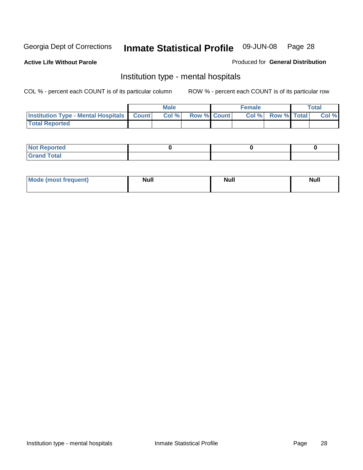**Active Life Without Parole** 

Produced for **General Distribution**

#### Institution type - mental hospitals

|                                                    | Male |                    | <b>Female</b> |                    | <b>Total</b> |
|----------------------------------------------------|------|--------------------|---------------|--------------------|--------------|
| <b>Institution Type - Mental Hospitals Count  </b> | Col% | <b>Row % Count</b> | Col%          | <b>Row % Total</b> | Col %        |
| <b>Total Reported</b>                              |      |                    |               |                    |              |

| <b>Not Reported</b> |  |  |
|---------------------|--|--|
| <b>Fotal</b><br>Cro |  |  |

| Mode (most frequent) | <b>Null</b> | <b>Null</b> | <b>Null</b> |
|----------------------|-------------|-------------|-------------|
|                      |             |             |             |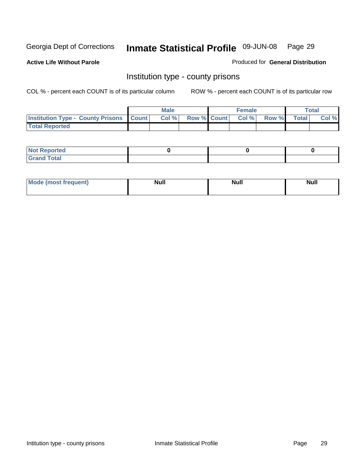**Active Life Without Parole** 

Produced for **General Distribution**

#### Institution type - county prisons

|                                                    | <b>Male</b> |  | <b>Female</b>            |              |              | Total |
|----------------------------------------------------|-------------|--|--------------------------|--------------|--------------|-------|
| <b>Institution Type - County Prisons   Count  </b> | Col %       |  | <b>Row % Count Col %</b> | <b>Row %</b> | <b>Total</b> | Col % |
| <b>Total Reported</b>                              |             |  |                          |              |              |       |

| <b>Not Reported</b>        |  |  |
|----------------------------|--|--|
| <b>Total</b><br>.Grar<br>_ |  |  |

| <b>Mo</b><br>frequent) | NI. . II<br>1u 11 | <b>Moll</b> | <b>Null</b> |
|------------------------|-------------------|-------------|-------------|
|                        |                   |             |             |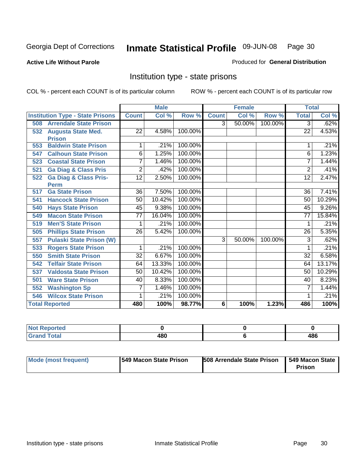**Active Life Without Parole** 

Produced for **General Distribution**

#### Institution type - state prisons

|     |                                         |                 | <b>Male</b> |         |              | <b>Female</b> |         | <b>Total</b>    |        |
|-----|-----------------------------------------|-----------------|-------------|---------|--------------|---------------|---------|-----------------|--------|
|     | <b>Institution Type - State Prisons</b> | <b>Count</b>    | Col %       | Row %   | <b>Count</b> | Col %         | Row %   | <b>Total</b>    | Col %  |
| 508 | <b>Arrendale State Prison</b>           |                 |             |         | 3            | 50.00%        | 100.00% | 3               | .62%   |
| 532 | <b>Augusta State Med.</b>               | 22              | 4.58%       | 100.00% |              |               |         | 22              | 4.53%  |
|     | <b>Prison</b>                           |                 |             |         |              |               |         |                 |        |
| 553 | <b>Baldwin State Prison</b>             |                 | .21%        | 100.00% |              |               |         |                 | .21%   |
| 547 | <b>Calhoun State Prison</b>             | 6               | 1.25%       | 100.00% |              |               |         | 6               | 1.23%  |
| 523 | <b>Coastal State Prison</b>             | 7               | 1.46%       | 100.00% |              |               |         | 7               | 1.44%  |
| 521 | <b>Ga Diag &amp; Class Pris</b>         | $\overline{2}$  | .42%        | 100.00% |              |               |         | $\overline{2}$  | .41%   |
| 522 | <b>Ga Diag &amp; Class Pris-</b>        | 12              | 2.50%       | 100.00% |              |               |         | 12              | 2.47%  |
|     | <b>Perm</b>                             |                 |             |         |              |               |         |                 |        |
| 517 | <b>Ga State Prison</b>                  | 36              | 7.50%       | 100.00% |              |               |         | $\overline{36}$ | 7.41%  |
| 541 | <b>Hancock State Prison</b>             | 50              | 10.42%      | 100.00% |              |               |         | 50              | 10.29% |
| 540 | <b>Hays State Prison</b>                | 45              | 9.38%       | 100.00% |              |               |         | 45              | 9.26%  |
| 549 | <b>Macon State Prison</b>               | $\overline{77}$ | 16.04%      | 100.00% |              |               |         | $\overline{77}$ | 15.84% |
| 519 | <b>Men'S State Prison</b>               | 1               | .21%        | 100.00% |              |               |         | 1               | .21%   |
| 505 | <b>Phillips State Prison</b>            | 26              | 5.42%       | 100.00% |              |               |         | 26              | 5.35%  |
| 557 | <b>Pulaski State Prison (W)</b>         |                 |             |         | 3            | 50.00%        | 100.00% | 3               | .62%   |
| 533 | <b>Rogers State Prison</b>              | 1               | .21%        | 100.00% |              |               |         |                 | .21%   |
| 550 | <b>Smith State Prison</b>               | $\overline{32}$ | 6.67%       | 100.00% |              |               |         | 32              | 6.58%  |
| 542 | <b>Telfair State Prison</b>             | 64              | 13.33%      | 100.00% |              |               |         | 64              | 13.17% |
| 537 | <b>Valdosta State Prison</b>            | 50              | 10.42%      | 100.00% |              |               |         | 50              | 10.29% |
| 501 | <b>Ware State Prison</b>                | 40              | 8.33%       | 100.00% |              |               |         | 40              | 8.23%  |
| 552 | <b>Washington Sp</b>                    | 7               | 1.46%       | 100.00% |              |               |         | 7               | 1.44%  |
| 546 | <b>Wilcox State Prison</b>              |                 | .21%        | 100.00% |              |               |         |                 | .21%   |
|     | <b>Total Reported</b>                   | 480             | 100%        | 98.77%  | 6            | 100%          | 1.23%   | 486             | 100%   |

| . Reported<br> |     |     |
|----------------|-----|-----|
| <b>Total</b>   | 480 | 486 |

| Mode (most frequent) | <b>1549 Macon State Prison</b> | <b>508 Arrendale State Prison</b> | 1549 Macon State 1<br><b>Prison</b> |
|----------------------|--------------------------------|-----------------------------------|-------------------------------------|
|----------------------|--------------------------------|-----------------------------------|-------------------------------------|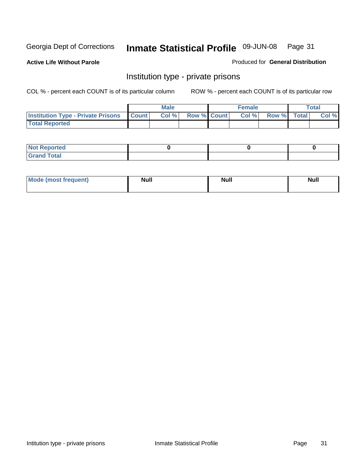**Active Life Without Parole** 

Produced for **General Distribution**

#### Institution type - private prisons

|                                                     | <b>Male</b> |                    | <b>Female</b> |             | Total |
|-----------------------------------------------------|-------------|--------------------|---------------|-------------|-------|
| <b>Institution Type - Private Prisons   Count  </b> | Col %       | <b>Row % Count</b> | Col %         | Row % Total | Col % |
| <b>Total Reported</b>                               |             |                    |               |             |       |

| <b>Not Reported</b>        |  |  |
|----------------------------|--|--|
| <b>otal</b><br>. Gror<br>. |  |  |

| Mode (most frequent) | <b>Null</b> | <b>Null</b> | <b>Null</b> |
|----------------------|-------------|-------------|-------------|
|                      |             |             |             |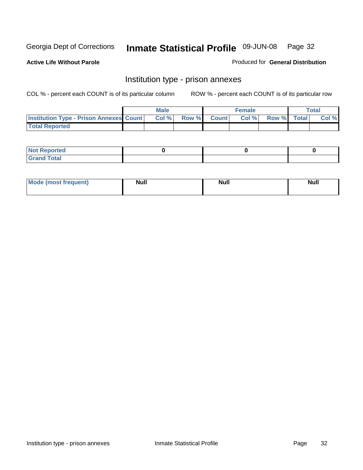**Active Life Without Parole** 

Produced for **General Distribution**

#### Institution type - prison annexes

|                                                | <b>Male</b> |       |              | <b>Female</b> |             | <b>Total</b> |
|------------------------------------------------|-------------|-------|--------------|---------------|-------------|--------------|
| <b>Institution Type - Prison Annexes Count</b> | Col %       | Row % | <b>Count</b> | Col %         | Row % Total | Col %        |
| <b>Total Reported</b>                          |             |       |              |               |             |              |

| <b>Not Reported</b>            |  |  |
|--------------------------------|--|--|
| <b>Total</b><br>Croi<br>$\sim$ |  |  |

| <b>Mode (most frequent)</b> | <b>Null</b> | <b>Null</b> | <b>Null</b> |
|-----------------------------|-------------|-------------|-------------|
|                             |             |             |             |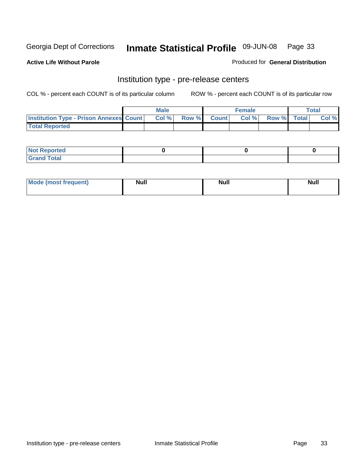**Active Life Without Parole** 

Produced for **General Distribution**

#### Institution type - pre-release centers

|                                                | <b>Male</b> |       |              | Female |             | <b>Total</b> |
|------------------------------------------------|-------------|-------|--------------|--------|-------------|--------------|
| <b>Institution Type - Prison Annexes Count</b> | Col %       | Row % | <b>Count</b> | Col %  | Row % Total | Col %        |
| <b>Total Reported</b>                          |             |       |              |        |             |              |

| <b>Not</b><br><b>Reported</b>    |  |  |
|----------------------------------|--|--|
| <b>Total</b><br>Gran<br>$\sim$ . |  |  |

| Mode (most frequent) | <b>Null</b> | <b>Null</b><br>_____ | <b>Null</b> |
|----------------------|-------------|----------------------|-------------|
|                      |             |                      |             |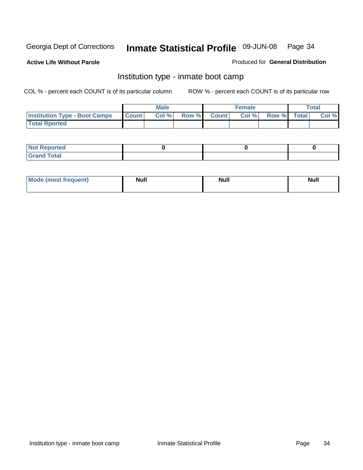**Active Life Without Parole** 

Produced for **General Distribution**

#### Institution type - inmate boot camp

|                                      |              | Male  |             | <b>Female</b> |             | <b>Total</b> |
|--------------------------------------|--------------|-------|-------------|---------------|-------------|--------------|
| <b>Institution Type - Boot Camps</b> | <b>Count</b> | Col % | Row % Count | Col%          | Row % Total | Col %        |
| <b>Total Rported</b>                 |              |       |             |               |             |              |

| <b>Not Reported</b>  |  |  |
|----------------------|--|--|
| <b>Total</b><br>Croy |  |  |

| Mode (most frequent) | <b>Null</b> | <b>Null</b> | <b>Null</b> |
|----------------------|-------------|-------------|-------------|
|                      |             |             |             |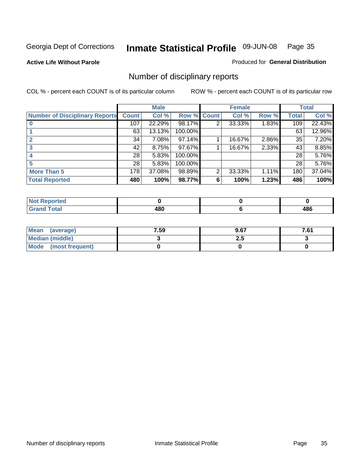**Active Life Without Parole** 

Produced for **General Distribution**

### Number of disciplinary reports

|                                       |              | <b>Male</b> |             |   | <b>Female</b> |       |              | <b>Total</b> |
|---------------------------------------|--------------|-------------|-------------|---|---------------|-------|--------------|--------------|
| <b>Number of Disciplinary Reports</b> | <b>Count</b> | Col %       | Row % Count |   | Col %         | Row % | <b>Total</b> | Col %        |
|                                       | 107          | 22.29%      | 98.17%      | 2 | 33.33%        | 1.83% | 109          | 22.43%       |
|                                       | 63           | 13.13%      | 100.00%     |   |               |       | 63           | 12.96%       |
|                                       | 34           | 7.08%       | 97.14%      |   | 16.67%        | 2.86% | 35           | 7.20%        |
|                                       | 42           | 8.75%       | 97.67%      |   | 16.67%        | 2.33% | 43           | 8.85%        |
|                                       | 28           | 5.83%       | 100.00%     |   |               |       | 28           | 5.76%        |
|                                       | 28           | 5.83%       | 100.00%     |   |               |       | 28           | 5.76%        |
| <b>More Than 5</b>                    | 178          | 37.08%      | 98.89%      | 2 | 33.33%        | 1.11% | 180          | 37.04%       |
| <b>Total Reported</b>                 | 480          | 100%        | 98.77%      | 6 | 100%          | 1.23% | 486          | 100%         |

| .<br>N<br>тес  |                   |                  |
|----------------|-------------------|------------------|
| T <sub>1</sub> | ោក<br>tul<br>$ -$ | 0c<br>rvu<br>- - |

| Mean (average)       | 7.59 | 9.67 | 7.61 |
|----------------------|------|------|------|
| Median (middle)      |      | 2.J  |      |
| Mode (most frequent) |      |      |      |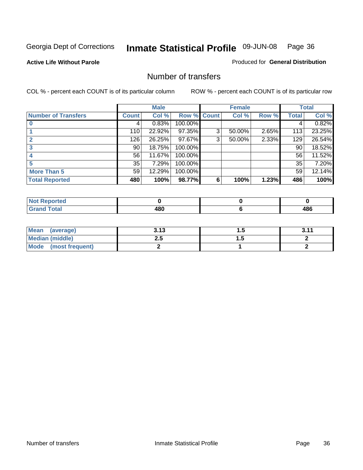#### **Active Life Without Parole**

#### Produced for **General Distribution**

#### Number of transfers

|                            |         | <b>Male</b> |         |              | <b>Female</b> |       |              | <b>Total</b> |
|----------------------------|---------|-------------|---------|--------------|---------------|-------|--------------|--------------|
| <b>Number of Transfers</b> | Count l | Col %       | Row %   | <b>Count</b> | Col %         | Row % | <b>Total</b> | Col %        |
|                            | 4       | 0.83%       | 100.00% |              |               |       | 4            | 0.82%        |
|                            | 110     | 22.92%      | 97.35%  | 3            | 50.00%        | 2.65% | 113          | 23.25%       |
| $\mathbf{c}$               | 126     | 26.25%      | 97.67%  | 3            | 50.00%        | 2.33% | 129          | 26.54%       |
| 3                          | 90      | 18.75%      | 100.00% |              |               |       | 90           | 18.52%       |
|                            | 56      | 11.67%      | 100.00% |              |               |       | 56           | 11.52%       |
|                            | 35      | 7.29%       | 100.00% |              |               |       | 35           | 7.20%        |
| <b>More Than 5</b>         | 59      | 12.29%      | 100.00% |              |               |       | 59           | 12.14%       |
| <b>Total Reported</b>      | 480     | 100%        | 98.77%  | 6            | 100%          | 1.23% | 486          | 100%         |

| N<br>тео  |                     |            |
|-----------|---------------------|------------|
| $\sim$ 10 | 100<br>ruw<br>$  -$ | AOC<br>100 |

| Mean (average)       | ? 1?<br>J. IJ |   | 3.11 |
|----------------------|---------------|---|------|
| Median (middle)      | 2.J           | . |      |
| Mode (most frequent) |               |   |      |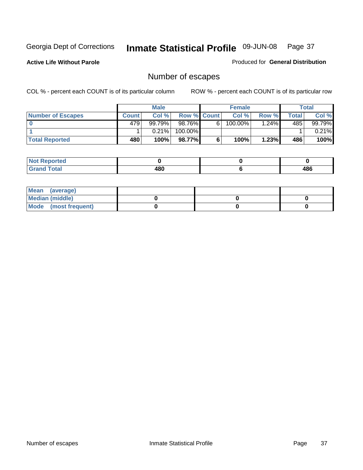**Active Life Without Parole** 

Produced for **General Distribution**

# Number of escapes

|                          |              | <b>Male</b> |                    |   | <b>Female</b> |         |       | <b>Total</b> |
|--------------------------|--------------|-------------|--------------------|---|---------------|---------|-------|--------------|
| <b>Number of Escapes</b> | <b>Count</b> | Col %       | <b>Row % Count</b> |   | Col %         | Row %I  | Total | Col %        |
|                          | 479'         | 99.79%      | 98.76%             | 6 | 100.00%       | $.24\%$ | 485   | 99.79%       |
|                          |              | 0.21%       | 100.00%            |   |               |         |       | $0.21\%$     |
| <b>Total Reported</b>    | 480          | 100%        | 98.77%             |   | 100%          | 1.23%   | 486   | 100%         |

| neo                             |          |     |
|---------------------------------|----------|-----|
| <b>otal</b><br>$\mathbf{v}$ and | 48C<br>w | 486 |

| Mean (average)       |  |  |
|----------------------|--|--|
| Median (middle)      |  |  |
| Mode (most frequent) |  |  |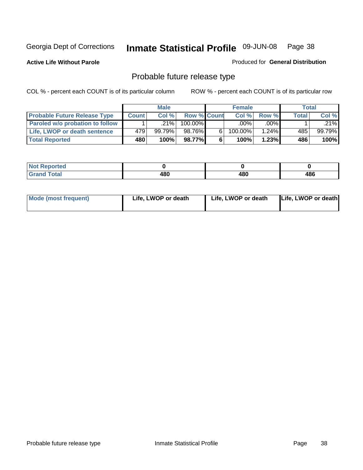**Active Life Without Parole** 

Produced for **General Distribution**

# Probable future release type

|                                     |              | <b>Male</b> |                    |   | <b>Female</b> |          |       | Total  |
|-------------------------------------|--------------|-------------|--------------------|---|---------------|----------|-------|--------|
| <b>Probable Future Release Type</b> | <b>Count</b> | Col%        | <b>Row % Count</b> |   | Col%          | Row %    | Total | Col %  |
| Paroled w/o probation to follow     |              | $.21\%$     | 100.00%            |   | $.00\%$       | $.00\%$  |       | .21%   |
| Life, LWOP or death sentence        | 479          | 99.79%      | 98.76%             | 6 | 100.00%       | $1.24\%$ | 485   | 99.79% |
| <b>Total Reported</b>               | 480          | 100%        | 98.77%             | 6 | 100%          | 1.23%    | 486   | 100%   |

| <b>rted</b><br>. |     |     |     |
|------------------|-----|-----|-----|
| <b>otal</b>      | 480 | 480 | 486 |

| <b>Mode (most frequent)</b> | Life, LWOP or death | Life, LWOP or death | Life, LWOP or death |
|-----------------------------|---------------------|---------------------|---------------------|
|                             |                     |                     |                     |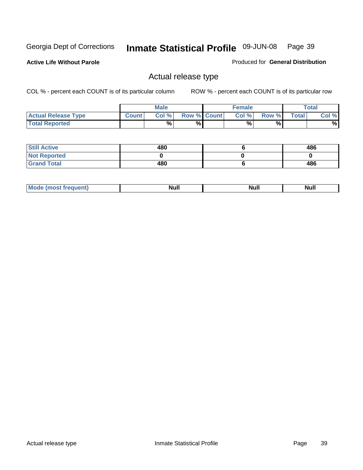**Active Life Without Parole** 

Produced for **General Distribution**

## Actual release type

|                            |              | <b>Male</b> |                    | <b>Female</b> |        |       | Total |
|----------------------------|--------------|-------------|--------------------|---------------|--------|-------|-------|
| <b>Actual Release Type</b> | <b>Count</b> | Col %       | <b>Row % Count</b> | Col %         | Row %I | Total | Col % |
| <b>Total Reported</b>      |              | $\%$        | %                  | %             | %      |       | %     |

| <b>Still Active</b> | 480 | 486 |
|---------------------|-----|-----|
| <b>Not Reported</b> |     |     |
| <b>Grand Total</b>  | 480 | 486 |

| . | . | ------ |
|---|---|--------|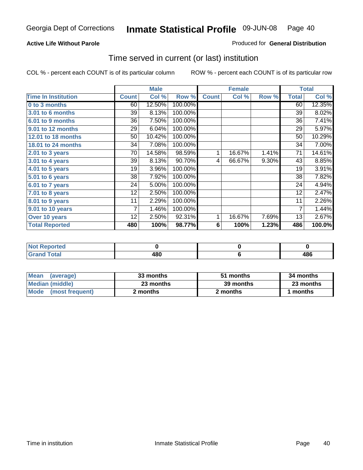#### **Active Life Without Parole**

#### Produced for **General Distribution**

## Time served in current (or last) institution

|                            |              | <b>Male</b> |         |              | <b>Female</b> |       |                | <b>Total</b> |
|----------------------------|--------------|-------------|---------|--------------|---------------|-------|----------------|--------------|
| <b>Time In Institution</b> | <b>Count</b> | Col %       | Row %   | <b>Count</b> | Col %         | Row % | <b>Total</b>   | Col %        |
| 0 to 3 months              | 60           | 12.50%      | 100.00% |              |               |       | 60             | 12.35%       |
| 3.01 to 6 months           | 39           | 8.13%       | 100.00% |              |               |       | 39             | 8.02%        |
| 6.01 to 9 months           | 36           | 7.50%       | 100.00% |              |               |       | 36             | 7.41%        |
| 9.01 to 12 months          | 29           | 6.04%       | 100.00% |              |               |       | 29             | 5.97%        |
| 12.01 to 18 months         | 50           | 10.42%      | 100.00% |              |               |       | 50             | 10.29%       |
| 18.01 to 24 months         | 34           | 7.08%       | 100.00% |              |               |       | 34             | 7.00%        |
| 2.01 to 3 years            | 70           | 14.58%      | 98.59%  | 1            | 16.67%        | 1.41% | 71             | 14.61%       |
| $3.01$ to 4 years          | 39           | 8.13%       | 90.70%  | 4            | 66.67%        | 9.30% | 43             | 8.85%        |
| 4.01 to 5 years            | 19           | 3.96%       | 100.00% |              |               |       | 19             | 3.91%        |
| 5.01 to 6 years            | 38           | 7.92%       | 100.00% |              |               |       | 38             | 7.82%        |
| 6.01 to 7 years            | 24           | 5.00%       | 100.00% |              |               |       | 24             | 4.94%        |
| 7.01 to 8 years            | 12           | 2.50%       | 100.00% |              |               |       | 12             | 2.47%        |
| 8.01 to 9 years            | 11           | 2.29%       | 100.00% |              |               |       | 11             | 2.26%        |
| 9.01 to 10 years           | 7            | 1.46%       | 100.00% |              |               |       | $\overline{7}$ | 1.44%        |
| Over 10 years              | 12           | 2.50%       | 92.31%  | 1            | 16.67%        | 7.69% | 13             | 2.67%        |
| <b>Total Reported</b>      | 480          | 100%        | 98.77%  | 6            | 100%          | 1.23% | 486            | 100.0%       |

| <b>eported</b><br>NOT. |     |            |
|------------------------|-----|------------|
| <b>Total</b>           | 480 | 10C<br>+OO |

| <b>Mean</b><br>(average) | 33 months | 51 months | 34 months |  |
|--------------------------|-----------|-----------|-----------|--|
| Median (middle)          | 23 months | 39 months | 23 months |  |
| Mode (most frequent)     | 2 months  | 2 months  | months    |  |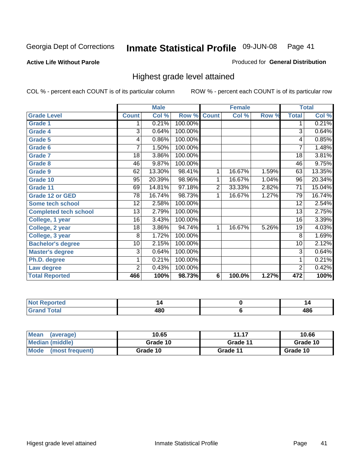**Active Life Without Parole** 

Produced for **General Distribution**

## Highest grade level attained

|                              |                | <b>Male</b> |         |                | <b>Female</b> |       |                 | <b>Total</b> |
|------------------------------|----------------|-------------|---------|----------------|---------------|-------|-----------------|--------------|
| <b>Grade Level</b>           | <b>Count</b>   | Col %       | Row %   | <b>Count</b>   | Col %         | Row % | <b>Total</b>    | Col %        |
| <b>Grade 1</b>               | 1              | 0.21%       | 100.00% |                |               |       | 1               | 0.21%        |
| <b>Grade 4</b>               | 3              | 0.64%       | 100.00% |                |               |       | $\overline{3}$  | 0.64%        |
| Grade 5                      | 4              | 0.86%       | 100.00% |                |               |       | 4               | 0.85%        |
| Grade 6                      | 7              | 1.50%       | 100.00% |                |               |       | $\overline{7}$  | 1.48%        |
| <b>Grade 7</b>               | 18             | 3.86%       | 100.00% |                |               |       | $\overline{18}$ | 3.81%        |
| <b>Grade 8</b>               | 46             | 9.87%       | 100.00% |                |               |       | 46              | 9.75%        |
| <b>Grade 9</b>               | 62             | 13.30%      | 98.41%  | 1              | 16.67%        | 1.59% | 63              | 13.35%       |
| Grade 10                     | 95             | 20.39%      | 98.96%  | 1              | 16.67%        | 1.04% | 96              | 20.34%       |
| Grade 11                     | 69             | 14.81%      | 97.18%  | $\overline{2}$ | 33.33%        | 2.82% | 71              | 15.04%       |
| <b>Grade 12 or GED</b>       | 78             | 16.74%      | 98.73%  | 1              | 16.67%        | 1.27% | 79              | 16.74%       |
| <b>Some tech school</b>      | 12             | 2.58%       | 100.00% |                |               |       | 12              | 2.54%        |
| <b>Completed tech school</b> | 13             | 2.79%       | 100.00% |                |               |       | 13              | 2.75%        |
| College, 1 year              | 16             | 3.43%       | 100.00% |                |               |       | 16              | 3.39%        |
| College, 2 year              | 18             | 3.86%       | 94.74%  | 1              | 16.67%        | 5.26% | 19              | 4.03%        |
| College, 3 year              | 8              | 1.72%       | 100.00% |                |               |       | 8               | 1.69%        |
| <b>Bachelor's degree</b>     | 10             | 2.15%       | 100.00% |                |               |       | 10              | 2.12%        |
| <b>Master's degree</b>       | 3              | 0.64%       | 100.00% |                |               |       | 3               | 0.64%        |
| Ph.D. degree                 | 1              | 0.21%       | 100.00% |                |               |       | 1               | 0.21%        |
| Law degree                   | $\overline{2}$ | 0.43%       | 100.00% |                |               |       | $\overline{2}$  | 0.42%        |
| <b>Total Reported</b>        | 466            | 100%        | 98.73%  | 6              | 100.0%        | 1.27% | 472             | 100%         |

| الدرجية.<br>τeα<br>N0<br>. | 4          |            |
|----------------------------|------------|------------|
| <b>Coto</b> "              | ៱៰៱<br>40U | 10C<br>400 |

| <b>Mean</b><br>(average)       | 10.65    | 11.17    | 10.66    |
|--------------------------------|----------|----------|----------|
| Median (middle)                | Grade 10 | Grade 11 | Grade 10 |
| <b>Mode</b><br>(most frequent) | Grade 10 | Grade 11 | Grade 10 |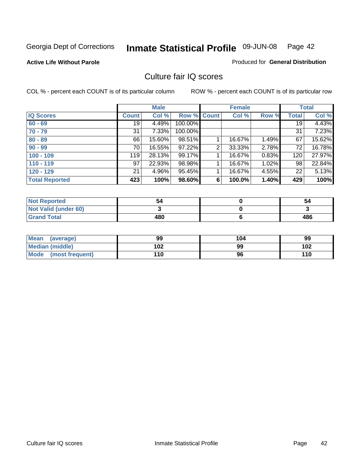**Active Life Without Parole** 

Produced for **General Distribution**

## Culture fair IQ scores

|                       |              | <b>Male</b> |             |   | <b>Female</b> |          |              | <b>Total</b> |
|-----------------------|--------------|-------------|-------------|---|---------------|----------|--------------|--------------|
| <b>IQ Scores</b>      | <b>Count</b> | Col %       | Row % Count |   | Col %         | Row %    | <b>Total</b> | Col %        |
| $60 - 69$             | 19           | 4.49%       | 100.00%     |   |               |          | 19           | 4.43%        |
| $70 - 79$             | 31           | 7.33%       | 100.00%     |   |               |          | 31           | 7.23%        |
| $80 - 89$             | 66           | 15.60%      | 98.51%      |   | 16.67%        | $1.49\%$ | 67           | 15.62%       |
| $90 - 99$             | 70           | 16.55%      | 97.22%      | 2 | 33.33%        | 2.78%    | 72           | 16.78%       |
| $100 - 109$           | 119          | 28.13%      | 99.17%      |   | 16.67%        | 0.83%    | 120          | 27.97%       |
| $110 - 119$           | 97           | 22.93%      | 98.98%      |   | 16.67%        | 1.02%    | 98           | 22.84%       |
| $120 - 129$           | 21           | 4.96%       | 95.45%      |   | 16.67%        | 4.55%    | 22           | 5.13%        |
| <b>Total Reported</b> | 423          | 100%        | 98.60%      | 6 | 100.0%        | 1.40%    | 429          | 100%         |

| <b>Not Reported</b>         | 54  | 54  |
|-----------------------------|-----|-----|
| <b>Not Valid (under 60)</b> |     |     |
| <b>Grand Total</b>          | 480 | 486 |

| <b>Mean</b><br>(average)       | 99  | 104 | 99  |
|--------------------------------|-----|-----|-----|
| <b>Median (middle)</b>         | 102 | 99  | 102 |
| <b>Mode</b><br>(most frequent) | 110 | 96  | 110 |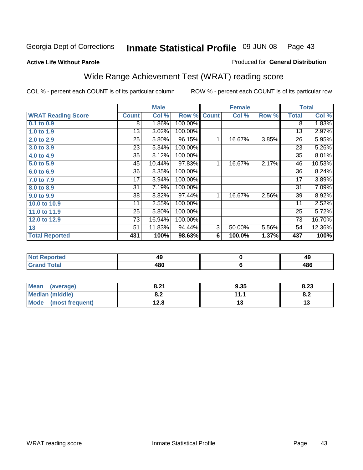#### **Active Life Without Parole**

#### Produced for **General Distribution**

# Wide Range Achievement Test (WRAT) reading score

|                           |              | <b>Male</b> |         |              | <b>Female</b> |       |              | <b>Total</b> |
|---------------------------|--------------|-------------|---------|--------------|---------------|-------|--------------|--------------|
| <b>WRAT Reading Score</b> | <b>Count</b> | Col %       | Row %   | <b>Count</b> | Col %         | Row % | <b>Total</b> | Col %        |
| 0.1 to 0.9                | 8            | 1.86%       | 100.00% |              |               |       | 8            | 1.83%        |
| 1.0 to 1.9                | 13           | 3.02%       | 100.00% |              |               |       | 13           | 2.97%        |
| 2.0 to 2.9                | 25           | 5.80%       | 96.15%  | 1            | 16.67%        | 3.85% | 26           | 5.95%        |
| 3.0 to 3.9                | 23           | 5.34%       | 100.00% |              |               |       | 23           | 5.26%        |
| 4.0 to 4.9                | 35           | 8.12%       | 100.00% |              |               |       | 35           | 8.01%        |
| 5.0 to 5.9                | 45           | 10.44%      | 97.83%  | 1            | 16.67%        | 2.17% | 46           | 10.53%       |
| 6.0 to 6.9                | 36           | 8.35%       | 100.00% |              |               |       | 36           | 8.24%        |
| 7.0 to 7.9                | 17           | 3.94%       | 100.00% |              |               |       | 17           | 3.89%        |
| 8.0 to 8.9                | 31           | 7.19%       | 100.00% |              |               |       | 31           | 7.09%        |
| 9.0 to 9.9                | 38           | 8.82%       | 97.44%  | 1            | 16.67%        | 2.56% | 39           | 8.92%        |
| 10.0 to 10.9              | 11           | 2.55%       | 100.00% |              |               |       | 11           | 2.52%        |
| 11.0 to 11.9              | 25           | 5.80%       | 100.00% |              |               |       | 25           | 5.72%        |
| 12.0 to 12.9              | 73           | 16.94%      | 100.00% |              |               |       | 73           | 16.70%       |
| 13                        | 51           | 11.83%      | 94.44%  | 3            | 50.00%        | 5.56% | 54           | 12.36%       |
| <b>Total Reported</b>     | 431          | 100%        | 98.63%  | 6            | 100.0%        | 1.37% | 437          | 100%         |
|                           |              |             |         |              |               |       |              |              |
| <b>Not Reported</b>       |              | 49          |         |              | $\pmb{0}$     |       |              | 49           |
| <b>Grand Total</b>        |              | 480         |         |              | $\bf 6$       |       |              | 486          |

| Mean<br>(average)              | 8.21       | 9.35 | 8.23                          |
|--------------------------------|------------|------|-------------------------------|
| Median (middle)                | 0 מ<br>0.Z | 444  | $\mathbf{0} \cdot \mathbf{L}$ |
| <b>Mode</b><br>(most frequent) | 12.8       | IJ   |                               |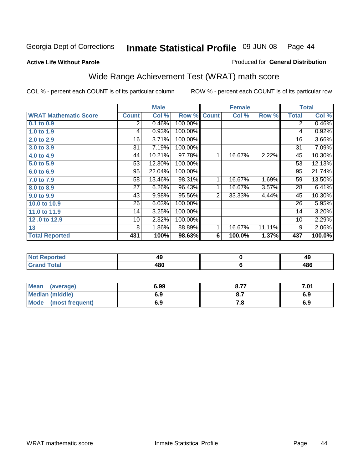#### **Active Life Without Parole**

#### Produced for **General Distribution**

# Wide Range Achievement Test (WRAT) math score

|                              |              | <b>Male</b>                              |         |                | <b>Female</b> |        |              | <b>Total</b> |
|------------------------------|--------------|------------------------------------------|---------|----------------|---------------|--------|--------------|--------------|
| <b>WRAT Mathematic Score</b> | <b>Count</b> | Col %                                    | Row %   | <b>Count</b>   | Col %         | Row %  | <b>Total</b> | Col %        |
| $0.1$ to 0.9                 | 2            | 0.46%                                    | 100.00% |                |               |        | 2            | 0.46%        |
| 1.0 to 1.9                   | 4            | 0.93%                                    | 100.00% |                |               |        | 4            | 0.92%        |
| 2.0 to 2.9                   | 16           | 3.71%                                    | 100.00% |                |               |        | 16           | 3.66%        |
| 3.0 to 3.9                   | 31           | 7.19%                                    | 100.00% |                |               |        | 31           | 7.09%        |
| 4.0 to 4.9                   | 44           | 10.21%                                   | 97.78%  | 1              | 16.67%        | 2.22%  | 45           | 10.30%       |
| 5.0 to 5.9                   | 53           | 12.30%                                   | 100.00% |                |               |        | 53           | 12.13%       |
| 6.0 to 6.9                   | 95           | 22.04%                                   | 100.00% |                |               |        | 95           | 21.74%       |
| 7.0 to 7.9                   | 58           | 13.46%                                   | 98.31%  | 1              | 16.67%        | 1.69%  | 59           | 13.50%       |
| 8.0 to 8.9                   | 27           | 6.26%                                    | 96.43%  | 1              | 16.67%        | 3.57%  | 28           | 6.41%        |
| 9.0 to 9.9                   | 43           | 9.98%                                    | 95.56%  | $\overline{2}$ | 33.33%        | 4.44%  | 45           | 10.30%       |
| 10.0 to 10.9                 | 26           | 6.03%                                    | 100.00% |                |               |        | 26           | 5.95%        |
| 11.0 to 11.9                 | 14           | 3.25%                                    | 100.00% |                |               |        | 14           | 3.20%        |
| 12.0 to 12.9                 | 10           | 2.32%                                    | 100.00% |                |               |        | 10           | 2.29%        |
| 13                           | 8            | 1.86%                                    | 88.89%  | 1              | 16.67%        | 11.11% | 9            | 2.06%        |
| <b>Total Reported</b>        | 431          | 100%                                     | 98.63%  | 6              | 100.0%        | 1.37%  | 437          | 100.0%       |
|                              |              |                                          |         |                |               |        |              |              |
| Not Poportod                 |              | $\Lambda$ <sup><math>\Omega</math></sup> |         |                | <sup>o</sup>  |        |              | $\Lambda$ 0  |

| <b>Reported</b><br><b>NOT</b><br> | ю<br>43 | 46<br>- 3  |
|-----------------------------------|---------|------------|
| <b>Total</b><br>$\mathbf{v}$ and  | 480     | 10C<br>400 |
|                                   |         |            |

| Mean (average)         | 6.99 | 8.77 | 7.01 |
|------------------------|------|------|------|
| <b>Median (middle)</b> | 6.9  |      | 6.9  |
| Mode (most frequent)   | 6.9  | 7.a  | 6.9  |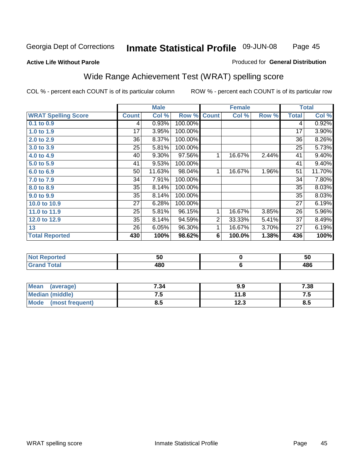Page 45

#### **Active Life Without Parole**

#### Produced for **General Distribution**

## Wide Range Achievement Test (WRAT) spelling score

|                            |                 | <b>Male</b> |         |                | <b>Female</b> |       |              | <b>Total</b> |
|----------------------------|-----------------|-------------|---------|----------------|---------------|-------|--------------|--------------|
| <b>WRAT Spelling Score</b> | <b>Count</b>    | Col %       | Row %   | <b>Count</b>   | Col %         | Row % | <b>Total</b> | Col %        |
| 0.1 to 0.9                 | 4               | 0.93%       | 100.00% |                |               |       | 4            | 0.92%        |
| 1.0 to 1.9                 | 17              | 3.95%       | 100.00% |                |               |       | 17           | 3.90%        |
| 2.0 to 2.9                 | 36              | $8.37\%$    | 100.00% |                |               |       | 36           | 8.26%        |
| 3.0 to 3.9                 | 25              | 5.81%       | 100.00% |                |               |       | 25           | 5.73%        |
| 4.0 to 4.9                 | 40              | 9.30%       | 97.56%  | 1              | 16.67%        | 2.44% | 41           | 9.40%        |
| 5.0 to 5.9                 | 41              | 9.53%       | 100.00% |                |               |       | 41           | 9.40%        |
| 6.0 to 6.9                 | 50              | 11.63%      | 98.04%  | 1              | 16.67%        | 1.96% | 51           | 11.70%       |
| 7.0 to 7.9                 | 34              | 7.91%       | 100.00% |                |               |       | 34           | 7.80%        |
| 8.0 to 8.9                 | $\overline{35}$ | 8.14%       | 100.00% |                |               |       | 35           | 8.03%        |
| 9.0 to 9.9                 | 35              | 8.14%       | 100.00% |                |               |       | 35           | 8.03%        |
| 10.0 to 10.9               | 27              | 6.28%       | 100.00% |                |               |       | 27           | 6.19%        |
| 11.0 to 11.9               | 25              | 5.81%       | 96.15%  | 1              | 16.67%        | 3.85% | 26           | 5.96%        |
| 12.0 to 12.9               | 35              | 8.14%       | 94.59%  | $\overline{2}$ | 33.33%        | 5.41% | 37           | 8.49%        |
| 13                         | 26              | 6.05%       | 96.30%  | 1              | 16.67%        | 3.70% | 27           | 6.19%        |
| <b>Total Reported</b>      | 430             | 100%        | 98.62%  | 6              | 100.0%        | 1.38% | 436          | 100%         |
|                            |                 |             |         |                |               |       |              |              |
| <b>Not Reported</b>        |                 | 50          |         |                | $\mathbf 0$   |       |              | 50           |
| <b>Grand Total</b>         |                 | 480         |         |                | 6             |       |              | 486          |

| Mean<br>(average)       | 7.34 | 9.9         | 7.38 |
|-------------------------|------|-------------|------|
| <b>Median (middle)</b>  | ن. ا | 11.8        | ن ا  |
| Mode<br>(most frequent) | ο.υ  | 1 ງາ<br>د.ء | ტ.ე  |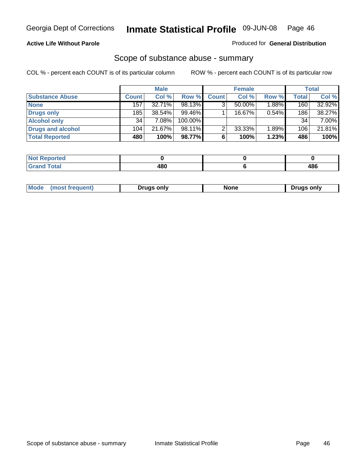#### **Active Life Without Parole**

#### Produced for **General Distribution**

### Scope of substance abuse - summary

|                        |                  | <b>Male</b> |            |              | <b>Female</b> |          |              | <b>Total</b> |
|------------------------|------------------|-------------|------------|--------------|---------------|----------|--------------|--------------|
| <b>Substance Abuse</b> | <b>Count</b>     | Col %       | Row %      | <b>Count</b> | Col %         | Row %    | <b>Total</b> | Col %        |
| <b>None</b>            | 157              | $32.71\%$   | 98.13%     | ◠            | $50.00\%$     | $1.88\%$ | 160          | 32.92%       |
| Drugs only             | 185              | 38.54%      | $99.46\%$  |              | 16.67%        | 0.54%    | 186          | 38.27%       |
| <b>Alcohol only</b>    | 34               | 7.08%       | $100.00\%$ |              |               |          | 34           | 7.00%        |
| Drugs and alcohol      | 104 <sub>1</sub> | 21.67%      | $98.11\%$  | ◠            | 33.33%        | 1.89%    | 106          | 21.81%       |
| <b>Total Reported</b>  | 480              | 100%        | 98.77%     | 6            | 100%          | 1.23%    | 486          | 100%         |

| <b>Reported</b><br>$\sim$ |            |               |
|---------------------------|------------|---------------|
| <b>Total</b><br>$\sim$    | <b>480</b> | 486<br>$\sim$ |

|  | Mode<br>ונוצוווי | Druas onlv | None | only<br>Pruas . |
|--|------------------|------------|------|-----------------|
|--|------------------|------------|------|-----------------|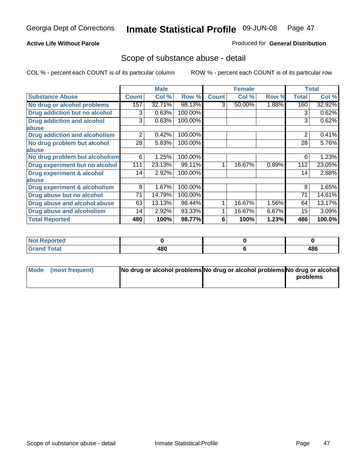#### **Active Life Without Parole**

#### Produced for **General Distribution**

## Scope of substance abuse - detail

|                                      |              | <b>Male</b> |         |              | <b>Female</b> |       |                | <b>Total</b> |
|--------------------------------------|--------------|-------------|---------|--------------|---------------|-------|----------------|--------------|
| <b>Substance Abuse</b>               | <b>Count</b> | Col %       | Row %   | <b>Count</b> | Col %         | Row % | <b>Total</b>   | Col %        |
| No drug or alcohol problems          | 157          | 32.71%      | 98.13%  | 3            | 50.00%        | 1.88% | 160            | 32.92%       |
| Drug addiction but no alcohol        | 3            | 0.63%       | 100.00% |              |               |       | 3              | 0.62%        |
| <b>Drug addiction and alcohol</b>    | 3            | 0.63%       | 100.00% |              |               |       | 3              | 0.62%        |
| abuse                                |              |             |         |              |               |       |                |              |
| <b>Drug addiction and alcoholism</b> | 2            | 0.42%       | 100.00% |              |               |       | $\overline{2}$ | 0.41%        |
| No drug problem but alcohol          | 28           | 5.83%       | 100.00% |              |               |       | 28             | 5.76%        |
| abuse                                |              |             |         |              |               |       |                |              |
| No drug problem but alcoholism       | 6            | 1.25%       | 100.00% |              |               |       | 6              | 1.23%        |
| Drug experiment but no alcohol       | 111          | 23.13%      | 99.11%  | 4            | 16.67%        | 0.89% | 112            | 23.05%       |
| <b>Drug experiment &amp; alcohol</b> | 14           | 2.92%       | 100.00% |              |               |       | 14             | 2.88%        |
| abuse                                |              |             |         |              |               |       |                |              |
| Drug experiment & alcoholism         | 8            | 1.67%       | 100.00% |              |               |       | 8              | 1.65%        |
| Drug abuse but no alcohol            | 71           | 14.79%      | 100.00% |              |               |       | 71             | 14.61%       |
| Drug abuse and alcohol abuse         | 63           | 13.13%      | 98.44%  |              | 16.67%        | 1.56% | 64             | 13.17%       |
| Drug abuse and alcoholism            | 14           | 2.92%       | 93.33%  |              | 16.67%        | 6.67% | 15             | 3.09%        |
| <b>Total Reported</b>                | 480          | 100%        | 98.77%  | 6            | 100%          | 1.23% | 486            | 100.0%       |

| <b>Not Reported</b> |     |     |
|---------------------|-----|-----|
| <b>Total</b>        | 480 | 486 |

| Mode (most frequent) | No drug or alcohol problems No drug or alcohol problems No drug or alcohol |          |
|----------------------|----------------------------------------------------------------------------|----------|
|                      |                                                                            | problems |
|                      |                                                                            |          |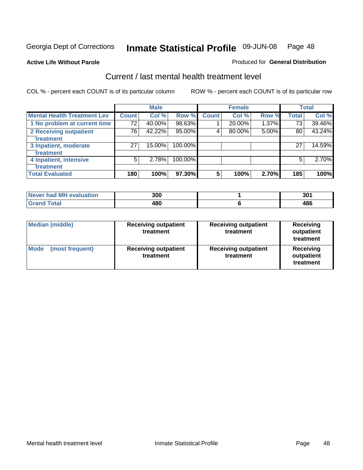#### **Active Life Without Parole**

#### Produced for **General Distribution**

## Current / last mental health treatment level

|                                    |              | <b>Male</b> |         |              | <b>Female</b> |       |              | <b>Total</b> |
|------------------------------------|--------------|-------------|---------|--------------|---------------|-------|--------------|--------------|
| <b>Mental Health Treatment Lev</b> | <b>Count</b> | Col %       | Row %   | <b>Count</b> | Col %         | Row % | <b>Total</b> | Col %        |
| 1 No problem at current time       | 72           | 40.00%      | 98.63%  |              | 20.00%        | 1.37% | 73           | 39.46%       |
| 2 Receiving outpatient             | 76           | 42.22%      | 95.00%  | 4            | 80.00%        | 5.00% | 80           | 43.24%       |
| treatment                          |              |             |         |              |               |       |              |              |
| 3 Inpatient, moderate              | 27           | 15.00%      | 100.00% |              |               |       | 27           | 14.59%       |
| treatment                          |              |             |         |              |               |       |              |              |
| 4 Inpatient, intensive             | 5            | 2.78%       | 100.00% |              |               |       | 5            | 2.70%        |
| treatment                          |              |             |         |              |               |       |              |              |
| <b>Total Evaluated</b>             | 180          | 100%        | 97.30%  | 5            | 100%          | 2.70% | 185          | 100%         |

| Never had MH evaluation | 300 | 301 |
|-------------------------|-----|-----|
| Total                   | 480 | 486 |

| <b>Median (middle)</b>         | <b>Receiving outpatient</b><br>treatment | <b>Receiving outpatient</b><br>treatment | <b>Receiving</b><br>outpatient<br>treatment |
|--------------------------------|------------------------------------------|------------------------------------------|---------------------------------------------|
| <b>Mode</b><br>(most frequent) | <b>Receiving outpatient</b><br>treatment | <b>Receiving outpatient</b><br>treatment | Receiving<br>outpatient<br>treatment        |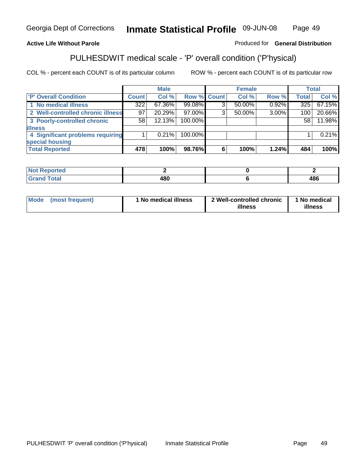#### **Active Life Without Parole**

### Produced for **General Distribution**

# PULHESDWIT medical scale - 'P' overall condition ('P'hysical)

|                                   |         | <b>Male</b> |             |   | <b>Female</b> |          |              | <b>Total</b> |
|-----------------------------------|---------|-------------|-------------|---|---------------|----------|--------------|--------------|
| 'P' Overall Condition             | Count l | Col %       | Row % Count |   | Col %         | Row %    | <b>Total</b> | Col %        |
| 1 No medical illness              | 322     | 67.36%      | 99.08%      | ົ | 50.00%        | 0.92%    | 325          | 67.15%       |
| 2 Well-controlled chronic illness | 97      | 20.29%      | 97.00%      | 3 | 50.00%        | $3.00\%$ | 100          | 20.66%       |
| 3 Poorly-controlled chronic       | 58      | 12.13%      | 100.00%     |   |               |          | 58           | 11.98%       |
| <b>illness</b>                    |         |             |             |   |               |          |              |              |
| 4 Significant problems requiring  |         | $0.21\%$    | 100.00%     |   |               |          |              | 0.21%        |
| special housing                   |         |             |             |   |               |          |              |              |
| <b>Total Reported</b>             | 478     | 100%        | 98.76%      |   | 100%          | 1.24%    | 484          | 100%         |

| Not Reported |            |            |
|--------------|------------|------------|
| <b>otal</b>  | 400<br>łΟl | 10C<br>400 |

| <b>Mode</b>     | ' No medical illness | 2 Well-controlled chronic | 1 No medical |
|-----------------|----------------------|---------------------------|--------------|
| (most frequent) |                      | illness                   | illness      |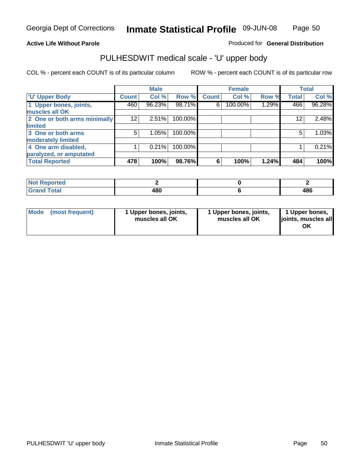#### **Active Life Without Parole**

Produced for **General Distribution**

## PULHESDWIT medical scale - 'U' upper body

|                              |              | <b>Male</b> |         |              | <b>Female</b> |       |                 | <b>Total</b> |
|------------------------------|--------------|-------------|---------|--------------|---------------|-------|-----------------|--------------|
| <b>TU' Upper Body</b>        | <b>Count</b> | Col %       | Row %   | <b>Count</b> | Col %         | Row % | <b>Total</b>    | Col %        |
| 1 Upper bones, joints,       | 460          | 96.23%      | 98.71%  | 6            | 100.00%       | 1.29% | 466             | 96.28%       |
| muscles all OK               |              |             |         |              |               |       |                 |              |
| 2 One or both arms minimally | 12           | 2.51%       | 100.00% |              |               |       | 12 <sup>2</sup> | 2.48%        |
| limited                      |              |             |         |              |               |       |                 |              |
| 3 One or both arms           | 5            | 1.05%       | 100.00% |              |               |       | 5               | 1.03%        |
| moderately limited           |              |             |         |              |               |       |                 |              |
| 4 One arm disabled,          |              | 0.21%       | 100.00% |              |               |       |                 | 0.21%        |
| paralyzed, or amputated      |              |             |         |              |               |       |                 |              |
| <b>Total Reported</b>        | 478          | 100%        | 98.76%  | 6            | 100%          | 1.24% | 484             | 100%         |

| norted<br>NOT          |     |     |
|------------------------|-----|-----|
| <b>Total</b><br>------ | 480 | 486 |

| <b>Mode</b> | (most frequent) | 1 Upper bones, joints,<br>muscles all OK | 1 Upper bones, joints,<br>muscles all OK | 1 Upper bones,<br>joints, muscles all<br>OK |
|-------------|-----------------|------------------------------------------|------------------------------------------|---------------------------------------------|
|-------------|-----------------|------------------------------------------|------------------------------------------|---------------------------------------------|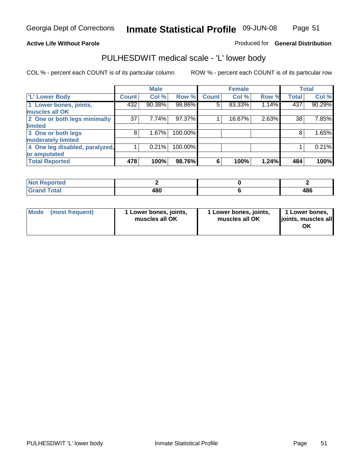#### **Active Life Without Parole**

#### Produced for **General Distribution**

## PULHESDWIT medical scale - 'L' lower body

|                                |              | <b>Male</b> |         |              | <b>Female</b> |       |              | <b>Total</b> |
|--------------------------------|--------------|-------------|---------|--------------|---------------|-------|--------------|--------------|
| 'L' Lower Body                 | <b>Count</b> | Col %       | Row %   | <b>Count</b> | Col %         | Row % | <b>Total</b> | Col %        |
| 1 Lower bones, joints,         | 432          | 90.38%      | 98.86%  | 5            | 83.33%        | 1.14% | 437          | 90.29%       |
| muscles all OK                 |              |             |         |              |               |       |              |              |
| 2 One or both legs minimally   | 37           | 7.74%       | 97.37%  |              | 16.67%        | 2.63% | 38           | 7.85%        |
| limited                        |              |             |         |              |               |       |              |              |
| 3 One or both legs             | 8            | 1.67%       | 100.00% |              |               |       | 8            | 1.65%        |
| moderately limited             |              |             |         |              |               |       |              |              |
| 4 One leg disabled, paralyzed, |              | 0.21%       | 100.00% |              |               |       |              | 0.21%        |
| or amputated                   |              |             |         |              |               |       |              |              |
| <b>Total Reported</b>          | 478          | 100%        | 98.76%  | 6            | 100%          | 1.24% | 484          | 100%         |

| <b>Enrico</b><br>N                   |            |     |
|--------------------------------------|------------|-----|
| $f \wedge f \wedge f$<br>l Ulai<br>. | 18N<br>יטע | 486 |

|  | Mode (most frequent) | 1 Lower bones, joints,<br>muscles all OK | 1 Lower bones, joints,<br>muscles all OK | 1 Lower bones,<br>joints, muscles all<br>OK |
|--|----------------------|------------------------------------------|------------------------------------------|---------------------------------------------|
|--|----------------------|------------------------------------------|------------------------------------------|---------------------------------------------|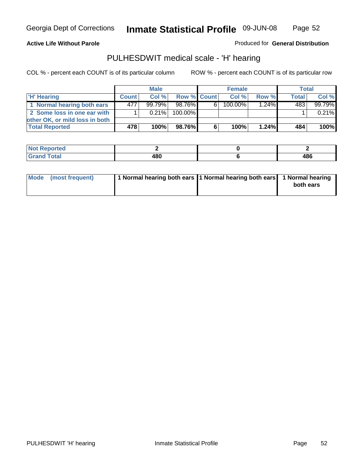Page 52

#### **Active Life Without Parole**

Produced for **General Distribution**

## PULHESDWIT medical scale - 'H' hearing

|                                |              | <b>Male</b> |             | <b>Female</b> |            |          | <b>Total</b> |          |
|--------------------------------|--------------|-------------|-------------|---------------|------------|----------|--------------|----------|
| <b>H' Hearing</b>              | <b>Count</b> | Col%        | Row % Count |               | Col%       | Row %    | <b>Total</b> | Col %    |
| 1 Normal hearing both ears     | 477          | $99.79\%$   | 98.76%      | 6             | $100.00\%$ | $1.24\%$ | 483          | 99.79%   |
| 2 Some loss in one ear with    |              | $0.21\%$    | 100.00%     |               |            |          |              | $0.21\%$ |
| other OK, or mild loss in both |              |             |             |               |            |          |              |          |
| <b>Total Reported</b>          | 478          | 100%        | 98.76%      | 6             | 100%       | $1.24\%$ | 484          | $100\%$  |

| тео                                |      |      |
|------------------------------------|------|------|
| $\sim$ $\sim$ $\sim$ $\sim$ $\sim$ | ה הו | 486  |
|                                    | ___  | $ -$ |

| Mode (most frequent) | 1 Normal hearing both ears 11 Normal hearing both ears 1 Normal hearing | both ears |
|----------------------|-------------------------------------------------------------------------|-----------|
|                      |                                                                         |           |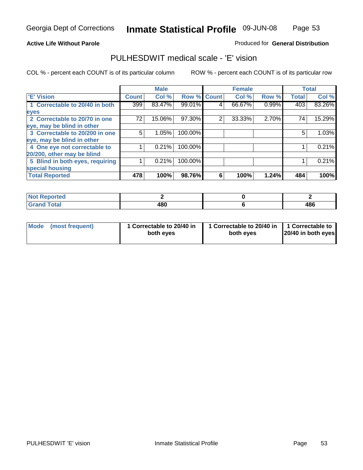Page 53

#### **Active Life Without Parole**

#### Produced for **General Distribution**

## PULHESDWIT medical scale - 'E' vision

|                                 |              | <b>Male</b> |             |   | <b>Female</b> |       |              | <b>Total</b> |
|---------------------------------|--------------|-------------|-------------|---|---------------|-------|--------------|--------------|
| 'E' Vision                      | <b>Count</b> | Col %       | Row % Count |   | Col %         | Row % | <b>Total</b> | Col %        |
| 1 Correctable to 20/40 in both  | 399          | 83.47%      | 99.01%      | 4 | 66.67%        | 0.99% | 403          | 83.26%       |
| eyes                            |              |             |             |   |               |       |              |              |
| 2 Correctable to 20/70 in one   | 72           | 15.06%      | 97.30%      | 2 | 33.33%        | 2.70% | 74           | 15.29%       |
| eye, may be blind in other      |              |             |             |   |               |       |              |              |
| 3 Correctable to 20/200 in one  | 5            | 1.05%       | 100.00%     |   |               |       | 5            | 1.03%        |
| eye, may be blind in other      |              |             |             |   |               |       |              |              |
| 4 One eye not correctable to    |              | 0.21%       | 100.00%     |   |               |       |              | 0.21%        |
| 20/200, other may be blind      |              |             |             |   |               |       |              |              |
| 5 Blind in both eyes, requiring |              | 0.21%       | 100.00%     |   |               |       |              | 0.21%        |
| special housing                 |              |             |             |   |               |       |              |              |
| <b>Total Reported</b>           | 478          | 100%        | 98.76%      | 6 | 100%          | 1.24% | 484          | 100%         |

| чтес |     |     |
|------|-----|-----|
|      | 480 | 486 |

| <b>Mode</b>     | 1 Correctable to 20/40 in | 1 Correctable to 20/40 in   1 Correctable to | 20/40 in both eyes |
|-----------------|---------------------------|----------------------------------------------|--------------------|
| (most frequent) | both eyes                 | both eves                                    |                    |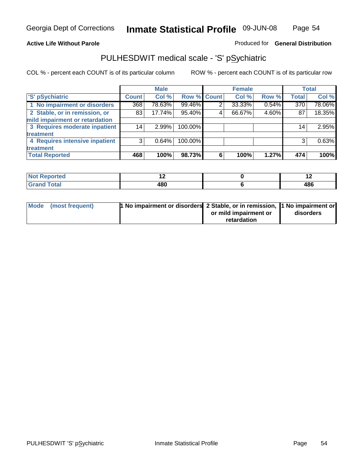#### **Active Life Without Parole**

#### Produced for **General Distribution**

## PULHESDWIT medical scale - 'S' pSychiatric

|                                |              | <b>Male</b> |             |                | <b>Female</b> |       |              | <b>Total</b> |
|--------------------------------|--------------|-------------|-------------|----------------|---------------|-------|--------------|--------------|
| 'S' pSychiatric                | <b>Count</b> | Col %       | Row % Count |                | Col %         | Row % | <b>Total</b> | Col %        |
| 1 No impairment or disorders   | 368          | 78.63%      | 99.46%      | $\overline{2}$ | 33.33%        | 0.54% | 370          | 78.06%       |
| 2 Stable, or in remission, or  | 83           | 17.74%      | 95.40%      | 4              | 66.67%        | 4.60% | 87           | 18.35%       |
| mild impairment or retardation |              |             |             |                |               |       |              |              |
| 3 Requires moderate inpatient  | 14           | $2.99\%$    | 100.00%     |                |               |       | 14           | 2.95%        |
| treatment                      |              |             |             |                |               |       |              |              |
| 4 Requires intensive inpatient | $\mathbf{3}$ | 0.64%       | 100.00%     |                |               |       |              | 0.63%        |
| treatment                      |              |             |             |                |               |       |              |              |
| <b>Total Reported</b>          | 468          | 100%        | 98.73%      | 6              | 100%          | 1.27% | 474          | 100%         |

| orted        | . .         | . . |
|--------------|-------------|-----|
| <b>Total</b> | ៱៰៱<br>70 U | 486 |

| Mode (most frequent) | 1 No impairment or disorders 2 Stable, or in remission, 11 No impairment or |                       |           |
|----------------------|-----------------------------------------------------------------------------|-----------------------|-----------|
|                      |                                                                             | or mild impairment or | disorders |
|                      |                                                                             | retardation           |           |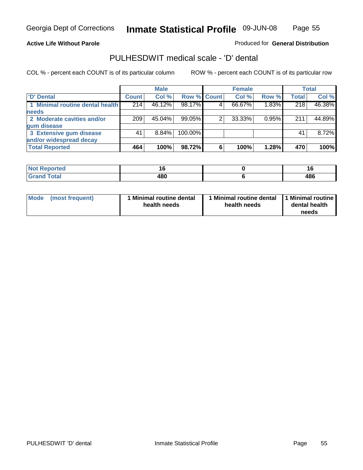Page 55

#### **Active Life Without Parole**

Produced for **General Distribution**

## PULHESDWIT medical scale - 'D' dental

|                                 |              | <b>Male</b> |             |   | <b>Female</b> |       |              | Total  |
|---------------------------------|--------------|-------------|-------------|---|---------------|-------|--------------|--------|
| <b>D'</b> Dental                | <b>Count</b> | Col %       | Row % Count |   | Col %         | Row % | <b>Total</b> | Col %  |
| 1 Minimal routine dental health | 214          | 46.12%      | 98.17%      |   | 66.67%        | 1.83% | 218          | 46.38% |
| <b>needs</b>                    |              |             |             |   |               |       |              |        |
| 2 Moderate cavities and/or      | 209          | 45.04%      | 99.05%      |   | 33.33%        | 0.95% | 211          | 44.89% |
| gum disease                     |              |             |             |   |               |       |              |        |
| 3 Extensive gum disease         | 41           | $8.84\%$    | 100.00%     |   |               |       | 41           | 8.72%  |
| and/or widespread decay         |              |             |             |   |               |       |              |        |
| <b>Total Reported</b>           | 464          | 100%        | 98.72%      | 6 | 100%          | 1.28% | 470          | 100%   |

| <b>Continued in the Continued Inc.</b> | ם ו        | 1 C        |
|----------------------------------------|------------|------------|
| neio                                   | $\sim$     | __         |
| <b>Total</b>                           | ៱៰៱<br>rvu | 10C<br>400 |

| Mode (most frequent) | <b>Minimal routine dental</b><br>health needs | 1 Minimal routine dental<br>health needs | 1 Minimal routine<br>dental health<br>needs |
|----------------------|-----------------------------------------------|------------------------------------------|---------------------------------------------|
|----------------------|-----------------------------------------------|------------------------------------------|---------------------------------------------|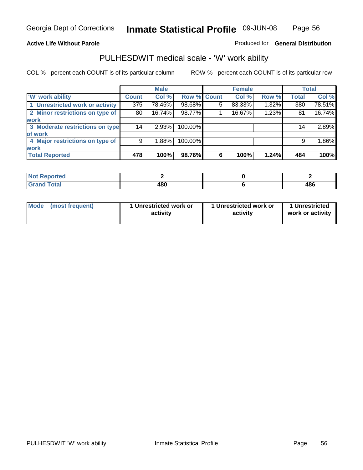**Active Life Without Parole** 

#### Produced for **General Distribution**

## PULHESDWIT medical scale - 'W' work ability

|                                 |              | <b>Male</b> |             |   | <b>Female</b> |       |                 | <b>Total</b> |
|---------------------------------|--------------|-------------|-------------|---|---------------|-------|-----------------|--------------|
| <b>W' work ability</b>          | <b>Count</b> | Col %       | Row % Count |   | Col %         | Row % | <b>Total</b>    | Col %        |
| 1 Unrestricted work or activity | 375          | 78.45%      | 98.68%      | 5 | 83.33%        | 1.32% | 380             | 78.51%       |
| 2 Minor restrictions on type of | 80           | 16.74%      | 98.77%      |   | 16.67%        | 1.23% | 81              | 16.74%       |
| <b>work</b>                     |              |             |             |   |               |       |                 |              |
| 3 Moderate restrictions on type | 14           | 2.93%       | 100.00%     |   |               |       | 14 <sub>1</sub> | 2.89%        |
| of work                         |              |             |             |   |               |       |                 |              |
| 4 Major restrictions on type of | 9            | 1.88%       | 100.00%     |   |               |       | 9               | 1.86%        |
| <b>work</b>                     |              |             |             |   |               |       |                 |              |
| <b>Total Reported</b>           | 478          | 100%        | 98.76%      | 6 | 100%          | 1.24% | 484             | 100%         |

| <b>Analysis</b><br>NOT |     |     |
|------------------------|-----|-----|
| <b>Total</b><br>------ | 480 | 486 |

| Mode | (most frequent) | 1 Unrestricted work or<br>activity | 1 Unrestricted work or<br>activity | 1 Unrestricted<br>work or activity |
|------|-----------------|------------------------------------|------------------------------------|------------------------------------|
|      |                 |                                    |                                    |                                    |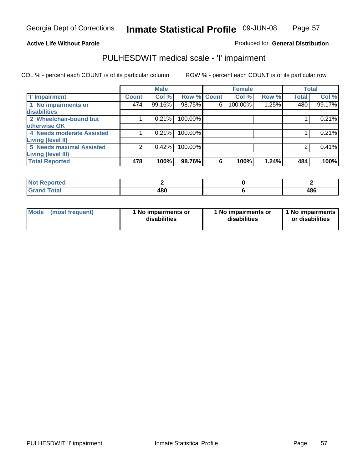Page 57

#### **Active Life Without Parole**

#### Produced for **General Distribution**

## PULHESDWIT medical scale - 'I' impairment

|                                 |              | <b>Male</b> |                    |   | <b>Female</b> |       |              | <b>Total</b> |
|---------------------------------|--------------|-------------|--------------------|---|---------------|-------|--------------|--------------|
| <b>T' Impairment</b>            | <b>Count</b> | Col %       | <b>Row % Count</b> |   | Col %         | Row % | <b>Total</b> | Col %        |
| 1 No impairments or             | 474          | 99.16%      | 98.75%             | 6 | 100.00%       | 1.25% | 480          | 99.17%       |
| <b>disabilities</b>             |              |             |                    |   |               |       |              |              |
| 2 Wheelchair-bound but          |              | 0.21%       | 100.00%            |   |               |       |              | 0.21%        |
| otherwise OK                    |              |             |                    |   |               |       |              |              |
| 4 Needs moderate Assisted       |              | 0.21%       | 100.00%            |   |               |       |              | 0.21%        |
| Living (level II)               |              |             |                    |   |               |       |              |              |
| <b>5 Needs maximal Assisted</b> |              | 0.42%       | 100.00%            |   |               |       |              | 0.41%        |
| <b>Living (level III)</b>       |              |             |                    |   |               |       |              |              |
| <b>Total Reported</b>           | 478          | 100%        | 98.76%             | 6 | 100%          | 1.24% | 484          | 100%l        |

| <b>Not Reported</b>          |     |     |
|------------------------------|-----|-----|
| <b>Total</b><br><b>Grand</b> | 480 | 486 |

| <b>Mode</b> | (most frequent) | 1 No impairments or<br>disabilities | 1 No impairments or<br>disabilities | 1 No impairments  <br>or disabilities |
|-------------|-----------------|-------------------------------------|-------------------------------------|---------------------------------------|
|-------------|-----------------|-------------------------------------|-------------------------------------|---------------------------------------|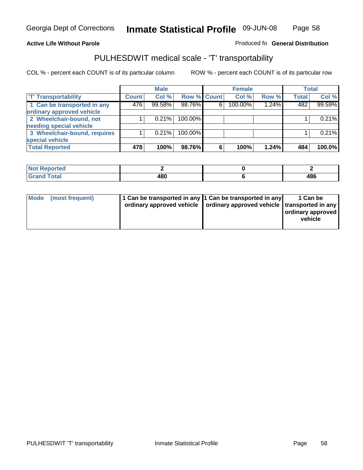#### **Inmate Statistical Profile 09-JUN-08 Page** Page 58

#### **Active Life Without Parole Produced fo Seneral Distribution**

## PULHESDWIT medical scale - 'T' transportability

|                              |              | <b>Male</b> |             |   | <b>Female</b> |       |              | <b>Total</b> |
|------------------------------|--------------|-------------|-------------|---|---------------|-------|--------------|--------------|
| <b>T' Transportability</b>   | <b>Count</b> | Col %       | Row % Count |   | Col %         | Row % | <b>Total</b> | Col %        |
| 1 Can be transported in any  | 476          | 99.58%      | 98.76%      | 6 | 100.00%       | 1.24% | 482          | 99.59%       |
| ordinary approved vehicle    |              |             |             |   |               |       |              |              |
| 2 Wheelchair-bound, not      |              | 0.21%       | 100.00%     |   |               |       |              | 0.21%        |
| needing special vehicle      |              |             |             |   |               |       |              |              |
| 3 Wheelchair-bound, requires |              | 0.21%       | 100.00%     |   |               |       |              | 0.21%        |
| special vehicle              |              |             |             |   |               |       |              |              |
| <b>Total Reported</b>        | 478          | 100%        | 98.76%      | 6 | 100%          | 1.24% | 484          | 100.0%       |

| <b>Reported</b><br><b>NOT</b> |           |             |
|-------------------------------|-----------|-------------|
| <b>Fotal</b>                  | 480<br>__ | 10 C<br>40L |

| Mode (most frequent) | 1 Can be transported in any 1 Can be transported in any | ordinary approved vehicle   ordinary approved vehicle   transported in any | 1 Can be<br>  ordinary approved  <br>vehicle |
|----------------------|---------------------------------------------------------|----------------------------------------------------------------------------|----------------------------------------------|
|----------------------|---------------------------------------------------------|----------------------------------------------------------------------------|----------------------------------------------|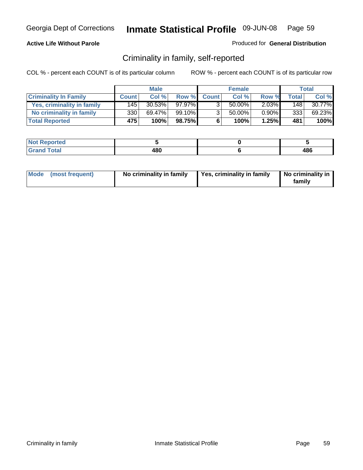#### **Active Life Without Parole**

#### Produced for **General Distribution**

## Criminality in family, self-reported

|                              |              | <b>Male</b> |         |                | <b>Female</b> |          |              | Total  |
|------------------------------|--------------|-------------|---------|----------------|---------------|----------|--------------|--------|
| <b>Criminality In Family</b> | <b>Count</b> | Col %       | Row %   | <b>Count</b>   | Col %         | Row %    | <b>Total</b> | Col %  |
| Yes, criminality in family   | 1451         | 30.53%      | 97.97%  |                | 50.00%        | $2.03\%$ | 148          | 30.77% |
| No criminality in family     | 330          | 69.47%      | 99.10%I | 3 <sub>1</sub> | 50.00%        | $0.90\%$ | 333          | 69.23% |
| <b>Total Reported</b>        | 475          | 100%        | 98.75%  | 6              | 100%          | 1.25%    | 481          | 100%   |

| ported<br><b>NOT</b><br><b>IJCK</b> |     |     |
|-------------------------------------|-----|-----|
| <b>otal</b><br>Grar<br>$\sim$       | 480 | 486 |

| Mode (most frequent) |  | No criminality in family | Yes, criminality in family | No criminality in<br>family |
|----------------------|--|--------------------------|----------------------------|-----------------------------|
|----------------------|--|--------------------------|----------------------------|-----------------------------|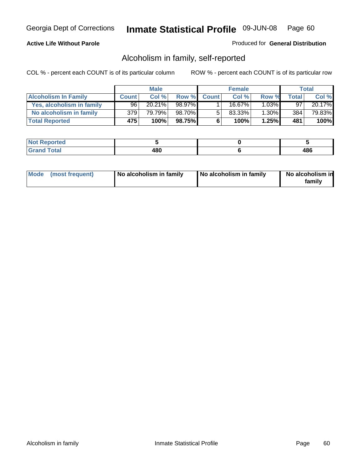#### **Active Life Without Parole**

#### Produced for **General Distribution**

## Alcoholism in family, self-reported

|                             |              | <b>Male</b> |        |              | <b>Female</b> |          |       | Total  |
|-----------------------------|--------------|-------------|--------|--------------|---------------|----------|-------|--------|
| <b>Alcoholism In Family</b> | <b>Count</b> | Col %       | Row %  | <b>Count</b> | Col %         | Row %    | Total | Col %  |
| Yes, alcoholism in family   | 96           | $20.21\%$   | 98.97% |              | 16.67%        | $1.03\%$ | 97    | 20.17% |
| No alcoholism in family     | 379          | 79.79%      | 98.70% | 5            | 83.33%        | $1.30\%$ | 384   | 79.83% |
| <b>Total Reported</b>       | 475'         | 100%        | 98.75% | 6            | 100%          | 1.25%    | 481   | 100%   |

| ported<br><b>NOT</b><br><b>IJCK</b> |     |     |
|-------------------------------------|-----|-----|
| <b>otal</b><br>Grar<br>$\sim$       | 480 | 486 |

|  | Mode (most frequent) | No alcoholism in family | No alcoholism in family | No alcoholism in<br>family |
|--|----------------------|-------------------------|-------------------------|----------------------------|
|--|----------------------|-------------------------|-------------------------|----------------------------|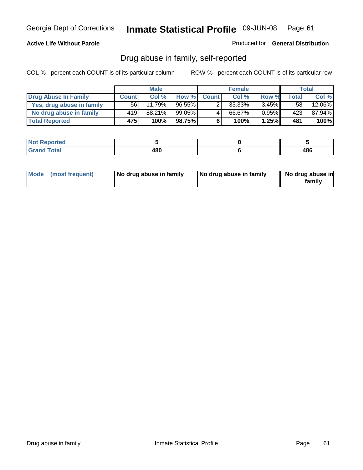#### **Active Life Without Parole**

Produced for **General Distribution**

## Drug abuse in family, self-reported

|                           |              | <b>Male</b> |           |              | <b>Female</b> |          |       | <b>Total</b> |
|---------------------------|--------------|-------------|-----------|--------------|---------------|----------|-------|--------------|
| Drug Abuse In Family      | <b>Count</b> | Col %       | Row %     | <b>Count</b> | Col %         | Row %    | Total | Col %        |
| Yes, drug abuse in family | 56           | 11.79%      | $96.55\%$ | າ            | 33.33%        | $3.45\%$ | 58    | 12.06%       |
| No drug abuse in family   | 419          | 88.21%      | $99.05\%$ | 4            | 66.67%        | $0.95\%$ | 423   | 87.94%       |
| <b>Total Reported</b>     | 475          | 100%        | 98.75%    | 6            | 100%          | 1.25%    | 481   | 100%         |

| ported<br><b>NOT</b><br><b>IJCK</b> |     |     |
|-------------------------------------|-----|-----|
| <b>otal</b><br>Grar<br>$\sim$       | 480 | 486 |

|  | Mode (most frequent) | No drug abuse in family | No drug abuse in family | No drug abuse in<br>family |
|--|----------------------|-------------------------|-------------------------|----------------------------|
|--|----------------------|-------------------------|-------------------------|----------------------------|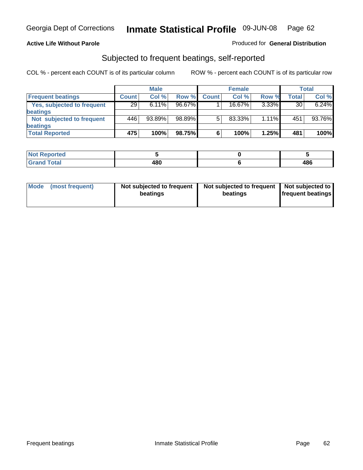#### **Active Life Without Parole**

#### Produced for **General Distribution**

## Subjected to frequent beatings, self-reported

|                            |              | <b>Male</b> |        |              | <b>Female</b> |          |              | <b>Total</b> |
|----------------------------|--------------|-------------|--------|--------------|---------------|----------|--------------|--------------|
| <b>Frequent beatings</b>   | <b>Count</b> | Col%        | Row %  | <b>Count</b> | Col%          | Row %    | <b>Total</b> | Col %        |
| Yes, subjected to frequent | 29           | 6.11%       | 96.67% |              | $16.67\%$     | $3.33\%$ | 30           | 6.24%        |
| <b>beatings</b>            |              |             |        |              |               |          |              |              |
| Not subjected to frequent  | 446          | 93.89%      | 98.89% | 5            | 83.33%        | 1.11%    | 451          | 93.76%       |
| <b>beatings</b>            |              |             |        |              |               |          |              |              |
| <b>Total Reported</b>      | 475          | 100%        | 98.75% | 6            | 100%          | 1.25%    | 481          | 100%         |

| Not Reported         |     |     |
|----------------------|-----|-----|
| <b>Total</b><br>Cron | 480 | 486 |

| Mode (most frequent) | Not subjected to frequent<br>beatings | Not subjected to frequent<br>beatings | Not subjected to<br><b>frequent beatings</b> |
|----------------------|---------------------------------------|---------------------------------------|----------------------------------------------|
|                      |                                       |                                       |                                              |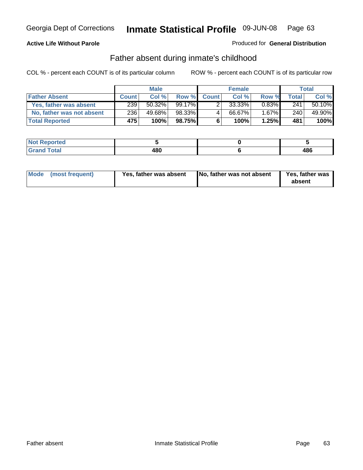#### **Active Life Without Parole**

#### Produced for **General Distribution**

## Father absent during inmate's childhood

|                           | <b>Male</b>  |           | <b>Female</b> |              |        | Total    |                  |        |
|---------------------------|--------------|-----------|---------------|--------------|--------|----------|------------------|--------|
| <b>Father Absent</b>      | <b>Count</b> | Col %     | Row %         | <b>Count</b> | Col %  | Row %    | Total            | Col %  |
| Yes, father was absent    | 239          | $50.32\%$ | $99.17\%$     |              | 33.33% | $0.83\%$ | 241              | 50.10% |
| No, father was not absent | 236          | 49.68%    | 98.33%        |              | 66.67% | $1.67\%$ | 240 <sub>1</sub> | 49.90% |
| <b>Total Reported</b>     | 475'         | 100%      | 98.75%        | 6            | 100%   | 1.25%    | 481              | 100%   |

| <b>Not Reported</b>   |     |     |
|-----------------------|-----|-----|
| <b>Total</b><br>Grand | 480 | 486 |

|  | Mode (most frequent) | Yes, father was absent | No, father was not absent | <b>Yes, father was</b><br>absent |
|--|----------------------|------------------------|---------------------------|----------------------------------|
|--|----------------------|------------------------|---------------------------|----------------------------------|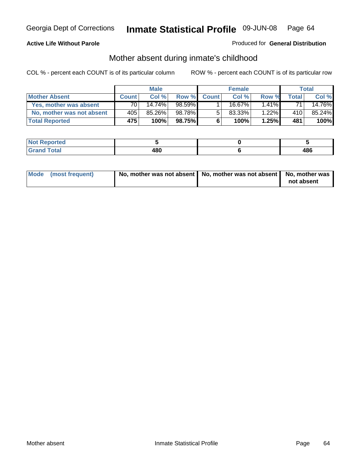#### **Active Life Without Parole**

#### Produced for **General Distribution**

# Mother absent during inmate's childhood

|                           | <b>Male</b>  |        | <b>Female</b> |              |        | Total    |       |        |
|---------------------------|--------------|--------|---------------|--------------|--------|----------|-------|--------|
| <b>Mother Absent</b>      | <b>Count</b> | Col%   | Row %         | <b>Count</b> | Col %  | Row %    | Total | Col %  |
| Yes, mother was absent    | 70           | 14.74% | $98.59\%$     |              | 16.67% | $1.41\%$ | 71    | 14.76% |
| No, mother was not absent | 405          | 85.26% | 98.78%        | 5            | 83.33% | $1.22\%$ | 410   | 85.24% |
| <b>Total Reported</b>     | 475          | 100%   | 98.75%I       | 6            | 100%   | 1.25%    | 481   | 100%   |

| <b>Not Reported</b>   |     |     |
|-----------------------|-----|-----|
| <b>Total</b><br>Grand | 480 | 486 |

| Mode (most frequent) | No, mother was not absent $\vert$ No, mother was not absent $\vert$ No, mother was | not absent |
|----------------------|------------------------------------------------------------------------------------|------------|
|                      |                                                                                    |            |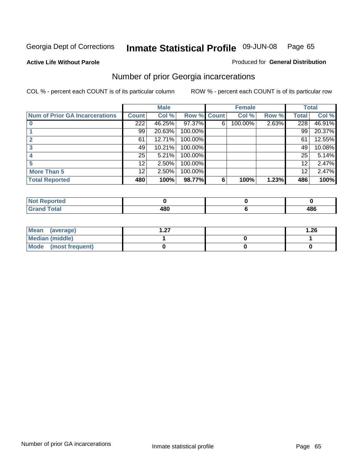**Active Life Without Parole** 

#### Produced for **General Distribution**

## Number of prior Georgia incarcerations

|                                       |                  | <b>Male</b> |                    |   | <b>Female</b> |       |       | <b>Total</b> |
|---------------------------------------|------------------|-------------|--------------------|---|---------------|-------|-------|--------------|
| <b>Num of Prior GA Incarcerations</b> | <b>Count</b>     | Col %       | <b>Row % Count</b> |   | Col %         | Row % | Total | Col %        |
|                                       | $\overline{222}$ | 46.25%      | 97.37%             | 6 | 100.00%       | 2.63% | 228   | 46.91%       |
|                                       | 99               | 20.63%      | 100.00%            |   |               |       | 99    | 20.37%       |
|                                       | 61               | 12.71%      | 100.00%            |   |               |       | 61    | 12.55%       |
|                                       | 49               | 10.21%      | 100.00%            |   |               |       | 49    | 10.08%       |
|                                       | 25               | 5.21%       | 100.00%            |   |               |       | 25    | 5.14%        |
|                                       | 12               | 2.50%       | 100.00%            |   |               |       | 12    | 2.47%        |
| <b>More Than 5</b>                    | 12 <sub>1</sub>  | 2.50%       | 100.00%            |   |               |       | 12    | 2.47%        |
| <b>Total Reported</b>                 | 480              | 100%        | 98.77%             | 6 | 100%          | 1.23% | 486   | 100%         |

| Reported<br>NOT  |   |     |
|------------------|---|-----|
| <b>otal</b>      |   | 10C |
| $\mathbf{v}$ and | ю | 400 |

| Mean (average)       | ຳ<br>I . Z I | 1.26 |
|----------------------|--------------|------|
| Median (middle)      |              |      |
| Mode (most frequent) |              |      |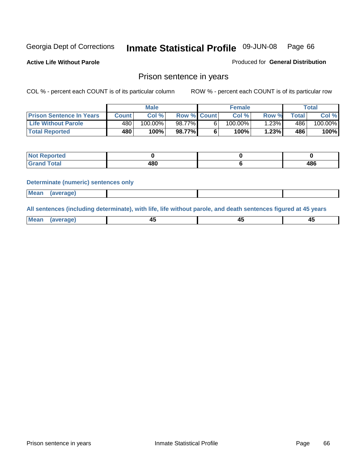**Active Life Without Parole** 

Produced for **General Distribution**

### Prison sentence in years

COL % - percent each COUNT is of its particular column ROW % - percent each COUNT is of its particular row

|                                 | Male       |         |                    | <b>Female</b> | Total |                  |         |
|---------------------------------|------------|---------|--------------------|---------------|-------|------------------|---------|
| <b>Prison Sentence In Years</b> | Count l    | Col %   | <b>Row % Count</b> | Col %         | Row % | $\tau$ otal      | Col %   |
| <b>Life Without Parole</b>      | 480        | 100.00% | 98.77%             | 100.00%       | ا23%. | 486              | 100.00% |
| <b>Total Reported</b>           | <b>480</b> | 100%    | 98.77%             | 100%          | 1.23% | 486 <sup>'</sup> | 100%    |

| Reported                |     |     |
|-------------------------|-----|-----|
| <b>Total</b><br>' Grand | 480 | 486 |

#### **Determinate (numeric) sentences only**

| <b>Mean</b> | (average) |  |  |
|-------------|-----------|--|--|

**All sentences (including determinate), with life, life without parole, and death sentences figured at 45 years**

| Me:<br>anei<br>.<br>᠇<br>$\sim$ | -- | т.<br>$\sim$ |
|---------------------------------|----|--------------|
|---------------------------------|----|--------------|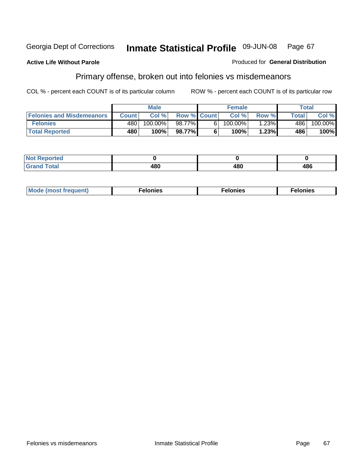#### **Active Life Without Parole**

#### Produced for **General Distribution**

# Primary offense, broken out into felonies vs misdemeanors

|                                  | <b>Male</b>  |         |                    | <b>Female</b> |         |          | Total  |                       |
|----------------------------------|--------------|---------|--------------------|---------------|---------|----------|--------|-----------------------|
| <b>Felonies and Misdemeanors</b> | <b>Count</b> | Col%    | <b>Row % Count</b> |               | Col%    | Row %    | Total. | Col %                 |
| <b>Felonies</b>                  | 480          | 100.00% | 98.77% Ⅰ           | 61            | 100.00% | $1.23\%$ | 486    | $100.\overline{00\%}$ |
| <b>Total Reported</b>            | 480          | 100%    | 98.77%             |               | 100%    | 1.23%    | 486    | 100%                  |

| <b>Not</b><br><b>orted</b><br>⋯ |     |     |     |
|---------------------------------|-----|-----|-----|
| Grat                            | ៱៱៱ | ៱៰៱ | 486 |
| -----                           | TUV | +ov |     |

| M<br>$\cdots$<br>пю.<br>. | nies<br>. | . |
|---------------------------|-----------|---|
|---------------------------|-----------|---|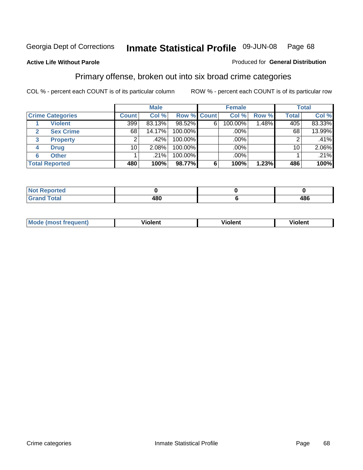#### **Active Life Without Parole**

#### Produced for **General Distribution**

## Primary offense, broken out into six broad crime categories

|                         |                 | <b>Male</b> |                    |   | <b>Female</b> |       |              | <b>Total</b> |  |
|-------------------------|-----------------|-------------|--------------------|---|---------------|-------|--------------|--------------|--|
| <b>Crime Categories</b> | <b>Count</b>    | Col %       | <b>Row % Count</b> |   | Col %         | Row % | <b>Total</b> | Col %        |  |
| <b>Violent</b>          | 399             | 83.13%      | 98.52%             | 6 | 100.00%       | 1.48% | 405          | 83.33%       |  |
| <b>Sex Crime</b><br>2   | 68              | 14.17%      | 100.00%            |   | .00%          |       | 68           | 13.99%       |  |
| 3<br><b>Property</b>    | 2               | .42%        | 100.00%            |   | .00%          |       |              | .41%         |  |
| <b>Drug</b><br>4        | 10 <sub>1</sub> | 2.08%       | 100.00%            |   | .00%          |       | 10           | 2.06%        |  |
| <b>Other</b><br>6       |                 | .21%        | 100.00%            |   | .00%          |       |              | .21%         |  |
| <b>Total Reported</b>   | 480             | 100%        | 98.77%             | 6 | 100%          | 1.23% | 486          | 100%         |  |

| <b>Not Reported</b>   |     |     |
|-----------------------|-----|-----|
| <b>Total</b><br>Grand | 480 | 486 |

| Mo | n n | winlor" | ılen' |
|----|-----|---------|-------|
|    |     |         |       |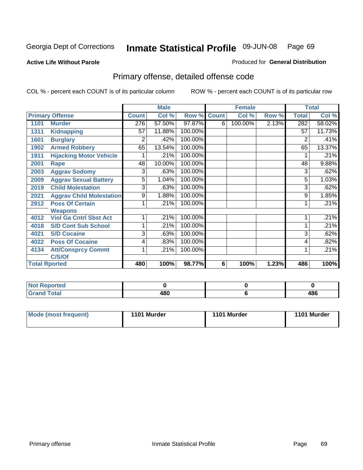#### **Active Life Without Parole**

#### Produced for **General Distribution**

# Primary offense, detailed offense code

|      |                                 |              | <b>Male</b> |         |              | <b>Female</b> |       |                | <b>Total</b> |
|------|---------------------------------|--------------|-------------|---------|--------------|---------------|-------|----------------|--------------|
|      | <b>Primary Offense</b>          | <b>Count</b> | Col %       | Row %   | <b>Count</b> | Col %         | Row % | <b>Total</b>   | Col %        |
| 1101 | <b>Murder</b>                   | 276          | 57.50%      | 97.87%  | 6            | 100.00%       | 2.13% | 282            | 58.02%       |
| 1311 | <b>Kidnapping</b>               | 57           | 11.88%      | 100.00% |              |               |       | 57             | 11.73%       |
| 1601 | <b>Burglary</b>                 | 2            | .42%        | 100.00% |              |               |       | $\overline{2}$ | .41%         |
| 1902 | <b>Armed Robbery</b>            | 65           | 13.54%      | 100.00% |              |               |       | 65             | 13.37%       |
| 1911 | <b>Hijacking Motor Vehicle</b>  |              | .21%        | 100.00% |              |               |       |                | .21%         |
| 2001 | Rape                            | 48           | 10.00%      | 100.00% |              |               |       | 48             | 9.88%        |
| 2003 | <b>Aggrav Sodomy</b>            | 3            | .63%        | 100.00% |              |               |       | 3              | .62%         |
| 2009 | <b>Aggrav Sexual Battery</b>    | 5            | 1.04%       | 100.00% |              |               |       | 5              | 1.03%        |
| 2019 | <b>Child Molestation</b>        | 3            | .63%        | 100.00% |              |               |       | 3              | .62%         |
| 2021 | <b>Aggrav Child Molestation</b> | 9            | 1.88%       | 100.00% |              |               |       | 9              | 1.85%        |
| 2912 | <b>Poss Of Certain</b>          |              | .21%        | 100.00% |              |               |       |                | .21%         |
|      | <b>Weapons</b>                  |              |             |         |              |               |       |                |              |
| 4012 | <b>Viol Ga Cntrl Sbst Act</b>   |              | .21%        | 100.00% |              |               |       |                | .21%         |
| 4018 | <b>S/D Cont Sub School</b>      |              | .21%        | 100.00% |              |               |       |                | .21%         |
| 4021 | <b>S/D Cocaine</b>              | 3            | .63%        | 100.00% |              |               |       | 3              | .62%         |
| 4022 | <b>Poss Of Cocaine</b>          | 4            | .83%        | 100.00% |              |               |       | 4              | .82%         |
| 4134 | <b>Att/Consprcy Commt</b>       | 1            | .21%        | 100.00% |              |               |       |                | .21%         |
|      | C/S/Of                          |              |             |         |              |               |       |                |              |
|      | <b>Total Rported</b>            | 480          | 100%        | 98.77%  | 6            | 100%          | 1.23% | 486            | 100%         |

| <b>Not Reported</b> |            |     |
|---------------------|------------|-----|
| <b>Grand Total</b>  | ៸៰៱<br>10U | 486 |

| Mode (most frequent) | 1101 Murder | 1101 Murder | 1101 Murder |
|----------------------|-------------|-------------|-------------|
|----------------------|-------------|-------------|-------------|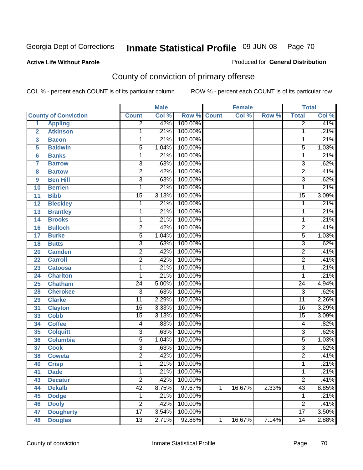#### **Active Life Without Parole**

#### Produced for **General Distribution**

# County of conviction of primary offense

|                         |                             |                 | <b>Male</b> |                    |              | <b>Female</b> |       |                 | <b>Total</b> |
|-------------------------|-----------------------------|-----------------|-------------|--------------------|--------------|---------------|-------|-----------------|--------------|
|                         | <b>County of Conviction</b> | <b>Count</b>    | Col %       | <b>Row % Count</b> |              | Col %         | Row % | <b>Total</b>    | Col %        |
| $\overline{1}$          | <b>Appling</b>              | $\overline{2}$  | .42%        | 100.00%            |              |               |       | $\overline{2}$  | .41%         |
| $\overline{2}$          | <b>Atkinson</b>             | 1               | .21%        | 100.00%            |              |               |       | 1               | .21%         |
| $\overline{\mathbf{3}}$ | <b>Bacon</b>                | $\mathbf{1}$    | .21%        | 100.00%            |              |               |       | 1               | .21%         |
| 5                       | <b>Baldwin</b>              | 5               | 1.04%       | 100.00%            |              |               |       | 5               | 1.03%        |
| 6                       | <b>Banks</b>                | 1               | .21%        | 100.00%            |              |               |       | $\mathbf{1}$    | .21%         |
| $\overline{7}$          | <b>Barrow</b>               | $\overline{3}$  | .63%        | 100.00%            |              |               |       | $\overline{3}$  | .62%         |
| 8                       | <b>Bartow</b>               | $\overline{2}$  | .42%        | 100.00%            |              |               |       | $\overline{2}$  | .41%         |
| 9                       | <b>Ben Hill</b>             | $\overline{3}$  | .63%        | 100.00%            |              |               |       | $\overline{3}$  | .62%         |
| 10                      | <b>Berrien</b>              | 1               | .21%        | 100.00%            |              |               |       | 1               | .21%         |
| 11                      | <b>Bibb</b>                 | $\overline{15}$ | 3.13%       | 100.00%            |              |               |       | $\overline{15}$ | 3.09%        |
| 12                      | <b>Bleckley</b>             | 1               | .21%        | 100.00%            |              |               |       | $\mathbf 1$     | .21%         |
| 13                      | <b>Brantley</b>             | 1               | .21%        | 100.00%            |              |               |       | 1               | .21%         |
| $\overline{14}$         | <b>Brooks</b>               | 1               | .21%        | 100.00%            |              |               |       | $\mathbf{1}$    | .21%         |
| 16                      | <b>Bulloch</b>              | $\overline{2}$  | .42%        | 100.00%            |              |               |       | $\overline{2}$  | .41%         |
| 17                      | <b>Burke</b>                | $\overline{5}$  | 1.04%       | 100.00%            |              |               |       | $\overline{5}$  | 1.03%        |
| 18                      | <b>Butts</b>                | $\overline{3}$  | .63%        | 100.00%            |              |               |       | $\overline{3}$  | .62%         |
| 20                      | <b>Camden</b>               | $\overline{2}$  | .42%        | 100.00%            |              |               |       | $\overline{2}$  | .41%         |
| 22                      | <b>Carroll</b>              | $\overline{2}$  | .42%        | 100.00%            |              |               |       | $\overline{2}$  | .41%         |
| 23                      | <b>Catoosa</b>              | 1               | .21%        | 100.00%            |              |               |       | $\mathbf{1}$    | .21%         |
| 24                      | <b>Charlton</b>             | 1               | .21%        | 100.00%            |              |               |       | 1               | .21%         |
| 25                      | <b>Chatham</b>              | $\overline{24}$ | 5.00%       | 100.00%            |              |               |       | $\overline{24}$ | 4.94%        |
| 28                      | <b>Cherokee</b>             | $\overline{3}$  | .63%        | 100.00%            |              |               |       | $\overline{3}$  | .62%         |
| 29                      | <b>Clarke</b>               | $\overline{11}$ | 2.29%       | 100.00%            |              |               |       | $\overline{11}$ | 2.26%        |
| 31                      | <b>Clayton</b>              | $\overline{16}$ | 3.33%       | 100.00%            |              |               |       | 16              | 3.29%        |
| 33                      | <b>Cobb</b>                 | $\overline{15}$ | 3.13%       | 100.00%            |              |               |       | 15              | 3.09%        |
| 34                      | <b>Coffee</b>               | 4               | .83%        | 100.00%            |              |               |       | 4               | .82%         |
| 35                      | <b>Colquitt</b>             | $\overline{3}$  | .63%        | 100.00%            |              |               |       | $\overline{3}$  | .62%         |
| 36                      | <b>Columbia</b>             | $\overline{5}$  | 1.04%       | 100.00%            |              |               |       | $\overline{5}$  | 1.03%        |
| 37                      | <b>Cook</b>                 | $\overline{3}$  | .63%        | 100.00%            |              |               |       | $\overline{3}$  | .62%         |
| 38                      | <b>Coweta</b>               | $\overline{2}$  | .42%        | 100.00%            |              |               |       | $\overline{2}$  | .41%         |
| 40                      | <b>Crisp</b>                | 1               | .21%        | 100.00%            |              |               |       | 1               | .21%         |
| 41                      | <b>Dade</b>                 | 1               | .21%        | 100.00%            |              |               |       | 1               | .21%         |
| 43                      | <b>Decatur</b>              | $\overline{2}$  | .42%        | 100.00%            |              |               |       | $\overline{2}$  | .41%         |
| 44                      | <b>Dekalb</b>               | $\overline{42}$ | 8.75%       | 97.67%             | $\mathbf{1}$ | 16.67%        | 2.33% | 43              | 8.85%        |
| 45                      | <b>Dodge</b>                | $\mathbf 1$     | .21%        | 100.00%            |              |               |       | 1               | .21%         |
| 46                      | <b>Dooly</b>                | $\overline{2}$  | .42%        | 100.00%            |              |               |       | $\overline{2}$  | .41%         |
| 47                      | <b>Dougherty</b>            | $\overline{17}$ | 3.54%       | 100.00%            |              |               |       | $\overline{17}$ | 3.50%        |
| 48                      | <b>Douglas</b>              | $\overline{13}$ | 2.71%       | 92.86%             | $\mathbf 1$  | 16.67%        | 7.14% | 14              | 2.88%        |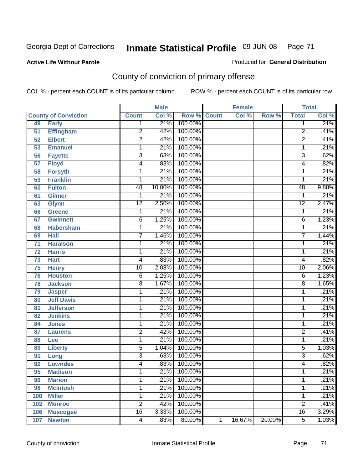#### **Active Life Without Parole**

#### Produced for **General Distribution**

# County of conviction of primary offense

|     |                             |                 | <b>Male</b> |                    |   | <b>Female</b> |        |                 | <b>Total</b> |
|-----|-----------------------------|-----------------|-------------|--------------------|---|---------------|--------|-----------------|--------------|
|     | <b>County of Conviction</b> | <b>Count</b>    | Col %       | <b>Row % Count</b> |   | Col %         | Row %  | <b>Total</b>    | Col %        |
| 49  | <b>Early</b>                | 1               | .21%        | 100.00%            |   |               |        | 1               | .21%         |
| 51  | <b>Effingham</b>            | 2               | .42%        | 100.00%            |   |               |        | 2               | .41%         |
| 52  | <b>Elbert</b>               | $\overline{2}$  | .42%        | 100.00%            |   |               |        | $\overline{2}$  | .41%         |
| 53  | <b>Emanuel</b>              | 1               | .21%        | 100.00%            |   |               |        | 1               | .21%         |
| 56  | <b>Fayette</b>              | $\overline{3}$  | .63%        | 100.00%            |   |               |        | $\overline{3}$  | .62%         |
| 57  | <b>Floyd</b>                | 4               | .83%        | 100.00%            |   |               |        | 4               | .82%         |
| 58  | <b>Forsyth</b>              | 1               | .21%        | 100.00%            |   |               |        | 1               | .21%         |
| 59  | <b>Franklin</b>             | 1               | .21%        | 100.00%            |   |               |        | 1               | .21%         |
| 60  | <b>Fulton</b>               | 48              | 10.00%      | 100.00%            |   |               |        | 48              | 9.88%        |
| 61  | <b>Gilmer</b>               | 1               | .21%        | 100.00%            |   |               |        | 1               | .21%         |
| 63  | <b>Glynn</b>                | $\overline{12}$ | 2.50%       | 100.00%            |   |               |        | $\overline{12}$ | 2.47%        |
| 66  | <b>Greene</b>               | 1               | .21%        | 100.00%            |   |               |        | 1               | .21%         |
| 67  | <b>Gwinnett</b>             | 6               | 1.25%       | 100.00%            |   |               |        | 6               | 1.23%        |
| 68  | <b>Habersham</b>            | 1               | .21%        | 100.00%            |   |               |        | 1               | .21%         |
| 69  | <b>Hall</b>                 | 7               | 1.46%       | 100.00%            |   |               |        | $\overline{7}$  | 1.44%        |
| 71  | <b>Haralson</b>             | 1               | .21%        | 100.00%            |   |               |        | 1               | .21%         |
| 72  | <b>Harris</b>               | 1               | .21%        | 100.00%            |   |               |        | 1               | .21%         |
| 73  | <b>Hart</b>                 | 4               | .83%        | 100.00%            |   |               |        | 4               | .82%         |
| 75  | <b>Henry</b>                | $\overline{10}$ | 2.08%       | 100.00%            |   |               |        | $\overline{10}$ | 2.06%        |
| 76  | <b>Houston</b>              | 6               | 1.25%       | 100.00%            |   |               |        | 6               | 1.23%        |
| 78  | <b>Jackson</b>              | $\overline{8}$  | 1.67%       | 100.00%            |   |               |        | 8               | 1.65%        |
| 79  | <b>Jasper</b>               | 1               | .21%        | 100.00%            |   |               |        | 1               | .21%         |
| 80  | <b>Jeff Davis</b>           | 1               | .21%        | 100.00%            |   |               |        | 1               | .21%         |
| 81  | <b>Jefferson</b>            | 1               | .21%        | 100.00%            |   |               |        | 1               | .21%         |
| 82  | <b>Jenkins</b>              | 1               | .21%        | 100.00%            |   |               |        | 1               | .21%         |
| 84  | <b>Jones</b>                | 1               | .21%        | 100.00%            |   |               |        | 1               | .21%         |
| 87  | <b>Laurens</b>              | $\overline{2}$  | .42%        | 100.00%            |   |               |        | $\overline{2}$  | .41%         |
| 88  | Lee                         | 1               | .21%        | 100.00%            |   |               |        | 1               | .21%         |
| 89  | <b>Liberty</b>              | $\overline{5}$  | 1.04%       | 100.00%            |   |               |        | $\overline{5}$  | 1.03%        |
| 91  | Long                        | 3               | .63%        | 100.00%            |   |               |        | $\overline{3}$  | .62%         |
| 92  | <b>Lowndes</b>              | 4               | .83%        | 100.00%            |   |               |        | 4               | .82%         |
| 95  | <b>Madison</b>              | 1               | .21%        | 100.00%            |   |               |        | 1               | $.21\%$      |
| 96  | <b>Marion</b>               | 1               | .21%        | 100.00%            |   |               |        | 1               | .21%         |
| 98  | <b>Mcintosh</b>             | 1               | .21%        | 100.00%            |   |               |        | 1               | .21%         |
| 100 | <b>Miller</b>               | 1               | .21%        | 100.00%            |   |               |        | 1               | .21%         |
| 102 | <b>Monroe</b>               | 2               | .42%        | 100.00%            |   |               |        | $\overline{2}$  | .41%         |
| 106 | <b>Muscogee</b>             | $\overline{16}$ | 3.33%       | 100.00%            |   |               |        | 16              | 3.29%        |
| 107 | <b>Newton</b>               | 4               | .83%        | 80.00%             | 1 | 16.67%        | 20.00% | $\overline{5}$  | 1.03%        |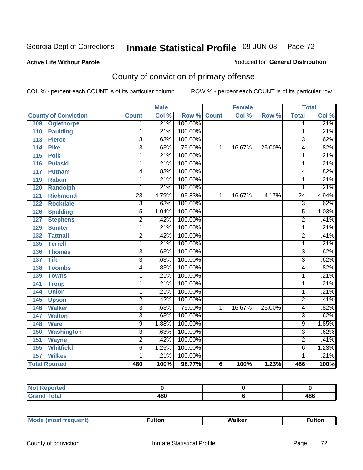#### **Active Life Without Parole**

#### Produced for **General Distribution**

# County of conviction of primary offense

|                             |                           | <b>Male</b> |                    |                | <b>Female</b> |        |                 | <b>Total</b>       |
|-----------------------------|---------------------------|-------------|--------------------|----------------|---------------|--------|-----------------|--------------------|
| <b>County of Conviction</b> | <b>Count</b>              | Col %       | <b>Row % Count</b> |                | Col %         | Row %  | <b>Total</b>    | Col %              |
| <b>Oglethorpe</b><br>109    | 1                         | .21%        | 100.00%            |                |               |        | $\overline{1}$  | .21%               |
| <b>Paulding</b><br>110      | 1                         | .21%        | 100.00%            |                |               |        | 1               | .21%               |
| 113<br><b>Pierce</b>        | $\overline{3}$            | .63%        | 100.00%            |                |               |        | 3               | .62%               |
| <b>Pike</b><br>114          | $\overline{3}$            | .63%        | 75.00%             | 1              | 16.67%        | 25.00% | 4               | .82%               |
| 115<br><b>Polk</b>          | $\overline{1}$            | .21%        | 100.00%            |                |               |        | $\mathbf{1}$    | .21%               |
| <b>Pulaski</b><br>116       | 1                         | .21%        | 100.00%            |                |               |        | $\mathbf{1}$    | .21%               |
| 117<br><b>Putnam</b>        | 4                         | .83%        | 100.00%            |                |               |        | 4               | .82%               |
| 119<br><b>Rabun</b>         | 1                         | .21%        | 100.00%            |                |               |        | 1               | .21%               |
| <b>Randolph</b><br>120      | 1                         | .21%        | 100.00%            |                |               |        | 1               | .21%               |
| <b>Richmond</b><br>121      | $\overline{23}$           | 4.79%       | 95.83%             | 1              | 16.67%        | 4.17%  | $\overline{24}$ | 4.94%              |
| <b>Rockdale</b><br>122      | $\overline{\overline{3}}$ | .63%        | 100.00%            |                |               |        | $\overline{3}$  | .62%               |
| <b>Spalding</b><br>126      | $\overline{5}$            | 1.04%       | 100.00%            |                |               |        | $\overline{5}$  | 1.03%              |
| <b>Stephens</b><br>127      | $\overline{2}$            | .42%        | 100.00%            |                |               |        | $\overline{2}$  | .41%               |
| 129<br><b>Sumter</b>        | 1                         | .21%        | 100.00%            |                |               |        | $\overline{1}$  | .21%               |
| <b>Tattnall</b><br>132      | $\overline{2}$            | .42%        | 100.00%            |                |               |        | $\overline{2}$  | .41%               |
| <b>Terrell</b><br>135       | 1                         | .21%        | 100.00%            |                |               |        | 1               | .21%               |
| 136<br><b>Thomas</b>        | $\overline{\overline{3}}$ | .63%        | 100.00%            |                |               |        | $\overline{3}$  | .62%               |
| <b>Tift</b><br>137          | $\overline{\overline{3}}$ | .63%        | 100.00%            |                |               |        | $\overline{3}$  | .62%               |
| 138<br><b>Toombs</b>        | 4                         | .83%        | 100.00%            |                |               |        | 4               | .82%               |
| 139<br><b>Towns</b>         | 1                         | .21%        | 100.00%            |                |               |        | 1               | .21%               |
| 141<br><b>Troup</b>         | 1                         | .21%        | 100.00%            |                |               |        | $\overline{1}$  | .21%               |
| <b>Union</b><br>144         | 1                         | .21%        | 100.00%            |                |               |        | $\mathbf{1}$    | .21%               |
| 145<br><b>Upson</b>         | $\overline{2}$            | .42%        | 100.00%            |                |               |        | $\overline{2}$  | .41%               |
| 146<br><b>Walker</b>        | $\overline{3}$            | .63%        | 75.00%             | 1              | 16.67%        | 25.00% | 4               | .82%               |
| 147<br><b>Walton</b>        | $\overline{3}$            | .63%        | 100.00%            |                |               |        | 3               | .62%               |
| <b>Ware</b><br>148          | $\overline{9}$            | 1.88%       | 100.00%            |                |               |        | 9               | 1.85%              |
| <b>Washington</b><br>150    | $\overline{3}$            | .63%        | 100.00%            |                |               |        | $\overline{3}$  | .62%               |
| 151<br><b>Wayne</b>         | $\overline{2}$            | .42%        | 100.00%            |                |               |        | $\overline{2}$  | .41%               |
| <b>Whitfield</b><br>155     | 6                         | 1.25%       | 100.00%            |                |               |        | 6               | 1.23%              |
| <b>Wilkes</b><br>157        | 1                         | .21%        | 100.00%            |                |               |        | 1               | .21%               |
| <b>Total Rported</b>        | 480                       | 100%        | 98.77%             | $6\phantom{1}$ | 100%          | 1.23%  | 486             | $\overline{100\%}$ |

| <b>Not Reported</b>     |     |     |
|-------------------------|-----|-----|
| <b>Total</b><br>' Grand | 480 | 486 |

| _____ |  | Мe | τοη<br>ur. | <b>Walker</b> | ultor |
|-------|--|----|------------|---------------|-------|
|-------|--|----|------------|---------------|-------|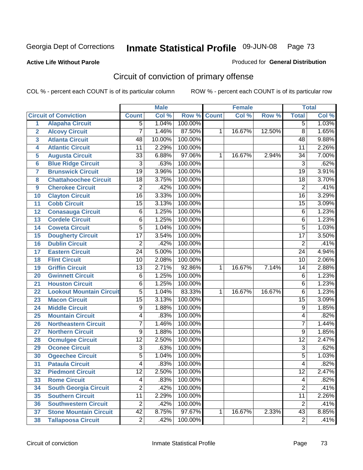#### **Active Life Without Parole**

# Produced for **General Distribution**

# Circuit of conviction of primary offense

|                 |                                 |                 | <b>Male</b> |         |              | <b>Female</b> |        |                 | <b>Total</b> |
|-----------------|---------------------------------|-----------------|-------------|---------|--------------|---------------|--------|-----------------|--------------|
|                 | <b>Circuit of Conviction</b>    | <b>Count</b>    | Col %       | Row %   | <b>Count</b> | Col %         | Row %  | <b>Total</b>    | Col %        |
| 1               | <b>Alapaha Circuit</b>          | $\overline{5}$  | 1.04%       | 100.00% |              |               |        | 5               | 1.03%        |
| $\overline{2}$  | <b>Alcovy Circuit</b>           | $\overline{7}$  | 1.46%       | 87.50%  | 1            | 16.67%        | 12.50% | $\overline{8}$  | 1.65%        |
| 3               | <b>Atlanta Circuit</b>          | 48              | 10.00%      | 100.00% |              |               |        | 48              | 9.88%        |
| 4               | <b>Atlantic Circuit</b>         | 11              | 2.29%       | 100.00% |              |               |        | 11              | 2.26%        |
| 5               | <b>Augusta Circuit</b>          | 33              | 6.88%       | 97.06%  | 1            | 16.67%        | 2.94%  | 34              | 7.00%        |
| 6               | <b>Blue Ridge Circuit</b>       | $\overline{3}$  | .63%        | 100.00% |              |               |        | $\overline{3}$  | .62%         |
| $\overline{7}$  | <b>Brunswick Circuit</b>        | 19              | 3.96%       | 100.00% |              |               |        | 19              | 3.91%        |
| 8               | <b>Chattahoochee Circuit</b>    | 18              | 3.75%       | 100.00% |              |               |        | 18              | 3.70%        |
| 9               | <b>Cherokee Circuit</b>         | 2               | .42%        | 100.00% |              |               |        | $\overline{2}$  | .41%         |
| 10              | <b>Clayton Circuit</b>          | $\overline{16}$ | 3.33%       | 100.00% |              |               |        | 16              | 3.29%        |
| 11              | <b>Cobb Circuit</b>             | 15              | 3.13%       | 100.00% |              |               |        | 15              | 3.09%        |
| 12              | <b>Conasauga Circuit</b>        | $\overline{6}$  | 1.25%       | 100.00% |              |               |        | 6               | 1.23%        |
| 13              | <b>Cordele Circuit</b>          | 6               | 1.25%       | 100.00% |              |               |        | 6               | 1.23%        |
| 14              | <b>Coweta Circuit</b>           | $\overline{5}$  | 1.04%       | 100.00% |              |               |        | $\overline{5}$  | 1.03%        |
| 15              | <b>Dougherty Circuit</b>        | $\overline{17}$ | 3.54%       | 100.00% |              |               |        | $\overline{17}$ | 3.50%        |
| 16              | <b>Dublin Circuit</b>           | $\overline{2}$  | .42%        | 100.00% |              |               |        | $\overline{2}$  | .41%         |
| 17              | <b>Eastern Circuit</b>          | $\overline{24}$ | 5.00%       | 100.00% |              |               |        | 24              | 4.94%        |
| 18              | <b>Flint Circuit</b>            | 10              | 2.08%       | 100.00% |              |               |        | 10              | 2.06%        |
| 19              | <b>Griffin Circuit</b>          | 13              | 2.71%       | 92.86%  | 1            | 16.67%        | 7.14%  | 14              | 2.88%        |
| 20              | <b>Gwinnett Circuit</b>         | $\overline{6}$  | 1.25%       | 100.00% |              |               |        | 6               | 1.23%        |
| 21              | <b>Houston Circuit</b>          | 6               | 1.25%       | 100.00% |              |               |        | 6               | 1.23%        |
| 22              | <b>Lookout Mountain Circuit</b> | $\overline{5}$  | 1.04%       | 83.33%  | 1            | 16.67%        | 16.67% | 6               | 1.23%        |
| 23              | <b>Macon Circuit</b>            | $\overline{15}$ | 3.13%       | 100.00% |              |               |        | $\overline{15}$ | 3.09%        |
| 24              | <b>Middle Circuit</b>           | 9               | 1.88%       | 100.00% |              |               |        | 9               | 1.85%        |
| 25              | <b>Mountain Circuit</b>         | 4               | .83%        | 100.00% |              |               |        | 4               | .82%         |
| 26              | <b>Northeastern Circuit</b>     | 7               | 1.46%       | 100.00% |              |               |        | 7               | 1.44%        |
| 27              | <b>Northern Circuit</b>         | 9               | 1.88%       | 100.00% |              |               |        | 9               | 1.85%        |
| 28              | <b>Ocmulgee Circuit</b>         | $\overline{12}$ | 2.50%       | 100.00% |              |               |        | $\overline{12}$ | 2.47%        |
| 29              | <b>Oconee Circuit</b>           | 3               | .63%        | 100.00% |              |               |        | $\overline{3}$  | .62%         |
| 30              | <b>Ogeechee Circuit</b>         | $\overline{5}$  | 1.04%       | 100.00% |              |               |        | $\overline{5}$  | 1.03%        |
| 31              | <b>Pataula Circuit</b>          | 4               | .83%        | 100.00% |              |               |        | 4               | .82%         |
| $\overline{32}$ | <b>Piedmont Circuit</b>         | $\overline{12}$ | $2.50\%$    | 100.00% |              |               |        | $\overline{12}$ | 2.47%        |
| 33              | <b>Rome Circuit</b>             | 4               | .83%        | 100.00% |              |               |        | 4               | .82%         |
| 34              | <b>South Georgia Circuit</b>    | $\overline{2}$  | .42%        | 100.00% |              |               |        | $\overline{2}$  | .41%         |
| 35              | <b>Southern Circuit</b>         | 11              | 2.29%       | 100.00% |              |               |        | 11              | 2.26%        |
| 36              | <b>Southwestern Circuit</b>     | $\overline{2}$  | .42%        | 100.00% |              |               |        | $\overline{2}$  | .41%         |
| 37              | <b>Stone Mountain Circuit</b>   | 42              | 8.75%       | 97.67%  | 1            | 16.67%        | 2.33%  | 43              | 8.85%        |
| 38              | <b>Tallapoosa Circuit</b>       | $\overline{2}$  | .42%        | 100.00% |              |               |        | $\overline{2}$  | .41%         |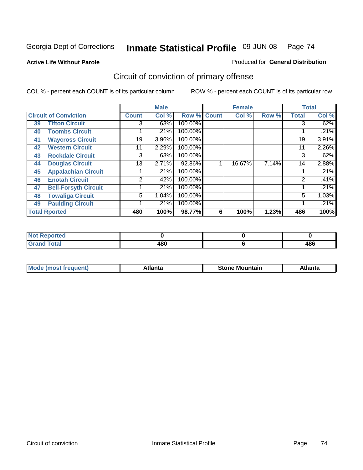**Active Life Without Parole** 

Produced for **General Distribution**

# Circuit of conviction of primary offense

|    |                              |              | <b>Male</b> |             |   | <b>Female</b> |       |              | <b>Total</b> |
|----|------------------------------|--------------|-------------|-------------|---|---------------|-------|--------------|--------------|
|    | <b>Circuit of Conviction</b> | <b>Count</b> | Col %       | Row % Count |   | Col %         | Row % | <b>Total</b> | Col %        |
| 39 | <b>Tifton Circuit</b>        | 3            | .63%        | 100.00%     |   |               |       | 3            | .62%         |
| 40 | <b>Toombs Circuit</b>        |              | .21%        | 100.00%     |   |               |       |              | .21%         |
| 41 | <b>Waycross Circuit</b>      | 19           | 3.96%       | 100.00%     |   |               |       | 19           | 3.91%        |
| 42 | <b>Western Circuit</b>       | 11           | 2.29%       | 100.00%     |   |               |       | 11           | 2.26%        |
| 43 | <b>Rockdale Circuit</b>      | 3            | .63%        | 100.00%     |   |               |       | 3            | .62%         |
| 44 | <b>Douglas Circuit</b>       | 13           | 2.71%       | 92.86%      |   | 16.67%        | 7.14% | 14           | 2.88%        |
| 45 | <b>Appalachian Circuit</b>   |              | .21%        | 100.00%     |   |               |       |              | .21%         |
| 46 | <b>Enotah Circuit</b>        | 2            | .42%        | 100.00%     |   |               |       | 2            | .41%         |
| 47 | <b>Bell-Forsyth Circuit</b>  |              | .21%        | 100.00%     |   |               |       |              | .21%         |
| 48 | <b>Towaliga Circuit</b>      | 5            | 1.04%       | 100.00%     |   |               |       | 5            | 1.03%        |
| 49 | <b>Paulding Circuit</b>      |              | .21%        | 100.00%     |   |               |       |              | .21%         |
|    | <b>Total Rported</b>         | 480          | 100%        | 98.77%      | 6 | 100%          | 1.23% | 486          | 100%         |

| اد د قب<br>prited       |     |     |
|-------------------------|-----|-----|
| <b>Total</b><br><b></b> | 480 | 486 |

| īМ<br>----<br>taın<br>----<br>514<br>MOL<br>нс |
|------------------------------------------------|
|------------------------------------------------|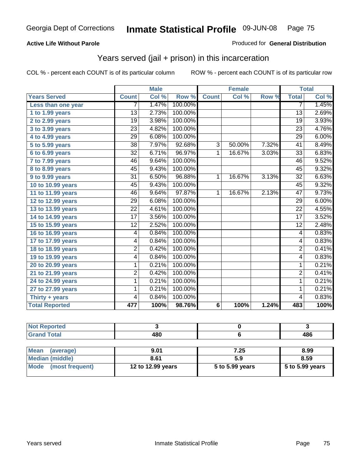### **Active Life Without Parole**

#### Produced for **General Distribution**

### Years served (jail + prison) in this incarceration

|                       |                 | <b>Male</b> |         |                 | <b>Female</b> |       |                 | <b>Total</b> |
|-----------------------|-----------------|-------------|---------|-----------------|---------------|-------|-----------------|--------------|
| <b>Years Served</b>   | <b>Count</b>    | Col %       | Row %   | <b>Count</b>    | Col %         | Row % | <b>Total</b>    | Col %        |
| Less than one year    | 7               | 1.47%       | 100.00% |                 |               |       | $\overline{7}$  | 1.45%        |
| 1 to 1.99 years       | 13              | 2.73%       | 100.00% |                 |               |       | $\overline{13}$ | 2.69%        |
| 2 to 2.99 years       | 19              | 3.98%       | 100.00% |                 |               |       | 19              | 3.93%        |
| 3 to 3.99 years       | $\overline{23}$ | 4.82%       | 100.00% |                 |               |       | $\overline{23}$ | 4.76%        |
| 4 to 4.99 years       | $\overline{29}$ | 6.08%       | 100.00% |                 |               |       | $\overline{29}$ | 6.00%        |
| 5 to 5.99 years       | 38              | 7.97%       | 92.68%  | 3               | 50.00%        | 7.32% | 41              | 8.49%        |
| 6 to 6.99 years       | $\overline{32}$ | 6.71%       | 96.97%  | $\mathbf{1}$    | 16.67%        | 3.03% | $\overline{33}$ | 6.83%        |
| 7 to 7.99 years       | 46              | 9.64%       | 100.00% |                 |               |       | 46              | 9.52%        |
| 8 to 8.99 years       | 45              | 9.43%       | 100.00% |                 |               |       | 45              | 9.32%        |
| 9 to 9.99 years       | $\overline{31}$ | 6.50%       | 96.88%  | 1               | 16.67%        | 3.13% | $\overline{32}$ | 6.63%        |
| 10 to 10.99 years     | 45              | 9.43%       | 100.00% |                 |               |       | 45              | 9.32%        |
| 11 to 11.99 years     | 46              | 9.64%       | 97.87%  | 1               | 16.67%        | 2.13% | 47              | 9.73%        |
| 12 to 12.99 years     | $\overline{29}$ | 6.08%       | 100.00% |                 |               |       | $\overline{29}$ | 6.00%        |
| 13 to 13.99 years     | $\overline{22}$ | 4.61%       | 100.00% |                 |               |       | $\overline{22}$ | 4.55%        |
| 14 to 14.99 years     | 17              | 3.56%       | 100.00% |                 |               |       | 17              | 3.52%        |
| 15 to 15.99 years     | $\overline{12}$ | 2.52%       | 100.00% |                 |               |       | $\overline{12}$ | 2.48%        |
| 16 to 16.99 years     | 4               | 0.84%       | 100.00% |                 |               |       | 4               | 0.83%        |
| 17 to 17.99 years     | 4               | 0.84%       | 100.00% |                 |               |       | 4               | 0.83%        |
| 18 to 18.99 years     | 2               | 0.42%       | 100.00% |                 |               |       | $\overline{2}$  | 0.41%        |
| 19 to 19.99 years     | 4               | 0.84%       | 100.00% |                 |               |       | 4               | 0.83%        |
| 20 to 20.99 years     | 1               | 0.21%       | 100.00% |                 |               |       | $\mathbf{1}$    | 0.21%        |
| 21 to 21.99 years     | 2               | 0.42%       | 100.00% |                 |               |       | $\overline{2}$  | 0.41%        |
| 24 to 24.99 years     | 1               | 0.21%       | 100.00% |                 |               |       | 1               | 0.21%        |
| 27 to 27.99 years     | 1               | 0.21%       | 100.00% |                 |               |       | 1               | 0.21%        |
| Thirty + years        | 4               | 0.84%       | 100.00% |                 |               |       | 4               | 0.83%        |
| <b>Total Reported</b> | 477             | 100%        | 98.76%  | $6\phantom{1}6$ | 100%          | 1.24% | 483             | 100%         |

| <b>Not Reported</b>            |                   |                 |                 |
|--------------------------------|-------------------|-----------------|-----------------|
| <b>Grand Total</b>             | 480               |                 | 486             |
|                                |                   |                 |                 |
| <b>Mean</b><br>(average)       | 9.01              | 7.25            | 8.99            |
| <b>Median (middle)</b>         | 8.61              | 5.9             | 8.59            |
| <b>Mode</b><br>(most frequent) | 12 to 12.99 years | 5 to 5.99 years | 5 to 5.99 years |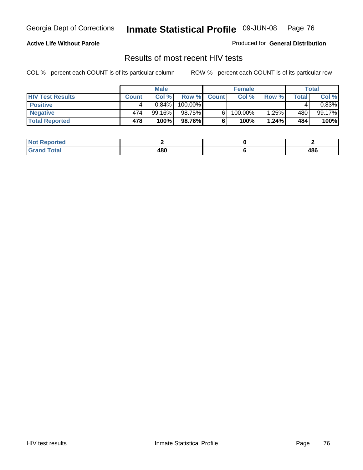#### **Active Life Without Parole**

Produced for **General Distribution**

### Results of most recent HIV tests

|                         |              | <b>Male</b> |         |              | <b>Female</b> |       |       | Total    |
|-------------------------|--------------|-------------|---------|--------------|---------------|-------|-------|----------|
| <b>HIV Test Results</b> | <b>Count</b> | Col %       | Row %   | <b>Count</b> | Col %         | Row % | Total | Col %    |
| <b>Positive</b>         | 4            | $0.84\%$    | 100.00% |              |               |       |       | $0.83\%$ |
| <b>Negative</b>         | 474          | $99.16\%$   | 98.75%  |              | 100.00%       | 1.25% | 480   | 99.17%   |
| <b>Total Reported</b>   | 478          | 100%        | 98.76%  |              | 100%          | 1.24% | 484   | 100%     |

| <b>Not Reported</b> |     |     |
|---------------------|-----|-----|
| <b>Grand Total</b>  | 480 | 486 |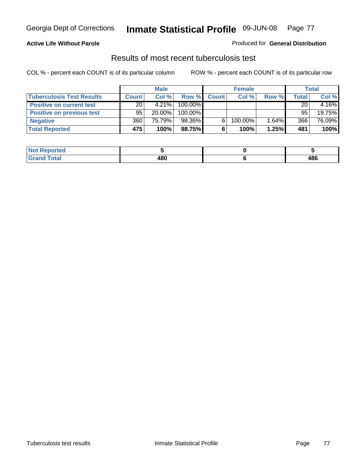#### **Active Life Without Parole**

#### Produced for **General Distribution**

### Results of most recent tuberculosis test

|                                  |              | <b>Male</b> |         |              | <b>Female</b> |          |              | Total  |
|----------------------------------|--------------|-------------|---------|--------------|---------------|----------|--------------|--------|
| <b>Tuberculosis Test Results</b> | <b>Count</b> | Col%        | Row %   | <b>Count</b> | Col%          | Row %    | <b>Total</b> | Col %  |
| <b>Positive on current test</b>  | 20           | $4.21\%$    | 100.00% |              |               |          | 20           | 4.16%  |
| <b>Positive on previous test</b> | 95           | $20.00\%$   | 100.00% |              |               |          | 95           | 19.75% |
| <b>Negative</b>                  | 360          | 75.79%      | 98.36%  |              | 100.00%       | $1.64\%$ | 366          | 76.09% |
| <b>Total Reported</b>            | 475          | 100%        | 98.75%I | 6            | 100%          | 1.25%    | 481          | 100%   |

| Reported     |     |     |
|--------------|-----|-----|
| <b>Total</b> | 480 | 486 |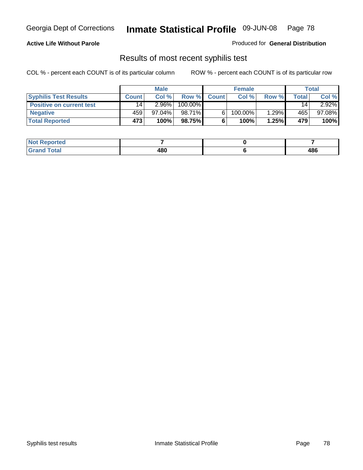#### **Active Life Without Parole**

Produced for **General Distribution**

### Results of most recent syphilis test

|                                 |              | <b>Male</b> |         |              | <b>Female</b> |       |       | Total     |
|---------------------------------|--------------|-------------|---------|--------------|---------------|-------|-------|-----------|
| <b>Syphilis Test Results</b>    | <b>Count</b> | Col %       | Row %   | <b>Count</b> | Col %         | Row % | Total | Col %     |
| <b>Positive on current test</b> | 14           | $2.96\%$    | 100.00% |              |               |       | 14    | $2.92\%$  |
| <b>Negative</b>                 | 459          | $97.04\%$   | 98.71%  |              | 100.00%       | 1.29% | 465   | $97.08\%$ |
| <b>Total Reported</b>           | 473          | 100%        | 98.75%  |              | 100%          | 1.25% | 479   | 100%      |

| <b>Not Reported</b> |     |     |
|---------------------|-----|-----|
| <b>Grand Total</b>  | 480 | 486 |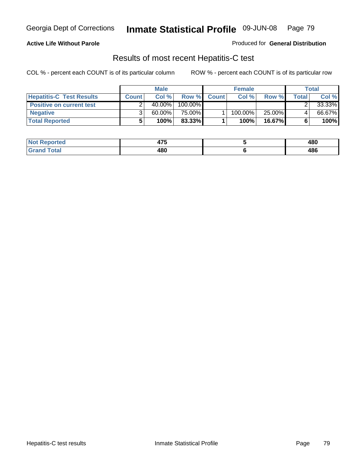### **Active Life Without Parole**

Produced for **General Distribution**

### Results of most recent Hepatitis-C test

|                                 | <b>Male</b>  |           |         | <b>Female</b> |         |           | Total |        |
|---------------------------------|--------------|-----------|---------|---------------|---------|-----------|-------|--------|
| <b>Hepatitis-C Test Results</b> | <b>Count</b> | Col %     | Row %   | <b>Count</b>  | Col %   | Row %     | Total | Col %  |
| <b>Positive on current test</b> |              | $40.00\%$ | 100.00% |               |         |           |       | 33.33% |
| <b>Negative</b>                 |              | $60.00\%$ | 75.00%  |               | 100.00% | 25.00%    |       | 66.67% |
| <b>Total Reported</b>           |              | 100%      | 83.33%  |               | 100%    | $16.67\%$ |       | 100%   |

| <b>Not</b><br>Reported | $\rightarrow$<br>41 J | 480 |
|------------------------|-----------------------|-----|
| Total                  | 480                   | 486 |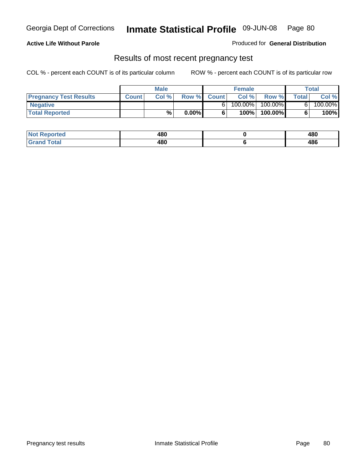#### **Active Life Without Parole**

Produced for **General Distribution**

### Results of most recent pregnancy test

|                               | <b>Male</b>  |      |          | <b>Female</b> |         |         | <b>Total</b> |         |
|-------------------------------|--------------|------|----------|---------------|---------|---------|--------------|---------|
| <b>Pregnancy Test Results</b> | <b>Count</b> | Col% | Row %    | <b>Count</b>  | Col %   | Row %   | <b>Total</b> | Col %   |
| <b>Negative</b>               |              |      |          |               | 100.00% | 100.00% |              | 100.00% |
| <b>Total Reported</b>         |              | %    | $0.00\%$ |               | 100%    | 100.00% |              | 100%    |

| <b>Not</b><br>Reported | 480<br>__ | 480 |
|------------------------|-----------|-----|
| <b>Total</b><br>Gran   | 480       | 486 |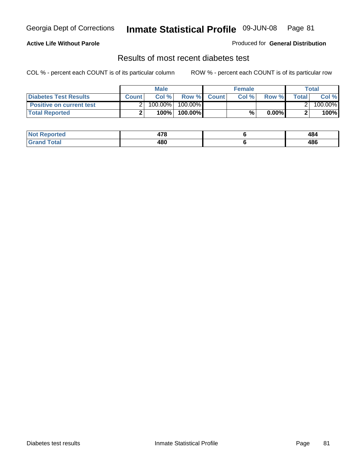### **Active Life Without Parole**

#### Produced for **General Distribution**

### Results of most recent diabetes test

|                                 |              | <b>Male</b> |            |             | <b>Female</b> |          |        | Total   |
|---------------------------------|--------------|-------------|------------|-------------|---------------|----------|--------|---------|
| <b>Diabetes Test Results</b>    | <b>Count</b> | Col %       |            | Row % Count | Col%          | Row %    | Totall | Col %   |
| <b>Positive on current test</b> |              | 100.00%     | $100.00\%$ |             |               |          |        | 100.00% |
| <b>Total Reported</b>           |              | 100%        | 100.00%    |             | %.            | $0.00\%$ |        | 100%    |

| Reported<br><b>NOT</b> | 470<br>47 O | 484 |
|------------------------|-------------|-----|
| <b>c</b> otal<br>.     | 480         | 486 |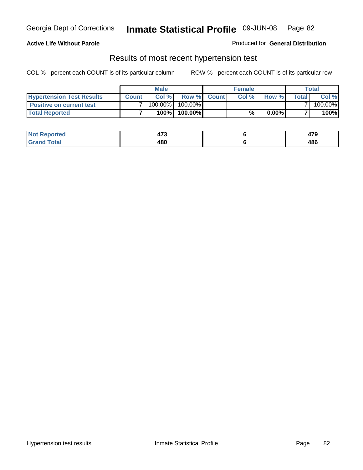### **Active Life Without Parole**

#### Produced for **General Distribution**

### Results of most recent hypertension test

|                                  |              | <b>Male</b> |            |             | <b>Female</b> |          |        | Total   |
|----------------------------------|--------------|-------------|------------|-------------|---------------|----------|--------|---------|
| <b>Hypertension Test Results</b> | <b>Count</b> | Col %       |            | Row % Count | Col%          | Row %    | Totall | Col %   |
| <b>Positive on current test</b>  |              | 100.00%     | $100.00\%$ |             |               |          |        | 100.00% |
| <b>Total Reported</b>            |              | 100%        | 100.00%    |             | %             | $0.00\%$ |        | 100%    |

| <b>Reported</b> | ィーヘ<br>91 J | יי<br>41 J |
|-----------------|-------------|------------|
| <b>Total</b>    | 480         | 486        |